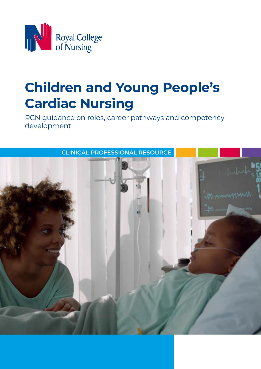

# **Children and Young People's Cardiac Nursing**

RCN guidance on roles, career pathways and competency development

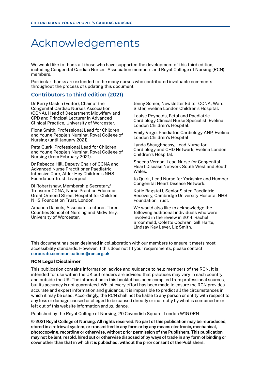## Acknowledgements

We would like to thank all those who have supported the development of this third edition, including Congenital Cardiac Nurses' Association members and Royal College of Nursing (RCN) members.

Particular thanks are extended to the many nurses who contributed invaluable comments throughout the process of updating this document.

#### **Contributors to third edition (2021)**

Dr Kerry Gaskin (Editor), Chair of the Congenital Cardiac Nurses Association (CCNA), Head of Department Midwifery and CPD and Principal Lecturer in Advanced Clinical Practice, University of Worcester.

Fiona Smith, Professional Lead for Children and Young People's Nursing, Royal College of Nursing (until January 2021).

Peta Clark, Professional Lead for Children and Young People's Nursing, Royal College of Nursing (from February 2021).

Dr Rebecca Hill, Deputy Chair of CCNA and Advanced Nurse Practitioner Paediatric Intensive Care, Alder Hey Children's NHS Foundation Trust, Liverpool.

Di Robertshaw, Membership Secretary/ Treasurer CCNA, Nurse Practice Educator, Great Ormond Street Hospital for Children NHS Foundation Trust, London.

Amanda Daniels, Associate Lecturer, Three Counties School of Nursing and Midwifery, University of Worcester.

Jenny Somer, Newsletter Editor CCNA, Ward Sister, Evelina London Children's Hospital.

Louise Reynolds, Fetal and Paediatric Cardiology Clinical Nurse Specialist, Evelina London Children's Hospital.

Emily Virgo, Paediatric Cardiology ANP, Evelina London Children's Hospital

Lynda Shaughnessy, Lead Nurse for Cardiology and CHD Network, Evelina London Children's Hospital.

Sheena Vernon, Lead Nurse for Congenital Heart Disease Network South West and South Wales.

Jo Quirk, Lead Nurse for Yorkshire and Humber Congenital Heart Disease Network.

Katie Bagstaff, Senior Sister, Paediatric Recovery, Cambridge University Hospital NHS Foundation Trust.

We would also like to acknowledge the following additional individuals who were involved in the review in 2014: Rachel Broomfield, Colette Cochran, Gill Harte, Lindsay Kay Lever, Liz Smith.

This document has been designed in collaboration with our members to ensure it meets most accessibility standards. However, if this does not fit your requirements, please contact corporate.communications@rcn.org.uk

#### **RCN Legal Disclaimer**

This publication contains information, advice and guidance to help members of the RCN. It is intended for use within the UK but readers are advised that practices may vary in each country and outside the UK. The information in this booklet has been compiled from professional sources, but its accuracy is not guaranteed. Whilst every effort has been made to ensure the RCN provides accurate and expert information and guidance, it is impossible to predict all the circumstances in which it may be used. Accordingly, the RCN shall not be liable to any person or entity with respect to any loss or damage caused or alleged to be caused directly or indirectly by what is contained in or left out of this website information and guidance.

Published by the Royal College of Nursing, 20 Cavendish Square, London W1G 0RN

© 2021 Royal College of Nursing. All rights reserved. No part of this publication may be reproduced, stored in a retrieval system, or transmitted in any form or by any means electronic, mechanical, photocopying, recording or otherwise, without prior permission of the Publishers. This publication may not be lent, resold, hired out or otherwise disposed of by ways of trade in any form of binding or cover other than that in which it is published, without the prior consent of the Publishers.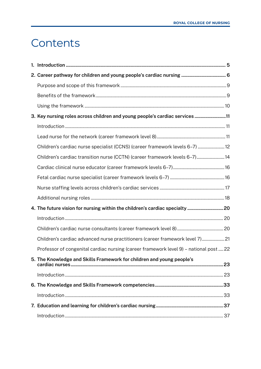## <span id="page-2-0"></span>**Contents**

| 2. Career pathway for children and young people's cardiac nursing  6                   |  |
|----------------------------------------------------------------------------------------|--|
|                                                                                        |  |
|                                                                                        |  |
|                                                                                        |  |
| 3. Key nursing roles across children and young people's cardiac services 11            |  |
|                                                                                        |  |
|                                                                                        |  |
| Children's cardiac nurse specialist (CCNS) (career framework levels 6-7)  12           |  |
| Children's cardiac transition nurse (CCTN) (career framework levels 6-7) 14            |  |
|                                                                                        |  |
|                                                                                        |  |
|                                                                                        |  |
|                                                                                        |  |
| 4. The future vision for nursing within the children's cardiac specialty  20           |  |
|                                                                                        |  |
|                                                                                        |  |
| Children's cardiac advanced nurse practitioners (career framework level 7) 21          |  |
| Professor of congenital cardiac nursing (career framework level 9) - national post  22 |  |
| 5. The Knowledge and Skills Framework for children and young people's                  |  |
|                                                                                        |  |
|                                                                                        |  |
|                                                                                        |  |
|                                                                                        |  |
|                                                                                        |  |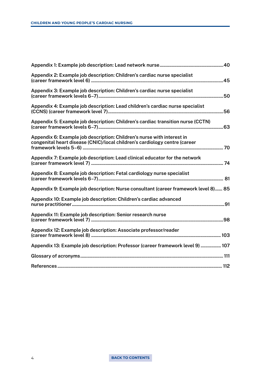| Appendix 2: Example job description: Children's cardiac nurse specialist                                                                             |  |
|------------------------------------------------------------------------------------------------------------------------------------------------------|--|
| Appendix 3: Example job description: Children's cardiac nurse specialist                                                                             |  |
| Appendix 4: Example job description: Lead children's cardiac nurse specialist                                                                        |  |
| Appendix 5: Example job description: Children's cardiac transition nurse (CCTN)                                                                      |  |
| Appendix 6: Example job description: Children's nurse with interest in<br>congenital heart disease (CNIC)/local children's cardiology centre (career |  |
| Appendix 7: Example job description: Lead clinical educator for the network                                                                          |  |
| Appendix 8: Example job description: Fetal cardiology nurse specialist                                                                               |  |
| Appendix 9: Example job description: Nurse consultant (career framework level 8) 85                                                                  |  |
| Appendix 10: Example job description: Children's cardiac advanced                                                                                    |  |
| Appendix 11: Example job description: Senior research nurse                                                                                          |  |
| Appendix 12: Example job description: Associate professor/reader                                                                                     |  |
| Appendix 13: Example job description: Professor (career framework level 9)  107                                                                      |  |
|                                                                                                                                                      |  |
|                                                                                                                                                      |  |

#### 4 **[BACK TO CONTENTS](#page-2-0)**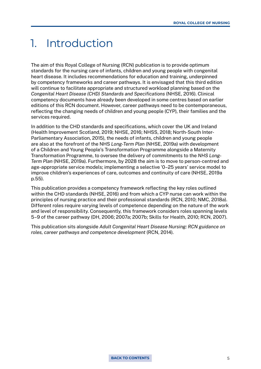## <span id="page-4-0"></span>1. Introduction

The aim of this Royal College of Nursing (RCN) publication is to provide optimum standards for the nursing care of infants, children and young people with congenital heart disease. It includes recommendations for education and training, underpinned by competency frameworks and career pathways. It is envisaged that this third edition will continue to facilitate appropriate and structured workload planning based on the *Congenital Heart Disease (CHD) Standards and Specifications* (NHSE, 2016). Clinical competency documents have already been developed in some centres based on earlier editions of this RCN document. However, career pathways need to be contemporaneous, reflecting the changing needs of children and young people (CYP), their families and the services required.

In addition to the CHD standards and specifications, which cover the UK and Ireland (Health Improvement Scotland, 2019; NHSE, 2016; NHSS, 2018; North-South Inter-Parliamentary Association, 2015), the needs of infants, children and young people are also at the forefront of the NHS *Long-Term Plan* (NHSE, 2019a) with development of a Children and Young People's Transformation Programme alongside a Maternity Transformation Programme, to oversee the delivery of commitments to the *NHS Long-Term Plan* (NHSE, 2019a). Furthermore, by 2028 the aim is to move to person-centred and age-appropriate service models; implementing a selective '0–25 years' service model to improve children's experiences of care, outcomes and continuity of care (NHSE, 2019a p.55).

This publication provides a competency framework reflecting the key roles outlined within the CHD standards (NHSE, 2016) and from which a CYP nurse can work within the principles of nursing practice and their professional standards (RCN, 2010; NMC, 2018a). Different roles require varying levels of competence depending on the nature of the work and level of responsibility. Consequently, this framework considers roles spanning levels 5–9 of the career pathway (DH, 2006; 2007a; 2007b; Skills for Health, 2010; RCN, 2007).

This publication sits alongside *Adult Congenital Heart Disease Nursing: RCN guidance on roles, career pathways and competence development* (RCN, 2014).

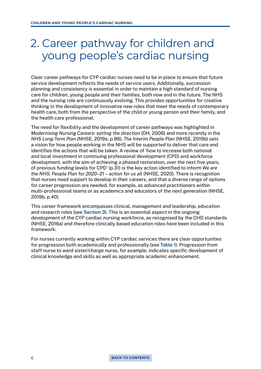## <span id="page-5-0"></span>2. Career pathway for children and young people's cardiac nursing

Clear career pathways for CYP cardiac nurses need to be in place to ensure that future service development reflects the needs of service users. Additionally, succession planning and consistency is essential in order to maintain a high standard of nursing care for children, young people and their families, both now and in the future. The NHS and the nursing role are continuously evolving. This provides opportunities for creative thinking in the development of innovative new roles that meet the needs of contemporary health care, both from the perspective of the child or young person and their family, and the health care professional.

The need for flexibility and the development of career pathways was highlighted in *Modernising Nursing Careers: setting the direction* (DH, 2006) and more recently in the *NHS Long-Term Plan* (NHSE, 2019a, p.86). *The Interim People Plan* (NHSE, 2019b) sets a vision for how people working in the NHS will be supported to deliver that care and identifies the actions that will be taken. A review of 'how to increase both national and local investment in continuing professional development (CPD) and workforce development, with the aim of achieving a phased restoration, over the next five years, of previous funding levels for CPD' (p.31) is the key action identified to inform *We are the NHS: People Plan for 2020–21 – action for us all* (NHSE, 2020). There is recognition that nurses need support to develop in their careers, and that a diverse range of options for career progression are needed, for example, as advanced practitioners within multi-professional teams or as academics and educators of the next generation (NHSE, 2019b, p.40).

This career framework encompasses clinical, management and leadership, education and research roles (see [Section 3\)](#page-10-0). This is an essential aspect in the ongoing development of the CYP cardiac nursing workforce, as recognised by the CHD standards (NHSE, 2016a) and therefore clinically based education roles have been included in this framework.

For nurses currently working within CYP cardiac services there are clear opportunities for progression both academically and professionally (see [Table 1\)](#page-6-0). Progression from staff nurse to ward sister/charge nurse, for example, indicates specific development of clinical knowledge and skills as well as appropriate academic enhancement.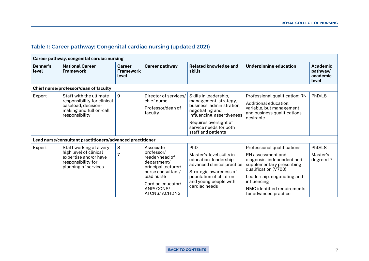#### <span id="page-6-0"></span>**Table 1: Career pathway: Congenital cardiac nursing (updated 2021)**

|                   | Career pathway, congenital cardiac nursing                                                                                 |                                            |                                                                                                                                                                              |                                                                                                                                                                                                       |                                                                                                                                                                                                                                            |                                           |
|-------------------|----------------------------------------------------------------------------------------------------------------------------|--------------------------------------------|------------------------------------------------------------------------------------------------------------------------------------------------------------------------------|-------------------------------------------------------------------------------------------------------------------------------------------------------------------------------------------------------|--------------------------------------------------------------------------------------------------------------------------------------------------------------------------------------------------------------------------------------------|-------------------------------------------|
| Benner's<br>level | <b>National Career</b><br><b>Framework</b>                                                                                 | <b>Career</b><br><b>Framework</b><br>level | <b>Career pathway</b>                                                                                                                                                        | <b>Related knowledge and</b><br>skills                                                                                                                                                                | <b>Underpinning education</b>                                                                                                                                                                                                              | Academic<br>pathway/<br>academic<br>level |
|                   | Chief nurse/professor/dean of faculty                                                                                      |                                            |                                                                                                                                                                              |                                                                                                                                                                                                       |                                                                                                                                                                                                                                            |                                           |
| Expert            | Staff with the ultimate<br>responsibility for clinical<br>caseload, decision-<br>making and full on-call<br>responsibility | 9                                          | Director of services/<br>chief nurse<br>Professor/dean of<br>faculty                                                                                                         | Skills in leadership,<br>management, strategy,<br>business, administration,<br>negotiating and<br>influencing, assertiveness<br>Requires oversight of<br>service needs for both<br>staff and patients | Professional qualification: RN<br>Additional education:<br>variable, but management<br>and business qualifications<br>desirable                                                                                                            | PhD/L8                                    |
|                   | Lead nurse/consultant practitioners/advanced practitioner                                                                  |                                            |                                                                                                                                                                              |                                                                                                                                                                                                       |                                                                                                                                                                                                                                            |                                           |
| Expert            | Staff working at a very<br>high level of clinical<br>expertise and/or have<br>responsibility for<br>planning of services   | 8<br>$\overline{7}$                        | Associate<br>professor/<br>reader/head of<br>department/<br>principal lecturer/<br>nurse consultant/<br>lead nurse<br>Cardiac educator/<br>ANP/CCNS/<br><b>ATCNS/ ACHDNS</b> | PhD<br>Master's-level skills in<br>education, leadership,<br>advanced clinical practice<br>Strategic awareness of<br>population of children<br>and young people with<br>cardiac needs                 | Professional qualifications:<br>RN assessment and<br>diagnosis, independent and<br>supplementary prescribing<br>qualification (V700)<br>Leadership, negotiating and<br>influencing<br>NMC identified requirements<br>for advanced practice | PhD/L8<br>Master's<br>degree/L7           |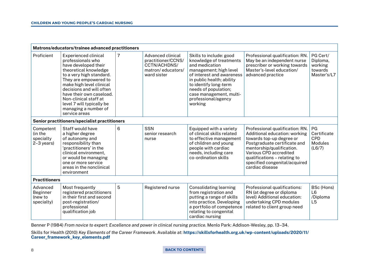|                                                                                                                                                                                                                                                                                                                                                         | Matrons/educators/trainee advanced practitioners                                                                                                                                                                           |   |                                                                                                    |                                                                                                                                                                                                                                                                        |                                                                                                                                                                                                                                                                         |                                                             |
|---------------------------------------------------------------------------------------------------------------------------------------------------------------------------------------------------------------------------------------------------------------------------------------------------------------------------------------------------------|----------------------------------------------------------------------------------------------------------------------------------------------------------------------------------------------------------------------------|---|----------------------------------------------------------------------------------------------------|------------------------------------------------------------------------------------------------------------------------------------------------------------------------------------------------------------------------------------------------------------------------|-------------------------------------------------------------------------------------------------------------------------------------------------------------------------------------------------------------------------------------------------------------------------|-------------------------------------------------------------|
| Proficient<br><b>Experienced clinical</b><br>professionals who<br>have developed their<br>theoretical knowledge<br>to a very high standard.<br>They are empowered to<br>make high level clinical<br>decisions and will often<br>have their own caseload.<br>Non-clinical staff at<br>level 7 will typically be<br>managing a number of<br>service areas |                                                                                                                                                                                                                            | 7 | <b>Advanced clinical</b><br>practitioner/CCNS/<br>CCTN/ACHDNS/<br>matron/educators/<br>ward sister | Skills to include: good<br>knowledge of treatments<br>and medication<br>management; high level<br>of interest and awareness<br>in public health; ability<br>to identify long-term<br>needs of population;<br>case management, multi-<br>professional/agency<br>working | Professional qualification: RN.<br>May be an independent nurse<br>prescriber or working towards<br>Master's-level education/<br>advanced practice                                                                                                                       | PG Cert/<br>Diploma,<br>working<br>towards<br>Master's/L7   |
|                                                                                                                                                                                                                                                                                                                                                         | Senior practitioners/specialist practitioners                                                                                                                                                                              |   |                                                                                                    |                                                                                                                                                                                                                                                                        |                                                                                                                                                                                                                                                                         |                                                             |
| Competent<br>(in the<br>specialty<br>$2-3$ years)                                                                                                                                                                                                                                                                                                       | Staff would have<br>a higher degree<br>of autonomy and<br>responsibility than<br>'practitioners' in the<br>clinical environment,<br>or would be managing<br>one or more service<br>areas in the nonclinical<br>environment | 6 | <b>SSN</b><br>senior research<br>nurse                                                             | Equipped with a variety<br>of clinical skills related<br>to effective management<br>of children and young<br>people with cardiac<br>needs, including care<br>co-ordination skills                                                                                      | Professional qualification: RN.<br>Additional education: working<br>towards top-up degree or<br>Postgraduate certificate and<br>mentorship/qualification.<br>Various CPD accredited<br>qualifications - relating to<br>specified congenital/acquired<br>cardiac disease | PG<br>Certificate<br><b>CPD</b><br><b>Modules</b><br>(L6/7) |
| <b>Practitioners</b>                                                                                                                                                                                                                                                                                                                                    |                                                                                                                                                                                                                            |   |                                                                                                    |                                                                                                                                                                                                                                                                        |                                                                                                                                                                                                                                                                         |                                                             |
| Advanced<br><b>Beginner</b><br>(new to<br>specialty)                                                                                                                                                                                                                                                                                                    | Most frequently<br>registered practitioners<br>in their first and second<br>post-registration/<br>professional<br>qualification job                                                                                        | 5 | Registered nurse                                                                                   | <b>Consolidating learning</b><br>from registration and<br>putting a range of skills<br>into practice. Developing<br>a portfolio of competence<br>relating to congenital<br>cardiac nursing                                                                             | Professional qualifications:<br>RN (at degree or diploma<br>level) Additional education:<br>undertaking CPD modules<br>related to client group need                                                                                                                     | BSc (Hons)<br>L6<br>/Diploma<br>L5                          |

Benner P (1984) *From novice to expert: Excellence and power in clinical nursing practice*. Menlo Park: Addison-Wesley, pp. 13–34.

Skills for Health (2010) *Key Elements of the Career Framework*. Available at: [https://skillsforhealth.org.uk/wp-content/uploads/2020/11/](https://skillsforhealth.org.uk/wp-content/uploads/2020/11/Career_framework_key_elements.pdf) [Career\\_framework\\_key\\_elements.pdf](https://skillsforhealth.org.uk/wp-content/uploads/2020/11/Career_framework_key_elements.pdf)

#### 8 **[BACK TO CONTENTS](#page-2-0)**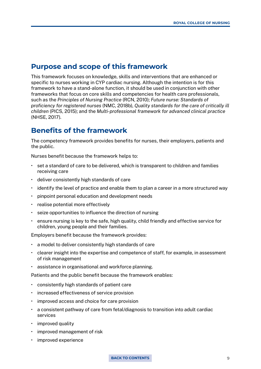#### <span id="page-8-0"></span>**Purpose and scope of this framework**

This framework focuses on knowledge, skills and interventions that are enhanced or specific to nurses working in CYP cardiac nursing. Although the intention is for this framework to have a stand-alone function, it should be used in conjunction with other frameworks that focus on core skills and competencies for health care professionals, such as the *Principles of Nursing Practice* (RCN, 2010); *Future nurse: Standards of proficiency for registered nurses* (NMC, 2018b), *Quality standards for the care of critically ill children* (PICS, 2015); and the *Multi-professional framework for advanced clinical practice*  (NHSE, 2017).

## **Benefits of the framework**

The competency framework provides benefits for nurses, their employers, patients and the public.

Nurses benefit because the framework helps to:

- set a standard of care to be delivered, which is transparent to children and families receiving care
- deliver consistently high standards of care
- identify the level of practice and enable them to plan a career in a more structured way
- pinpoint personal education and development needs
- realise potential more effectively
- seize opportunities to influence the direction of nursing
- ensure nursing is key to the safe, high quality, child friendly and effective service for children, young people and their families.

Employers benefit because the framework provides:

- a model to deliver consistently high standards of care
- clearer insight into the expertise and competence of staff, for example, in assessment of risk management
- assistance in organisational and workforce planning.

Patients and the public benefit because the framework enables:

- consistently high standards of patient care
- increased effectiveness of service provision
- improved access and choice for care provision
- a consistent pathway of care from fetal/diagnosis to transition into adult cardiac services
- improved quality
- improved management of risk
- improved experience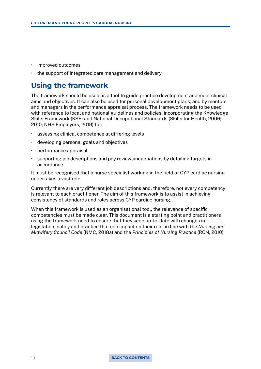- <span id="page-9-0"></span>• improved outcomes
- the support of integrated care management and delivery.

### **Using the framework**

The framework should be used as a tool to guide practice development and meet clinical aims and objectives. It can also be used for personal development plans, and by mentors and managers in the performance appraisal process. The framework needs to be used with reference to local and national guidelines and policies, incorporating the Knowledge Skills Framework (KSF) and National Occupational Standards (Skills for Health, 2006; 2010; NHS Employers, 2019) for:

- assessing clinical competence at differing levels
- developing personal goals and objectives
- performance appraisal
- supporting job descriptions and pay reviews/negotiations by detailing targets in accordance.

It must be recognised that a nurse specialist working in the field of CYP cardiac nursing undertakes a vast role.

Currently there are very different job descriptions and, therefore, not every competency is relevant to each practitioner. The aim of this framework is to assist in achieving consistency of standards and roles across CYP cardiac nursing.

When this framework is used as an organisational tool, the relevance of specific competencies must be made clear. This document is a starting point and practitioners using the framework need to ensure that they keep up-to-date with changes in legislation, policy and practice that can impact on their role, in line with the *Nursing and Midwifery Council Code* (NMC, 2018a) and the *Principles of Nursing Practice* (RCN, 2010).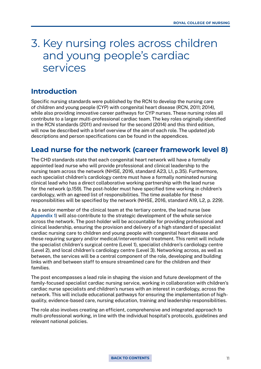## <span id="page-10-0"></span>3. Key nursing roles across children and young people's cardiac services

### **Introduction**

Specific nursing standards were published by the RCN to develop the nursing care of children and young people (CYP) with congenital heart disease (RCN, 2011; 2014), while also providing innovative career pathways for CYP nurses. These nursing roles all contribute to a larger multi-professional cardiac team. The key roles originally identified in the RCN standards (2011) and revised for the second (2014) and this third edition, will now be described with a brief overview of the aim of each role. The updated job descriptions and person specifications can be found in the appendices.

#### **Lead nurse for the network (career framework level 8)**

The CHD standards state that each congenital heart network will have a formally appointed lead nurse who will provide professional and clinical leadership to the nursing team across the network (NHSE, 2016, standard A23, L1, p.35). Furthermore, each specialist children's cardiology centre must have a formally nominated nursing clinical lead who has a direct collaborative working partnership with the lead nurse for the network (p.159). The post-holder must have specified time working in children's cardiology, with an agreed list of responsibilities. The time available for these responsibilities will be specified by the network (NHSE, 2016, standard A19, L2, p. 229).

As a senior member of the clinical team at the tertiary centre, the lead nurse (see [Appendix 1](#page-39-0)) will also contribute to the strategic development of the whole service across the network. The post-holder will be accountable for providing professional and clinical leadership, ensuring the provision and delivery of a high standard of specialist cardiac nursing care to children and young people with congenital heart disease and those requiring surgery and/or medical/interventional treatment. This remit will include the specialist children's surgical centre (Level 1), specialist children's cardiology centre (Level 2), and local children's cardiology centre (Level 3). Networking across, as well as between, the services will be a central component of the role, developing and building links with and between staff to ensure streamlined care for the children and their families.

The post encompasses a lead role in shaping the vision and future development of the family-focused specialist cardiac nursing service, working in collaboration with children's cardiac nurse specialists and children's nurses with an interest in cardiology, across the network. This will include educational pathways for ensuring the implementation of highquality, evidence-based care, nursing education, training and leadership responsibilities.

The role also involves creating an efficient, comprehensive and integrated approach to multi-professional working, in line with the individual hospital's protocols, guidelines and relevant national policies.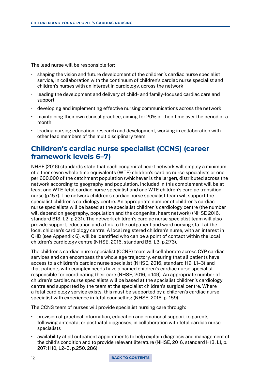<span id="page-11-0"></span>The lead nurse will be responsible for:

- shaping the vision and future development of the children's cardiac nurse specialist service, in collaboration with the continuum of children's cardiac nurse specialist and children's nurses with an interest in cardiology, across the network
- leading the development and delivery of child- and family-focused cardiac care and support
- developing and implementing effective nursing communications across the network
- maintaining their own clinical practice, aiming for 20% of their time over the period of a month
- leading nursing education, research and development, working in collaboration with other lead members of the multidisciplinary team.

## **Children's cardiac nurse specialist (CCNS) (career framework levels 6–7)**

NHSE (2016) standards state that each congenital heart network will employ a minimum of either seven whole time equivalents (WTE) children's cardiac nurse specialists or one per 600,000 of the catchment population (whichever is the larger), distributed across the network according to geography and population. Included in this complement will be at least one WTE fetal cardiac nurse specialist and one WTE children's cardiac transition nurse (p.157). The network children's cardiac nurse specialist team will support the specialist children's cardiology centre. An appropriate number of children's cardiac nurse specialists will be based at the specialist children's cardiology centre (the number will depend on geography, population and the congenital heart network) (NHSE 2016, standard B13, L2, p.231). The network children's cardiac nurse specialist team will also provide support, education and a link to the outpatient and ward nursing staff at the local children's cardiology centre. A local registered children's nurse, with an interest in CHD (see Appendix 6), will be identified who can be a point of contact within the local children's cardiology centre (NHSE, 2016, standard B5, L3, p.273).

The children's cardiac nurse specialist (CCNS) team will collaborate across CYP cardiac services and can encompass the whole age trajectory, ensuring that all patients have access to a children's cardiac nurse specialist (NHSE, 2016, standard H9, L1–3) and that patients with complex needs have a named children's cardiac nurse specialist responsible for coordinating their care (NHSE, 2016, p.149). An appropriate number of children's cardiac nurse specialists will be based at the specialist children's cardiology centre and supported by the team at the specialist children's surgical centre. Where a fetal cardiology service exists, this must be supported by a children's cardiac nurse specialist with experience in fetal counselling (NHSE, 2016, p. 159).

The CCNS team of nurses will provide specialist nursing care through:

- provision of practical information, education and emotional support to parents following antenatal or postnatal diagnoses, in collaboration with fetal cardiac nurse specialists
- availability at all outpatient appointments to help explain diagnosis and management of the child's condition and to provide relevant literature (NHSE, 2016, standard H13, L1, p. 207; H10, L2–3, p.250, 286)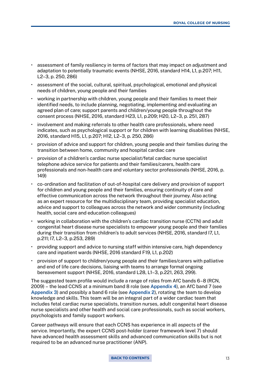- assessment of family resiliency in terms of factors that may impact on adjustment and adaptation to potentially traumatic events (NHSE, 2016, standard H14, L1, p.207; H11, L2–3, p. 250, 286)
- assessment of the social, cultural, spiritual, psychological, emotional and physical needs of children, young people and their families
- working in partnership with children, young people and their families to meet their identified needs, to include planning, negotiating, implementing and evaluating an agreed plan of care; support parents and children/young people throughout the consent process (NHSE, 2016, standard H23, L1, p.209; H20, L2–3, p. 251, 287)
- involvement and making referrals to other health care professionals, where need indicates, such as psychological support or for children with learning disabilities (NHSE, 2016, standard H15, L1, p.207; H12, L2–3, p. 250, 286)
- provision of advice and support for children, young people and their families during the transition between home, community and hospital cardiac care
- provision of a children's cardiac nurse specialist/fetal cardiac nurse specialist telephone advice service for patients and their families/carers, health care professionals and non-health care and voluntary sector professionals (NHSE, 2016, p. 149)
- co-ordination and facilitation of out-of-hospital care delivery and provision of support for children and young people and their families, ensuring continuity of care and effective communication across the network throughout their journey. Also acting as an expert resource for the multidisciplinary team, providing specialist education, advice and support to colleagues across the network and wider community (including health, social care and education colleagues)
- working in collaboration with the children's cardiac transition nurse (CCTN) and adult congenital heart disease nurse specialists to empower young people and their families during their transition from children's to adult services (NHSE, 2016, standard I7, L1, p.211; I7, L2–3, p.253, 289)
- providing support and advice to nursing staff within intensive care, high dependency care and inpatient wards (NHSE, 2016 standard F19, L1, p.202)
- provision of support to children/young people and their families/carers with palliative and end of life care decisions, liaising with teams to arrange formal ongoing bereavement support (NHSE, 2016, standard L28, L1–3, p.221, 263, 299).

The suggested team profile would include a range of roles from AfC bands 6–8 (RCN, 2009) – the lead CCNS at a minimum band 8 role (see [Appendix 4](#page-55-0)), an AfC band 7 (see [Appendix 3\)](#page-49-0) and possibly a band 6 role (see [Appendix 2\)](#page-44-0), rotating the team to develop knowledge and skills. This team will be an integral part of a wider cardiac team that includes fetal cardiac nurse specialists, transition nurses, adult congenital heart disease nurse specialists and other health and social care professionals, such as social workers, psychologists and family support workers.

Career pathways will ensure that each CCNS has experience in all aspects of the service. Importantly, the expert CCNS post-holder (career framework level 7) should have advanced health assessment skills and advanced communication skills but is not required to be an advanced nurse practitioner (ANP).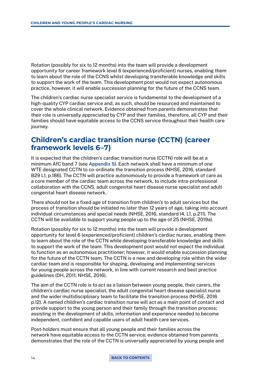<span id="page-13-0"></span>Rotation (possibly for six to 12 months) into the team will provide a development opportunity for career framework level 6 (experienced/proficient) nurses, enabling them to learn about the role of the CCNS whilst developing transferable knowledge and skills to support the work of the team. This development post would not expect autonomous practice, however, it will enable succession planning for the future of the CCNS team.

The children's cardiac nurse specialist service is fundamental to the development of a high-quality CYP cardiac service and, as such, should be resourced and maintained to cover the whole clinical network. Evidence obtained from parents demonstrates that their role is universally appreciated by CYP and their families, therefore, all CYP and their families should have equitable access to the CCNS service throughout their health care journey.

## **Children's cardiac transition nurse (CCTN) (career framework levels 6–7)**

It is expected that the children's cardiac transition nurse (CCTN) role will be at a minimum AfC band 7 (see [Appendix 5\)](#page-62-0). Each network shall have a minimum of one WTE designated CCTN to co-ordinate the transition process (NHSE, 2016, standard B29 L1, p.186). The CCTN will practice autonomously to provide a framework of care as a core member of the cardiac team across the network, to include intra-professional collaboration with the CCNS, adult congenital heart disease nurse specialist and adult congenital heart disease network.

There should not be a fixed age of transition from children's to adult services but the process of transition should be initiated no later than 12 years of age, taking into account individual circumstances and special needs (NHSE, 2016, standard I4, L1, p.211). The CCTN will be available to support young people up to the age of 25 (NHSE, 2019a).

Rotation (possibly for six to 12 months) into the team will provide a development opportunity for level 6 (experienced/proficient) children's cardiac nurses, enabling them to learn about the role of the CCTN while developing transferable knowledge and skills to support the work of the team. This development post would not expect the individual to function as an autonomous practitioner; however, it would enable succession planning for the future of the CCTN team. The CCTN is a new and developing role within the wider cardiac team and is responsible for shaping, developing and implementing services for young people across the network, in line with current research and best practice guidelines (DH, 2011; NHSE, 2016).

The aim of the CCTN role is to act as a liaison between young people, their carers, the children's cardiac nurse specialist, the adult congenital heart disease specialist nurse and the wider multidisciplinary team to facilitate the transition process (NHSE, 2016 p.12). A named children's cardiac transition nurse will act as a main point of contact and provide support to the young person and their family through the transition process; assisting in the development of skills, information and experience needed to become independent, confident and capable users of adult health care services.

Post-holders must ensure that all young people and their families across the network have equitable access to the CCTN service; evidence obtained from parents demonstrates that the role of the CCTN is universally appreciated by young people and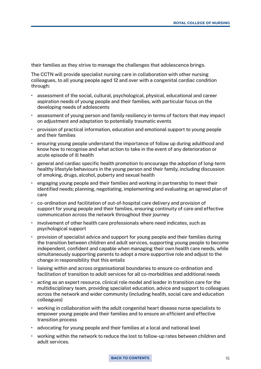their families as they strive to manage the challenges that adolescence brings.

The CCTN will provide specialist nursing care in collaboration with other nursing colleagues, to all young people aged 12 and over with a congenital cardiac condition through:

- assessment of the social, cultural, psychological, physical, educational and career aspiration needs of young people and their families, with particular focus on the developing needs of adolescents
- assessment of young person and family resiliency in terms of factors that may impact on adjustment and adaptation to potentially traumatic events
- provision of practical information, education and emotional support to young people and their families
- ensuring young people understand the importance of follow up during adulthood and know how to recognise and what action to take in the event of any deterioration or acute episode of ill health
- general and cardiac specific health promotion to encourage the adoption of long-term healthy lifestyle behaviours in the young person and their family, including discussion of smoking, drugs, alcohol, puberty and sexual health
- engaging young people and their families and working in partnership to meet their identified needs; planning, negotiating, implementing and evaluating an agreed plan of care
- co-ordination and facilitation of out-of-hospital care delivery and provision of support for young people and their families, ensuring continuity of care and effective communication across the network throughout their journey
- involvement of other health care professionals where need indicates, such as psychological support
- provision of specialist advice and support for young people and their families during the transition between children and adult services, supporting young people to become independent, confident and capable when managing their own health care needs, while simultaneously supporting parents to adopt a more supportive role and adjust to the change in responsibility that this entails
- liaising within and across organisational boundaries to ensure co-ordination and facilitation of transition to adult services for all co-morbidities and additional needs
- acting as an expert resource, clinical role model and leader in transition care for the multidisciplinary team, providing specialist education, advice and support to colleagues across the network and wider community (including health, social care and education colleagues)
- working in collaboration with the adult congenital heart disease nurse specialists to empower young people and their families and to ensure an efficient and effective transition process
- advocating for young people and their families at a local and national level
- working within the network to reduce the lost to follow-up rates between children and adult services.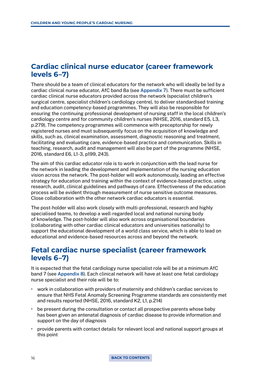## <span id="page-15-0"></span>**Cardiac clinical nurse educator (career framework levels 6–7)**

There should be a team of clinical educators for the network who will ideally be led by a cardiac clinical nurse educator, AfC band 8a (see [Appendix 7](#page-73-0)). There must be sufficient cardiac clinical nurse educators provided across the network (specialist children's surgical centre, specialist children's cardiology centre), to deliver standardised training and education competency-based programmes. They will also be responsible for ensuring the continuing professional development of nursing staff in the local children's cardiology centre and for community children's nurses (NHSE, 2016, standard E5, L3, p.279). The competency programmes will commence with preceptorship for newly registered nurses and must subsequently focus on the acquisition of knowledge and skills, such as, clinical examination, assessment, diagnostic reasoning and treatment, facilitating and evaluating care, evidence-based practice and communication. Skills in teaching, research, audit and management will also be part of the programme (NHSE, 2016, standard E6, L1-3, p199, 243).

The aim of this cardiac educator role is to work in conjunction with the lead nurse for the network in leading the development and implementation of the nursing education vision across the network. The post-holder will work autonomously, leading an effective strategy for education and training within the context of evidence-based practice, using research, audit, clinical guidelines and pathways of care. Effectiveness of the education process will be evident through measurement of nurse sensitive outcome measures. Close collaboration with the other network cardiac educators is essential.

The post-holder will also work closely with multi-professional, research and highly specialised teams, to develop a well-regarded local and national nursing body of knowledge. The post-holder will also work across organisational boundaries (collaborating with other cardiac clinical educators and universities nationally) to support the educational development of a world class service, which is able to lead on educational and evidence-based resources across and beyond the network.

### **Fetal cardiac nurse specialist (career framework levels 6–7)**

It is expected that the fetal cardiology nurse specialist role will be at a minimum AfC band 7 (see [Appendix 8\)](#page-80-0). Each clinical network will have at least one fetal cardiology nurse specialist and their role will be to:

- work in collaboration with providers of maternity and children's cardiac services to ensure that NHS Fetal Anomaly Screening Programme standards are consistently met and results reported (NHSE, 2016, standard K2, L1, p.214)
- be present during the consultation or contact all prospective parents whose baby has been given an antenatal diagnosis of cardiac disease to provide information and support on the day of diagnosis
- provide parents with contact details for relevant local and national support groups at this point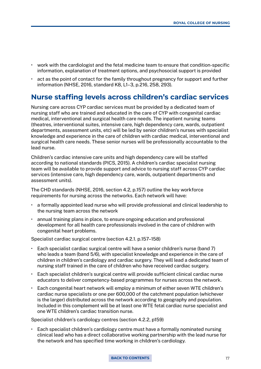- <span id="page-16-0"></span>• work with the cardiologist and the fetal medicine team to ensure that condition-specific information, explanation of treatment options, and psychosocial support is provided
- act as the point of contact for the family throughout pregnancy for support and further information (NHSE, 2016, standard K8, L1–3, p.216, 258, 293).

#### **Nurse staffing levels across children's cardiac services**

Nursing care across CYP cardiac services must be provided by a dedicated team of nursing staff who are trained and educated in the care of CYP with congenital cardiac medical, interventional and surgical health care needs. The inpatient nursing teams (theatres, interventional suites, intensive care, high dependency care, wards, outpatient departments, assessment units, etc) will be led by senior children's nurses with specialist knowledge and experience in the care of children with cardiac medical, interventional and surgical health care needs. These senior nurses will be professionally accountable to the lead nurse.

Children's cardiac intensive care units and high dependency care will be staffed according to national standards (PICS, 2015). A children's cardiac specialist nursing team will be available to provide support and advice to nursing staff across CYP cardiac services (intensive care, high dependency care, wards, outpatient departments and assessment units).

The CHD standards (NHSE, 2016, section 4.2, p.157) outline the key workforce requirements for nursing across the networks. Each network will have:

- a formally appointed lead nurse who will provide professional and clinical leadership to the nursing team across the network
- annual training plans in place, to ensure ongoing education and professional development for all health care professionals involved in the care of children with congenital heart problems.

Specialist cardiac surgical centre (section 4.2.1. p.157–158)

- Each specialist cardiac surgical centre will have a senior children's nurse (band 7) who leads a team (band 5/6), with specialist knowledge and experience in the care of children in children's cardiology and cardiac surgery. They will lead a dedicated team of nursing staff trained in the care of children who have received cardiac surgery.
- Each specialist children's surgical centre will provide sufficient clinical cardiac nurse educators to deliver competency-based programmes for nurses across the network.
- Each congenital heart network will employ a minimum of either seven WTE children's cardiac nurse specialists or one per 600,000 of the catchment population (whichever is the larger) distributed across the network according to geography and population. Included in this complement will be at least one WTE fetal cardiac nurse specialist and one WTE children's cardiac transition nurse.

Specialist children's cardiology centres (section 4.2.2, p159)

• Each specialist children's cardiology centre must have a formally nominated nursing clinical lead who has a direct collaborative working partnership with the lead nurse for the network and has specified time working in children's cardiology.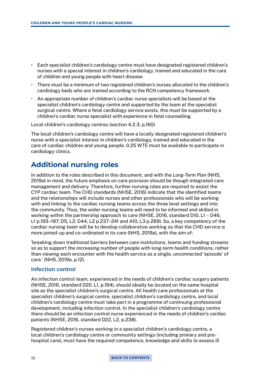- <span id="page-17-0"></span>• Each specialist children's cardiology centre must have designated registered children's nurses with a special interest in children's cardiology, trained and educated in the care of children and young people with heart disease.
- There must be a minimum of two registered children's nurses allocated to the children's cardiology beds who are trained according to the RCN competency framework.
- An appropriate number of children's cardiac nurse specialists will be based at the specialist children's cardiology centre and supported by the team at the specialist surgical centre. Where a fetal cardiology service exists, this must be supported by a children's cardiac nurse specialist with experience in fetal counselling.

Local children's cardiology centres (section 4.2.3, p.160)

The local children's cardiology centre will have a locally designated registered children's nurse with a specialist interest in children's cardiology, trained and educated in the care of cardiac children and young people. 0.25 WTE must be available to participate in cardiology clinics.

### **Additional nursing roles**

In addition to the roles described in this document, and with the *Long-Term Plan* (NHS, 2019a) in mind, the future emphasis on care provision should be though integrated care management and delivery. Therefore, further nursing roles are required to assist the CYP cardiac team. The CHD standards (NHSE, 2016) indicate that the identified teams and the relationships will include nurses and other professionals who will be working with and linking to the cardiac nursing teams across the three level settings and into the community. Thus, the wider nursing teams will need to be informed and skilled in working within the partnership approach to care (NHSE, 2016, standard D10, L1 – D46, L1 p.193–197; D5, L2; D44, L2 p.237–241 and A10, L3 p.269). So, a key competency of the cardiac nursing team will be to develop collaborative working so that the CHD service is more joined-up and co-ordinated in its care (NHS, 2019a), with the aim of:

'breaking down traditional barriers between care institutions, teams and funding streams so as to support the increasing number of people with long-term health conditions, rather than viewing each encounter with the health service as a single, unconnected 'episode' of care.' (NHS, 2019a. p.12).

#### **Infection control**

An infection control team, experienced in the needs of children's cardiac surgery patients (NHSE, 2016, standard D20, L1, p.194), should ideally be located on the same hospital site as the specialist children's surgical centre. All health care professionals at the specialist children's surgical centre, specialist children's cardiology centre, and local children's cardiology centre must take part in a programme of continuing professional development, including infection control. In the specialist children's cardiology centre there should be an infection control nurse experienced in the needs of children's cardiac patients (NHSE, 2016, standard D22, L2, p.238).

Registered children's nurses working in a specialist children's cardiology centre, a local children's cardiology centre or community settings (including primary and prehospital care), must have the required competence, knowledge and skills to assess ill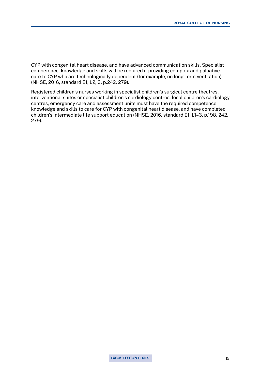CYP with congenital heart disease, and have advanced communication skills. Specialist competence, knowledge and skills will be required if providing complex and palliative care to CYP who are technologically dependent (for example, on long-term ventilation) (NHSE, 2016, standard E1, L2, 3, p.242, 279).

Registered children's nurses working in specialist children's surgical centre theatres, interventional suites or specialist children's cardiology centres, local children's cardiology centres, emergency care and assessment units must have the required competence, knowledge and skills to care for CYP with congenital heart disease, and have completed children's intermediate life support education (NHSE, 2016, standard E1, L1–3, p.198, 242, 279).

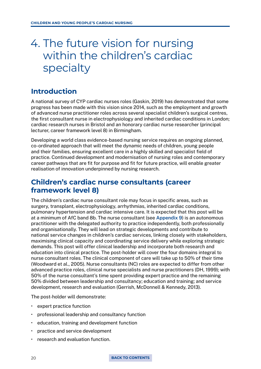## <span id="page-19-0"></span>4. The future vision for nursing within the children's cardiac specialty

## **Introduction**

A national survey of CYP cardiac nurses roles (Gaskin, 2019) has demonstrated that some progress has been made with this vision since 2014, such as the employment and growth of advanced nurse practitioner roles across several specialist children's surgical centres, the first consultant nurse in electrophysiology and inherited cardiac conditions in London; cardiac research nurses in Bristol and an honorary cardiac nurse researcher (principal lecturer, career framework level 8) in Birmingham.

Developing a world class evidence-based nursing service requires an ongoing planned, co-ordinated approach that will meet the dynamic needs of children, young people and their families, ensuring excellent care in a highly skilled and specialist field of practice. Continued development and modernisation of nursing roles and contemporary career pathways that are fit for purpose and fit for future practice, will enable greater realisation of innovation underpinned by nursing research.

## **Children's cardiac nurse consultants (career framework level 8)**

The children's cardiac nurse consultant role may focus in specific areas, such as surgery, transplant, electrophysiology, arrhythmias, inherited cardiac conditions, pulmonary hypertension and cardiac intensive care. It is expected that this post will be at a minimum of AfC band 8b. The nurse consultant (see [Appendix 9](#page-84-0)) is an autonomous practitioner with the delegated authority to practice independently, both professionally and organisationally. They will lead on strategic developments and contribute to national service changes in children's cardiac services, linking closely with stakeholders, maximising clinical capacity and coordinating service delivery while exploring strategic demands. This post will offer clinical leadership and incorporate both research and education into clinical practice. The post-holder will cover the four domains integral to nurse consultant roles. The clinical component of care will take up to 50% of their time (Woodward et al., 2005). Nurse consultants (NC) roles are expected to differ from other advanced practice roles, clinical nurse specialists and nurse practitioners (DH, 1999); with 50% of the nurse consultant's time spent providing expert practice and the remaining 50% divided between leadership and consultancy; education and training; and service development, research and evaluation (Gerrish, McDonnell & Kennedy, 2013).

The post-holder will demonstrate:

- expert practice function
- professional leadership and consultancy function
- education, training and development function
- practice and service development
- research and evaluation function.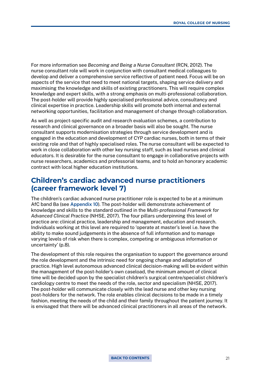<span id="page-20-0"></span>For more information see *Becoming and Being a Nurse Consultant* (RCN, 2012). The nurse consultant role will work in conjunction with consultant medical colleagues to develop and deliver a comprehensive service reflective of patient need. Focus will be on aspects of the service that need to meet national targets, shaping service delivery and maximising the knowledge and skills of existing practitioners. This will require complex knowledge and expert skills, with a strong emphasis on multi-professional collaboration. The post-holder will provide highly specialised professional advice, consultancy and clinical expertise in practice. Leadership skills will promote both internal and external networking opportunities, facilitation and management of change through collaboration.

As well as project-specific audit and research evaluation schemes, a contribution to research and clinical governance on a broader basis will also be sought. The nurse consultant supports modernisation strategies through service development and is engaged in the education and development of CYP cardiac nurses, both in terms of their existing role and that of highly specialised roles. The nurse consultant will be expected to work in close collaboration with other key nursing staff, such as lead nurses and clinical educators. It is desirable for the nurse consultant to engage in collaborative projects with nurse researchers, academics and professorial teams, and to hold an honorary academic contract with local higher education institutions.

#### **Children's cardiac advanced nurse practitioners (career framework level 7)**

The children's cardiac advanced nurse practitioner role is expected to be at a minimum AfC band 8a (see [Appendix 10\)](#page-90-0). The post-holder will demonstrate achievement of knowledge and skills to the standard outlined in the *Multi-professional Framework for Advanced Clinical Practice* (NHSE, 2017). The four pillars underpinning this level of practice are: clinical practice, leadership and management, education and research. Individuals working at this level are required to 'operate at master's level i.e. have the ability to make sound judgements in the absence of full information and to manage varying levels of risk when there is complex, competing or ambiguous information or uncertainty' (p.8).

The development of this role requires the organisation to support the governance around the role development and the intrinsic need for ongoing change and adaptation of practice. High level autonomous advanced clinical decision-making will be evident within the management of the post-holder's own caseload, the minimum amount of clinical time will be decided upon by the specialist children's surgical centre/specialist children's cardiology centre to meet the needs of the role, sector and specialism (NHSE, 2017). The post-holder will communicate closely with the lead nurse and other key nursing post-holders for the network. The role enables clinical decisions to be made in a timely fashion, meeting the needs of the child and their family throughout the patient journey. It is envisaged that there will be advanced clinical practitioners in all areas of the network.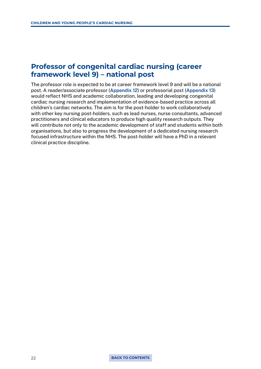### <span id="page-21-0"></span>**Professor of congenital cardiac nursing (career framework level 9) – national post**

The professor role is expected to be at career framework level 9 and will be a national post. A reader/associate professor [\(Appendix 12](#page-102-0)) or professorial post [\(Appendix 13](#page-106-0)) would reflect NHS and academic collaboration, leading and developing congenital cardiac nursing research and implementation of evidence-based practice across all children's cardiac networks. The aim is for the post-holder to work collaboratively with other key nursing post-holders, such as lead nurses, nurse consultants, advanced practitioners and clinical educators to produce high quality research outputs. They will contribute not only to the academic development of staff and students within both organisations, but also to progress the development of a dedicated nursing research focused infrastructure within the NHS. The post-holder will have a PhD in a relevant clinical practice discipline.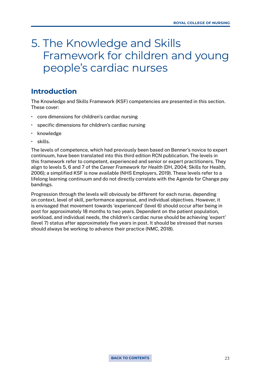## <span id="page-22-0"></span>5. The Knowledge and Skills Framework for children and young people's cardiac nurses

## **Introduction**

The Knowledge and Skills Framework (KSF) competencies are presented in this section. These cover:

- core dimensions for children's cardiac nursing
- specific dimensions for children's cardiac nursing
- knowledge
- skills.

The levels of competence, which had previously been based on Benner's novice to expert continuum, have been translated into this third edition RCN publication. The levels in this framework refer to competent, experienced and senior or expert practitioners. They align to levels 5, 6 and 7 of the *Career Framework for Health* (DH, 2004; Skills for Health, 2006); a simplified KSF is now available (NHS Employers, 2019). These levels refer to a lifelong learning continuum and do not directly correlate with the Agenda for Change pay bandings.

Progression through the levels will obviously be different for each nurse, depending on context, level of skill, performance appraisal, and individual objectives. However, it is envisaged that movement towards 'experienced' (level 6) should occur after being in post for approximately 18 months to two years. Dependent on the patient population, workload, and individual needs, the children's cardiac nurse should be achieving 'expert' (level 7) status after approximately five years in post. It should be stressed that nurses should always be working to advance their practice (NMC, 2018).

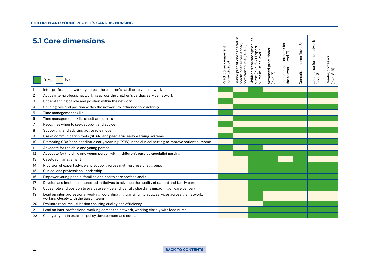|                         | <b>5.1 Core dimensions</b><br>No<br>Yes                                                                                                     | Practitioner competent<br>nurse (level 5) | specialist<br>ioner experienced/<br>ent nurse (level 6)<br>(level<br>practitioner<br>Senior practitione<br>practitioner expe<br>proficient nurse ( | Children's cardiac specialist<br>nurse (level 6-7) Expert<br>Nurse must be level 7 | Advanced practitioner<br>(level 7) | Lead clinical educator for<br>the network (level 7) | Consultant nurse (level 8) | nurse for the network<br>. 8)<br>level.<br>(level. | Reader/professor<br>(level 8-9) |
|-------------------------|---------------------------------------------------------------------------------------------------------------------------------------------|-------------------------------------------|----------------------------------------------------------------------------------------------------------------------------------------------------|------------------------------------------------------------------------------------|------------------------------------|-----------------------------------------------------|----------------------------|----------------------------------------------------|---------------------------------|
|                         | Inter-professional working across the children's cardiac service network                                                                    |                                           |                                                                                                                                                    |                                                                                    |                                    |                                                     |                            |                                                    |                                 |
| $\overline{\mathbf{c}}$ | Active inter-professional working across the children's cardiac service network                                                             |                                           |                                                                                                                                                    |                                                                                    |                                    |                                                     |                            |                                                    |                                 |
| 3                       | Understanding of role and position within the network                                                                                       |                                           |                                                                                                                                                    |                                                                                    |                                    |                                                     |                            |                                                    |                                 |
| 4                       | Utilising role and position within the network to influence care delivery                                                                   |                                           |                                                                                                                                                    |                                                                                    |                                    |                                                     |                            |                                                    |                                 |
| $\mathbf 5$             | Time management skills                                                                                                                      |                                           |                                                                                                                                                    |                                                                                    |                                    |                                                     |                            |                                                    |                                 |
| 6                       | Time management skills of self and others                                                                                                   |                                           |                                                                                                                                                    |                                                                                    |                                    |                                                     |                            |                                                    |                                 |
| $\overline{7}$          | Recognise when to seek support and advice                                                                                                   |                                           |                                                                                                                                                    |                                                                                    |                                    |                                                     |                            |                                                    |                                 |
| 8                       | Supporting and advising active role model                                                                                                   |                                           |                                                                                                                                                    |                                                                                    |                                    |                                                     |                            |                                                    |                                 |
| 9                       | Use of communication tools (SBAR) and paediatric early warning systems                                                                      |                                           |                                                                                                                                                    |                                                                                    |                                    |                                                     |                            |                                                    |                                 |
| 10                      | Promoting SBAR and paediatric early warning (PEW) in the clinical setting to improve patient outcome                                        |                                           |                                                                                                                                                    |                                                                                    |                                    |                                                     |                            |                                                    |                                 |
| 11                      | Advocate for the child and young person                                                                                                     |                                           |                                                                                                                                                    |                                                                                    |                                    |                                                     |                            |                                                    |                                 |
| 12                      | Advocate for the child and young person within children's cardiac specialist nursing                                                        |                                           |                                                                                                                                                    |                                                                                    |                                    |                                                     |                            |                                                    |                                 |
| 13                      | Caseload management                                                                                                                         |                                           |                                                                                                                                                    |                                                                                    |                                    |                                                     |                            |                                                    |                                 |
| 14                      | Provision of expert advice and support across multi-professional groups                                                                     |                                           |                                                                                                                                                    |                                                                                    |                                    |                                                     |                            |                                                    |                                 |
| 15                      | Clinical and professional leadership                                                                                                        |                                           |                                                                                                                                                    |                                                                                    |                                    |                                                     |                            |                                                    |                                 |
| 16                      | Empower young people, families and health care professionals                                                                                |                                           |                                                                                                                                                    |                                                                                    |                                    |                                                     |                            |                                                    |                                 |
| 17                      | Develop and implement nurse led initiatives to advance the quality of patient and family care                                               |                                           |                                                                                                                                                    |                                                                                    |                                    |                                                     |                            |                                                    |                                 |
| 18                      | Utilise role and position to evaluate service and identify shortfalls impacting on care delivery                                            |                                           |                                                                                                                                                    |                                                                                    |                                    |                                                     |                            |                                                    |                                 |
| 19                      | Lead on inter-professional working, co-ordinating transition to adult services across the network,<br>working closely with the liaison team |                                           |                                                                                                                                                    |                                                                                    |                                    |                                                     |                            |                                                    |                                 |
| 20                      | Evaluate resource utilisation ensuring quality and efficiency                                                                               |                                           |                                                                                                                                                    |                                                                                    |                                    |                                                     |                            |                                                    |                                 |
| 21                      | Lead on inter-professional working across the network, working closely with lead nurse                                                      |                                           |                                                                                                                                                    |                                                                                    |                                    |                                                     |                            |                                                    |                                 |
| 22                      | Change agent in practice, policy development and education                                                                                  |                                           |                                                                                                                                                    |                                                                                    |                                    |                                                     |                            |                                                    |                                 |

#### 24 **[BACK TO CONTENTS](#page-2-0)**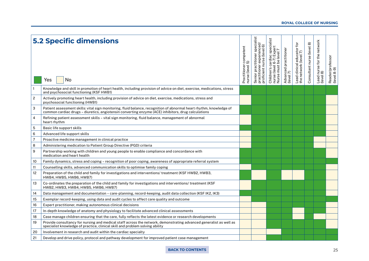#### **ROYAL COLLEGE OF NURSING**

|                | <b>5.2 Specific dimensions</b><br>No<br>Yes                                                                                                                                                                                | Practitioner competent<br>nurse (level 5) | specialist<br>practitioner experienced/<br>proficient nurse (level 6)<br>practitioner<br>Senior | s cardiac specialist<br>el 6-7) Expert<br>st be level 7<br>nurse (level 6-7) Exp<br>Nurse must be level<br>Children's | Advanced practitioner<br>(level 7) | l educator for<br>(level 7)<br>(level<br>ead clinical<br>the network | Consultant nurse (level 8) | Lead nurse for the network<br>(level 8) | Reader/professor<br>(level 8-9) |
|----------------|----------------------------------------------------------------------------------------------------------------------------------------------------------------------------------------------------------------------------|-------------------------------------------|-------------------------------------------------------------------------------------------------|-----------------------------------------------------------------------------------------------------------------------|------------------------------------|----------------------------------------------------------------------|----------------------------|-----------------------------------------|---------------------------------|
|                | Knowledge and skill in promotion of heart health, including provision of advice on diet, exercise, medications, stress<br>and psychosocial functioning (KSF HWB1)                                                          |                                           |                                                                                                 |                                                                                                                       |                                    |                                                                      |                            |                                         |                                 |
| $\overline{c}$ | Actively promoting heart health, including provision of advice on diet, exercise, medications, stress and<br>psychosocial functioning (HWB1)                                                                               |                                           |                                                                                                 |                                                                                                                       |                                    |                                                                      |                            |                                         |                                 |
| 3              | Patient assessment skills: vital sign monitoring, fluid balance, recognition of abnormal heart rhythm, knowledge of<br>common cardiac drugs - diuretics, angiotensin converting enzyme (ACE) inhibitors, drug calculations |                                           |                                                                                                 |                                                                                                                       |                                    |                                                                      |                            |                                         |                                 |
| 4              | Refining patient assessment skills - vital sign monitoring, fluid balance, management of abnormal<br>heart rhythm                                                                                                          |                                           |                                                                                                 |                                                                                                                       |                                    |                                                                      |                            |                                         |                                 |
| $\mathbf 5$    | Basic life support skills                                                                                                                                                                                                  |                                           |                                                                                                 |                                                                                                                       |                                    |                                                                      |                            |                                         |                                 |
| 6              | Advanced life support skills                                                                                                                                                                                               |                                           |                                                                                                 |                                                                                                                       |                                    |                                                                      |                            |                                         |                                 |
| $\overline{7}$ | Proactive medicine management in clinical practice                                                                                                                                                                         |                                           |                                                                                                 |                                                                                                                       |                                    |                                                                      |                            |                                         |                                 |
| 8              | Administering medication to Patient Group Directive (PGD) criteria                                                                                                                                                         |                                           |                                                                                                 |                                                                                                                       |                                    |                                                                      |                            |                                         |                                 |
| 9              | Partnership working with children and young people to enable compliance and concordance with<br>medication and heart health                                                                                                |                                           |                                                                                                 |                                                                                                                       |                                    |                                                                      |                            |                                         |                                 |
| 10             | Family dynamics, stress and coping - recognition of poor coping, awareness of appropriate referral system                                                                                                                  |                                           |                                                                                                 |                                                                                                                       |                                    |                                                                      |                            |                                         |                                 |
| 11             | Counselling skills, advanced communication skills to optimise family coping                                                                                                                                                |                                           |                                                                                                 |                                                                                                                       |                                    |                                                                      |                            |                                         |                                 |
| 12             | Preparation of the child and family for investigations and interventions/ treatment (KSF HWB2, HWB3,<br>HWB4, HWB5, HWB6, HWB7)                                                                                            |                                           |                                                                                                 |                                                                                                                       |                                    |                                                                      |                            |                                         |                                 |
| 13             | Co-ordinates the preparation of the child and family for investigations and interventions/ treatment (KSF<br>HWB2, HWB3, HWB4, HWB5, HWB6, HWB7)                                                                           |                                           |                                                                                                 |                                                                                                                       |                                    |                                                                      |                            |                                         |                                 |
| 14             | Data management and documentation - care-planning, record-keeping, audit data collection (KSF IK2, IK3)                                                                                                                    |                                           |                                                                                                 |                                                                                                                       |                                    |                                                                      |                            |                                         |                                 |
| 15             | Exemplar record-keeping, using data and audit cycles to affect care quality and outcome                                                                                                                                    |                                           |                                                                                                 |                                                                                                                       |                                    |                                                                      |                            |                                         |                                 |
| 16             | Expert practitioner, making autonomous clinical decisions                                                                                                                                                                  |                                           |                                                                                                 |                                                                                                                       |                                    |                                                                      |                            |                                         |                                 |
| 17             | In-depth knowledge of anatomy and physiology to facilitate advanced clinical assessments                                                                                                                                   |                                           |                                                                                                 |                                                                                                                       |                                    |                                                                      |                            |                                         |                                 |
| 18             | Case manage children ensuring that the care, fully reflects the latest evidence or research developments                                                                                                                   |                                           |                                                                                                 |                                                                                                                       |                                    |                                                                      |                            |                                         |                                 |
| 19             | Provide consultancy for nursing and medical staff across the network, demonstrating advanced generalist as well as<br>specialist knowledge of practice, clinical skill and problem solving ability                         |                                           |                                                                                                 |                                                                                                                       |                                    |                                                                      |                            |                                         |                                 |
| 20             | Involvement in research and audit within the cardiac specialty                                                                                                                                                             |                                           |                                                                                                 |                                                                                                                       |                                    |                                                                      |                            |                                         |                                 |
| 21             | Develop and drive policy, protocol and pathway development for improved patient case management                                                                                                                            |                                           |                                                                                                 |                                                                                                                       |                                    |                                                                      |                            |                                         |                                 |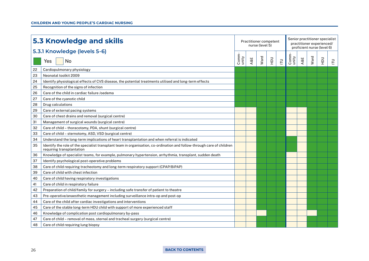|    | <b>5.3 Knowledge and skills</b>                                                                                                                     |               |     | Practitioner competent<br>nurse (level 5) |             |                |                |     |      | Senior practitioner specialist<br>practitioner experienced/<br>proficient nurse (level 6) |       |
|----|-----------------------------------------------------------------------------------------------------------------------------------------------------|---------------|-----|-------------------------------------------|-------------|----------------|----------------|-----|------|-------------------------------------------------------------------------------------------|-------|
|    | 5.3.1 Knowledge (levels 5-6)                                                                                                                        |               |     |                                           |             |                |                |     |      |                                                                                           |       |
|    | No<br>Yes                                                                                                                                           | Comm<br>unity | A&E | Ward                                      | $rac{1}{2}$ | $\overline{E}$ | Comm-<br>unity | A&E | Ward | $\frac{1}{2}$                                                                             | $\Xi$ |
| 22 | Cardiopulmonary physiology                                                                                                                          |               |     |                                           |             |                |                |     |      |                                                                                           |       |
| 23 | Neonatal toolkit 2009                                                                                                                               |               |     |                                           |             |                |                |     |      |                                                                                           |       |
| 24 | Identify physiological effects of CVS disease, the potential treatments utilised and long-term effects                                              |               |     |                                           |             |                |                |     |      |                                                                                           |       |
| 25 | Recognition of the signs of infection                                                                                                               |               |     |                                           |             |                |                |     |      |                                                                                           |       |
| 26 | Care of the child in cardiac failure /oedema                                                                                                        |               |     |                                           |             |                |                |     |      |                                                                                           |       |
| 27 | Care of the cyanotic child                                                                                                                          |               |     |                                           |             |                |                |     |      |                                                                                           |       |
| 28 | Drug calculations                                                                                                                                   |               |     |                                           |             |                |                |     |      |                                                                                           |       |
| 29 | Care of external pacing systems                                                                                                                     |               |     |                                           |             |                |                |     |      |                                                                                           |       |
| 30 | Care of chest drains and removal (surgical centre)                                                                                                  |               |     |                                           |             |                |                |     |      |                                                                                           |       |
| 31 | Management of surgical wounds (surgical centre)                                                                                                     |               |     |                                           |             |                |                |     |      |                                                                                           |       |
| 32 | Care of child - thoracotomy, PDA, shunt (surgical centre)                                                                                           |               |     |                                           |             |                |                |     |      |                                                                                           |       |
| 33 | Care of child - sternotomy, ASD, VSD (surgical centre)                                                                                              |               |     |                                           |             |                |                |     |      |                                                                                           |       |
| 34 | Understand the long-term implications of heart transplantation and when referral is indicated                                                       |               |     |                                           |             |                |                |     |      |                                                                                           |       |
| 35 | Identify the role of the specialist transplant team in organisation, co-ordination and follow-through care of children<br>requiring transplantation |               |     |                                           |             |                |                |     |      |                                                                                           |       |
| 36 | Knowledge of specialist teams, for example, pulmonary hypertension, arrhythmia, transplant, sudden death                                            |               |     |                                           |             |                |                |     |      |                                                                                           |       |
| 37 | Identify psychological post-operative problems                                                                                                      |               |     |                                           |             |                |                |     |      |                                                                                           |       |
| 38 | Care of child requiring tracheotomy and long-term respiratory support (CPAP/BiPAP)                                                                  |               |     |                                           |             |                |                |     |      |                                                                                           |       |
| 39 | Care of child with chest infection                                                                                                                  |               |     |                                           |             |                |                |     |      |                                                                                           |       |
| 40 | Care of child having respiratory investigations                                                                                                     |               |     |                                           |             |                |                |     |      |                                                                                           |       |
| 41 | Care of child in respiratory failure                                                                                                                |               |     |                                           |             |                |                |     |      |                                                                                           |       |
| 42 | Preparation of child/family for surgery - including safe transfer of patient to theatre                                                             |               |     |                                           |             |                |                |     |      |                                                                                           |       |
| 43 | Pre-operative/anaesthetic management including surveillance intra-op and post-op                                                                    |               |     |                                           |             |                |                |     |      |                                                                                           |       |
| 44 | Care of the child after cardiac investigations and interventions                                                                                    |               |     |                                           |             |                |                |     |      |                                                                                           |       |
| 45 | Care of the stable long-term HDU child with support of more experienced staff                                                                       |               |     |                                           |             |                |                |     |      |                                                                                           |       |
| 46 | Knowledge of complication post cardiopulmonary by-pass                                                                                              |               |     |                                           |             |                |                |     |      |                                                                                           |       |
| 47 | Care of child – removal of mass, sternal and tracheal surgery (surgical centre)                                                                     |               |     |                                           |             |                |                |     |      |                                                                                           |       |
| 48 | Care of child requiring lung biopsy                                                                                                                 |               |     |                                           |             |                |                |     |      |                                                                                           |       |

#### 26 **[BACK TO CONTENTS](#page-2-0)**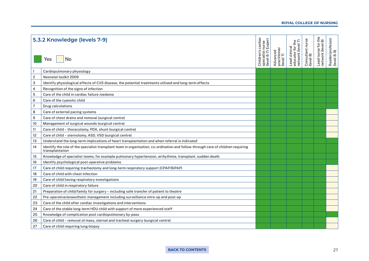#### Children's cardiac<br>specialist nurse<br>(level 6-7) Expert Lead nurse for the Reader/professor<br>(level 8-9) **5.3.2 Knowledge (levels 7-9)** Children's cardiac Consultant nurse<br>(level 8) Lead nurse for the<br>network (level 8) Lead clinical<br>educator for the<br>network (level 7) Consultant nurse Reader/professor (level 6-7) Expert educator for the specialist nurse network (level 7) network (level 8) Advanced<br>practitioner<br>(level 7) Lead clinical practitioner Advanced (level 8-9) Yes No Cardiopulmonary physiology 2 *Neonatal toolkit* 2009 3 | Identify physiological effects of CVS disease, the potential treatments utilised and long-term effects 4 Recognition of the signs of infection 5 Care of the child in cardiac failure /oedema 6 Care of the cyanotic child 7 Drug calculations 8 Care of external pacing systems 9 Care of chest drains and removal (surgical centre) 10 | Management of surgical wounds (surgical centre) 11 Care of child – thoracotomy, PDA, shunt (surgical centre) 12 | Care of child – sternotomy, ASD, VSD (surgical centre) 13 Understand the long-term implications of heart transplantation and when referral is indicated 14 Identify the role of the specialist transplant team in organisation, co-ordination and follow-through care of children requiring transplantation 15 Knowledge of specialist teams, for example pulmonary hypertension, arrhythmia, transplant, sudden death 16 | Identify psychological post-operative problems 17 Care of child requiring tracheotomy and long-term respiratory support (CPAP/BiPAP) 18 Care of child with chest infection 19 Care of child having respiratory investigations 20 Care of child in respiratory failure 21 Preparation of child/family for surgery – including safe transfer of patient to theatre 22 Pre-operative/anaesthetic management including surveillance intra-op and post-op 23 Care of the child after cardiac investigations and interventions 24  $\mid$  Care of the stable long-term HDU child with support of more experienced staff 25 | Knowledge of complication post cardiopulmonary by-pass 26  $\Box$  Care of child – removal of mass, sternal and tracheal surgery (surgical centre) 27 Care of child requiring lung biopsy

#### **ROYAL COLLEGE OF NURSING**

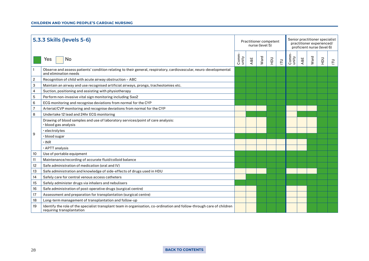#### **CHILDREN AND YOUNG PEOPLE'S CARDIAC NURSING**

|                | 5.3.3 Skills (levels 5-6)                                                                                                                           |                | Practitioner competent<br>nurse (level 5) |      |       |                |                             |     | Senior practitioner specialist<br>practitioner experienced/<br>proficient nurse (level 6) |               |   |  |  |  |  |  |
|----------------|-----------------------------------------------------------------------------------------------------------------------------------------------------|----------------|-------------------------------------------|------|-------|----------------|-----------------------------|-----|-------------------------------------------------------------------------------------------|---------------|---|--|--|--|--|--|
|                | No<br>Yes                                                                                                                                           | Comm-<br>unity | A&E                                       | Ward | $\Xi$ | $\overline{E}$ | $\frac{Comm}{\text{unity}}$ | A&E | Ward                                                                                      | $\frac{1}{2}$ | 己 |  |  |  |  |  |
|                | Observe and assess patients' condition relating to their general, respiratory, cardiovascular, neuro-developmental<br>and elimination needs         |                |                                           |      |       |                |                             |     |                                                                                           |               |   |  |  |  |  |  |
| $\overline{c}$ | Recognition of child with acute airway obstruction - ABC                                                                                            |                |                                           |      |       |                |                             |     |                                                                                           |               |   |  |  |  |  |  |
| 3              | Maintain an airway and use recognised artificial airways, prongs, tracheotomies etc.                                                                |                |                                           |      |       |                |                             |     |                                                                                           |               |   |  |  |  |  |  |
| 4              | Suction, positioning and assisting with physiotherapy                                                                                               |                |                                           |      |       |                |                             |     |                                                                                           |               |   |  |  |  |  |  |
| 5              | Perform non-invasive vital sign monitoring including Sao2                                                                                           |                |                                           |      |       |                |                             |     |                                                                                           |               |   |  |  |  |  |  |
| 6              | ECG monitoring and recognise deviations from normal for the CYP                                                                                     |                |                                           |      |       |                |                             |     |                                                                                           |               |   |  |  |  |  |  |
|                | Arterial/CVP monitoring and recognise deviations from normal for the CYP                                                                            |                |                                           |      |       |                |                             |     |                                                                                           |               |   |  |  |  |  |  |
| 8              | Undertake 12 lead and 24hr ECG monitoring                                                                                                           |                |                                           |      |       |                |                             |     |                                                                                           |               |   |  |  |  |  |  |
|                | Drawing of blood samples and use of laboratory services/point of care analysis:<br>· blood gas analysis                                             |                |                                           |      |       |                |                             |     |                                                                                           |               |   |  |  |  |  |  |
|                | · electrolytes                                                                                                                                      |                |                                           |      |       |                |                             |     |                                                                                           |               |   |  |  |  |  |  |
| 9              | · blood sugar                                                                                                                                       |                |                                           |      |       |                |                             |     |                                                                                           |               |   |  |  |  |  |  |
|                | $\cdot$ INR                                                                                                                                         |                |                                           |      |       |                |                             |     |                                                                                           |               |   |  |  |  |  |  |
|                | · APTT analysis                                                                                                                                     |                |                                           |      |       |                |                             |     |                                                                                           |               |   |  |  |  |  |  |
| 10             | Use of portable equipment                                                                                                                           |                |                                           |      |       |                |                             |     |                                                                                           |               |   |  |  |  |  |  |
| 11             | Maintenance/recording of accurate fluid/colloid balance                                                                                             |                |                                           |      |       |                |                             |     |                                                                                           |               |   |  |  |  |  |  |
| 12             | Safe administration of medication (oral and IV)                                                                                                     |                |                                           |      |       |                |                             |     |                                                                                           |               |   |  |  |  |  |  |
| 13             | Safe administration and knowledge of side-effects of drugs used in HDU                                                                              |                |                                           |      |       |                |                             |     |                                                                                           |               |   |  |  |  |  |  |
| 14             | Safely care for central venous access catheters                                                                                                     |                |                                           |      |       |                |                             |     |                                                                                           |               |   |  |  |  |  |  |
| 15             | Safely administer drugs via inhalers and nebulisers                                                                                                 |                |                                           |      |       |                |                             |     |                                                                                           |               |   |  |  |  |  |  |
| 16             | Safe administration of post-operative drugs (surgical centre)                                                                                       |                |                                           |      |       |                |                             |     |                                                                                           |               |   |  |  |  |  |  |
| 17             | Assessment and preparation for transplantation (surgical centre)                                                                                    |                |                                           |      |       |                |                             |     |                                                                                           |               |   |  |  |  |  |  |
| 18             | Long-term management of transplantation and follow-up                                                                                               |                |                                           |      |       |                |                             |     |                                                                                           |               |   |  |  |  |  |  |
| 19             | Identify the role of the specialist transplant team in organisation, co-ordination and follow-through care of children<br>requiring transplantation |                |                                           |      |       |                |                             |     |                                                                                           |               |   |  |  |  |  |  |

#### 28 **[BACK TO CONTENTS](#page-2-0)**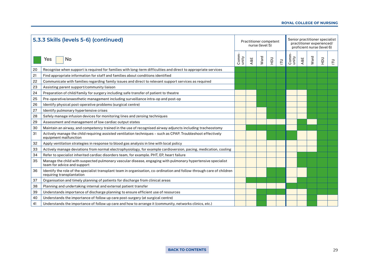#### **ROYAL COLLEGE OF NURSING**

| 5.3.3 Skills (levels 5-6) (continued) |                                                                                                                                                     |                | Practitioner competent | nurse (level 5) |               |                |                |     | Senior practitioner specialist<br>practitioner experienced/<br>proficient nurse (level 6) |               |   |
|---------------------------------------|-----------------------------------------------------------------------------------------------------------------------------------------------------|----------------|------------------------|-----------------|---------------|----------------|----------------|-----|-------------------------------------------------------------------------------------------|---------------|---|
|                                       | No<br>Yes                                                                                                                                           | Comm-<br>unity | A&E                    | Ward            | $\frac{1}{2}$ | $\overline{E}$ | Comm-<br>unity | A&E | Ward                                                                                      | $\frac{1}{2}$ | ᄅ |
| 20                                    | Recognise when support is required for families with long-term difficulties and direct to appropriate services                                      |                |                        |                 |               |                |                |     |                                                                                           |               |   |
| 21                                    | Find appropriate information for staff and families about conditions identified                                                                     |                |                        |                 |               |                |                |     |                                                                                           |               |   |
| 22                                    | Communicate with families regarding family issues and direct to relevant support services as required                                               |                |                        |                 |               |                |                |     |                                                                                           |               |   |
| 23                                    | Assisting parent support/community liaison                                                                                                          |                |                        |                 |               |                |                |     |                                                                                           |               |   |
| 24                                    | Preparation of child/family for surgery including safe transfer of patient to theatre                                                               |                |                        |                 |               |                |                |     |                                                                                           |               |   |
| 25                                    | Pre-operative/anaesthetic management including surveillance intra-op and post-op                                                                    |                |                        |                 |               |                |                |     |                                                                                           |               |   |
| 26                                    | Identify physical post-operative problems (surgical centre)                                                                                         |                |                        |                 |               |                |                |     |                                                                                           |               |   |
| 27                                    | Identify pulmonary hypertensive crises                                                                                                              |                |                        |                 |               |                |                |     |                                                                                           |               |   |
| 28                                    | Safely manage infusion devices for monitoring lines and zeroing techniques                                                                          |                |                        |                 |               |                |                |     |                                                                                           |               |   |
| 29                                    | Assessment and management of low cardiac output states                                                                                              |                |                        |                 |               |                |                |     |                                                                                           |               |   |
| 30                                    | Maintain an airway, and competency trained in the use of recognised airway adjuncts including tracheostomy                                          |                |                        |                 |               |                |                |     |                                                                                           |               |   |
| 31                                    | Actively manage the child requiring assisted ventilation techniques - such as CPAP. Troubleshoot effectively<br>equipment malfunction               |                |                        |                 |               |                |                |     |                                                                                           |               |   |
| 32                                    | Apply ventilation strategies in response to blood gas analysis in line with local policy                                                            |                |                        |                 |               |                |                |     |                                                                                           |               |   |
| 33                                    | Actively manage deviations from normal electrophysiology, for example cardioversion, pacing, medication, cooling                                    |                |                        |                 |               |                |                |     |                                                                                           |               |   |
| 34                                    | Refer to specialist inherited cardiac disorders team, for example. PHT, EP, heart failure                                                           |                |                        |                 |               |                |                |     |                                                                                           |               |   |
| 35                                    | Manage the child with suspected pulmonary vascular disease, engaging with pulmonary hypertensive specialist<br>team for advice and support          |                |                        |                 |               |                |                |     |                                                                                           |               |   |
| 36                                    | Identify the role of the specialist transplant team in organisation, co-ordination and follow-through care of children<br>requiring transplantation |                |                        |                 |               |                |                |     |                                                                                           |               |   |
| 37                                    | Organisation and timely planning of patients for discharge from clinical areas                                                                      |                |                        |                 |               |                |                |     |                                                                                           |               |   |
| 38                                    | Planning and undertaking internal and external patient transfer                                                                                     |                |                        |                 |               |                |                |     |                                                                                           |               |   |
| 39                                    | Understands importance of discharge planning to ensure efficient use of resources                                                                   |                |                        |                 |               |                |                |     |                                                                                           |               |   |
| 40                                    | Understands the importance of follow up care post-surgery (at surgical centre)                                                                      |                |                        |                 |               |                |                |     |                                                                                           |               |   |
| 41                                    | Understands the importance of follow up care and how to arrange it (community, networks clinics, etc.)                                              |                |                        |                 |               |                |                |     |                                                                                           |               |   |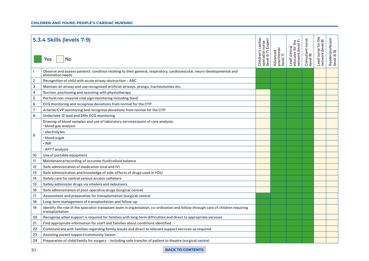#### **CHILDREN AND YOUNG PEOPLE'S CARDIAC NURSING**

|                | 5.3.4 Skills (levels 7-9)<br>No<br>Yes                                                                                                              | Children's cardiac<br>specialist nurse<br>(level 6-7) Expert | practitioner<br>(level 7)<br>Advanced | $\circ$ $\cap$<br>network (level<br>educator for<br>Lead clinical | Consultant nurse<br>(level 8) | Ф<br>£<br>Lead nurse for t<br>network (level 8 | Reader/professor<br>(level 8-9) |
|----------------|-----------------------------------------------------------------------------------------------------------------------------------------------------|--------------------------------------------------------------|---------------------------------------|-------------------------------------------------------------------|-------------------------------|------------------------------------------------|---------------------------------|
|                | Observe and assess patients' condition relating to their general, respiratory, cardiovascular, neuro-developmental and<br>elimination needs         |                                                              |                                       |                                                                   |                               |                                                |                                 |
| $\overline{c}$ | Recognition of child with acute airway obstruction - ABC                                                                                            |                                                              |                                       |                                                                   |                               |                                                |                                 |
| 3              | Maintain an airway and use recognised artificial airways, prongs, tracheotomies etc.                                                                |                                                              |                                       |                                                                   |                               |                                                |                                 |
| 4              | Suction, positioning and assisting with physiotherapy                                                                                               |                                                              |                                       |                                                                   |                               |                                                |                                 |
| 5              | Perform non-invasive vital sign monitoring including Sao2                                                                                           |                                                              |                                       |                                                                   |                               |                                                |                                 |
| 6              | ECG monitoring and recognise deviations from normal for the CYP                                                                                     |                                                              |                                       |                                                                   |                               |                                                |                                 |
| 7              | Arterial/CVP monitoring and recognise deviations from normal for the CYP                                                                            |                                                              |                                       |                                                                   |                               |                                                |                                 |
| 8              | Undertake 12 lead and 24hr ECG monitoring                                                                                                           |                                                              |                                       |                                                                   |                               |                                                |                                 |
|                | Drawing of blood samples and use of laboratory services/point of care analysis:<br>$\cdot$ blood gas analysis                                       |                                                              |                                       |                                                                   |                               |                                                |                                 |
|                | $\cdot$ electrolytes                                                                                                                                |                                                              |                                       |                                                                   |                               |                                                |                                 |
| 9              | $\cdot$ blood sugar                                                                                                                                 |                                                              |                                       |                                                                   |                               |                                                |                                 |
|                | • INR                                                                                                                                               |                                                              |                                       |                                                                   |                               |                                                |                                 |
|                | $\cdot$ APTT analysis                                                                                                                               |                                                              |                                       |                                                                   |                               |                                                |                                 |
| 10             | Use of portable equipment                                                                                                                           |                                                              |                                       |                                                                   |                               |                                                |                                 |
| 11             | Maintenance/recording of accurate fluid/colloid balance                                                                                             |                                                              |                                       |                                                                   |                               |                                                |                                 |
| 12             | Safe administration of medication (oral and IV)                                                                                                     |                                                              |                                       |                                                                   |                               |                                                |                                 |
| 13             | Safe administration and knowledge of side-effects of drugs used in HDU                                                                              |                                                              |                                       |                                                                   |                               |                                                |                                 |
| 14             | Safely care for central venous access catheters                                                                                                     |                                                              |                                       |                                                                   |                               |                                                |                                 |
| 15             | Safely administer drugs via inhalers and nebulisers                                                                                                 |                                                              |                                       |                                                                   |                               |                                                |                                 |
| 16             | Safe administration of post-operative drugs (surgical centre)                                                                                       |                                                              |                                       |                                                                   |                               |                                                |                                 |
| 17             | Assessment and preparation for transplantation (surgical centre)                                                                                    |                                                              |                                       |                                                                   |                               |                                                |                                 |
| 18             | Long-term management of transplantation and follow-up                                                                                               |                                                              |                                       |                                                                   |                               |                                                |                                 |
| 19             | Identify the role of the specialist transplant team in organisation, co-ordination and follow-through care of children requiring<br>transplantation |                                                              |                                       |                                                                   |                               |                                                |                                 |
| 20             | Recognise when support is required for families with long-term difficulties and direct to appropriate services                                      |                                                              |                                       |                                                                   |                               |                                                |                                 |
| 21             | Find appropriate information for staff and families about conditions identified                                                                     |                                                              |                                       |                                                                   |                               |                                                |                                 |
| 22             | Communicate with families regarding family issues and direct to relevant support services as required                                               |                                                              |                                       |                                                                   |                               |                                                |                                 |
| 23             | Assisting parent support/community liaison                                                                                                          |                                                              |                                       |                                                                   |                               |                                                |                                 |
| 24             | Preparation of child/family for surgery – including safe transfer of patient to theatre (surgical centre)                                           |                                                              |                                       |                                                                   |                               |                                                |                                 |
|                |                                                                                                                                                     |                                                              |                                       |                                                                   |                               |                                                |                                 |

#### 30 **[BACK TO CONTENTS](#page-2-0)**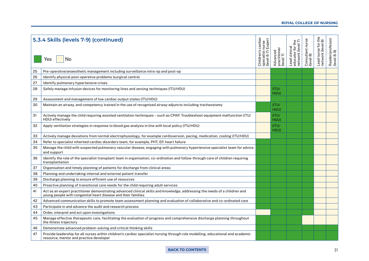#### **ROYAL COLLEGE OF NURSING**

|    | 5.3.4 Skills (levels 7-9) (continued)                                                                                                                                                       | i cardiac<br>nurse<br>Expert            |                                       | $\tilde{\tau}$<br>the<br>educator for the<br>network (level 7 | Consultant nurse | $\frac{e}{3}$<br>Lead nurse for t<br>network (level 8 | Reader/professor<br>(level 8-9) |
|----|---------------------------------------------------------------------------------------------------------------------------------------------------------------------------------------------|-----------------------------------------|---------------------------------------|---------------------------------------------------------------|------------------|-------------------------------------------------------|---------------------------------|
|    | No<br>Yes                                                                                                                                                                                   | Children's<br>specialist<br>(level 6-7) | practitioner<br>(level 7)<br>Advanced | Lead clinical                                                 | (level 8)        |                                                       |                                 |
| 25 | Pre-operative/anaesthetic management including surveillance intra-op and post-op                                                                                                            |                                         |                                       |                                                               |                  |                                                       |                                 |
| 26 | Identify physical post-operative problems (surgical centre)                                                                                                                                 |                                         |                                       |                                                               |                  |                                                       |                                 |
| 27 | Identify pulmonary hypertensive crises                                                                                                                                                      |                                         |                                       |                                                               |                  |                                                       |                                 |
| 28 | Safely manage infusion devices for monitoring lines and zeroing techniques (ITU/HDU)                                                                                                        |                                         | (ITU)<br>HDU)                         |                                                               |                  |                                                       |                                 |
| 29 | Assessment and management of low cardiac output states (ITU/HDU)                                                                                                                            |                                         |                                       |                                                               |                  |                                                       |                                 |
| 30 | Maintain an airway, and competency trained in the use of recognised airway adjuncts including tracheostomy                                                                                  |                                         | (ITU)<br>HDU)                         |                                                               |                  |                                                       |                                 |
| 31 | Actively manage the child requiring assisted ventilation techniques - such as CPAP. Troubleshoot equipment malfunction (ITU/<br>HDU) effectively                                            |                                         | (ITU)<br>HDU)                         |                                                               |                  |                                                       |                                 |
| 32 | Apply ventilation strategies in response to blood gas analysis in line with local policy (ITU/HDU)                                                                                          |                                         | (ITU)<br>HDU)                         |                                                               |                  |                                                       |                                 |
| 33 | Actively manage deviations from normal electrophysiology, for example cardioversion, pacing, medication, cooling (ITU/HDU)                                                                  |                                         |                                       |                                                               |                  |                                                       |                                 |
| 34 | Refer to specialist inherited cardiac disorders team, for example, PHT, EP, heart failure                                                                                                   |                                         |                                       |                                                               |                  |                                                       |                                 |
| 35 | Manage the child with suspected pulmonary vascular disease, engaging with pulmonary hypertensive specialist team for advice<br>and support                                                  |                                         |                                       |                                                               |                  |                                                       |                                 |
| 36 | Identify the role of the specialist transplant team in organisation, co-ordination and follow-through care of children requiring<br>transplantation                                         |                                         |                                       |                                                               |                  |                                                       |                                 |
| 37 | Organisation and timely planning of patients for discharge from clinical areas                                                                                                              |                                         |                                       |                                                               |                  |                                                       |                                 |
| 38 | Planning and undertaking internal and external patient transfer                                                                                                                             |                                         |                                       |                                                               |                  |                                                       |                                 |
| 39 | Discharge planning to ensure efficient use of resources                                                                                                                                     |                                         |                                       |                                                               |                  |                                                       |                                 |
| 40 | Proactive planning of transitional care needs for the child requiring adult services                                                                                                        |                                         |                                       |                                                               |                  |                                                       |                                 |
| 41 | Act as an expert practitioner demonstrating advanced clinical skills and knowledge, addressing the needs of a children and<br>young people with congenital heart disease and their families |                                         |                                       |                                                               |                  |                                                       |                                 |
| 42 | Advanced communication skills to promote team assessment planning and evaluation of collaborative and co-ordinated care                                                                     |                                         |                                       |                                                               |                  |                                                       |                                 |
| 43 | Participate in and advance the audit and research process                                                                                                                                   |                                         |                                       |                                                               |                  |                                                       |                                 |
| 44 | Order, interpret and act upon investigations                                                                                                                                                |                                         |                                       |                                                               |                  |                                                       |                                 |
| 45 | Manage effective therapeutic care, facilitating the evaluation of progress and comprehensive discharge planning throughout<br>the illness trajectory                                        |                                         |                                       |                                                               |                  |                                                       |                                 |
| 46 | Demonstrate advanced problem-solving and critical thinking skills                                                                                                                           |                                         |                                       |                                                               |                  |                                                       |                                 |
| 47 | Provide leadership for all nurses within children's cardiac specialist nursing through role modelling, educational and academic<br>resource, mentor and practice developer                  |                                         |                                       |                                                               |                  |                                                       |                                 |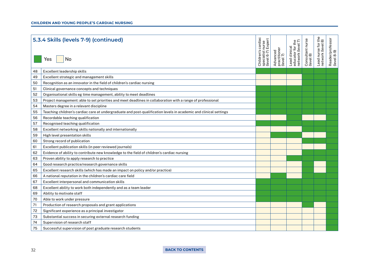|    | 5.3.4 Skills (levels 7-9) (continued)                                                                             | cardiac<br>nurse<br>Exper<br>Children's<br>specialist<br>(level 6-7) | Advanced<br>practitioner<br>(level 7) | ₫Γ<br>Lead clinical<br>educator for th<br>network (level ī | Consultant nurse<br>(level 8) | $+8$<br>$\frac{6}{10}$<br>Lead nurse for t<br>network (level 8 | Reader/professor<br>(level 8-9) |
|----|-------------------------------------------------------------------------------------------------------------------|----------------------------------------------------------------------|---------------------------------------|------------------------------------------------------------|-------------------------------|----------------------------------------------------------------|---------------------------------|
|    | No<br>Yes                                                                                                         |                                                                      |                                       |                                                            |                               |                                                                |                                 |
| 48 | Excellent leadership skills                                                                                       |                                                                      |                                       |                                                            |                               |                                                                |                                 |
| 49 | Excellent strategic and management skills                                                                         |                                                                      |                                       |                                                            |                               |                                                                |                                 |
| 50 | Recognition as an innovator in the field of children's cardiac nursing                                            |                                                                      |                                       |                                                            |                               |                                                                |                                 |
| 51 | Clinical governance concepts and techniques                                                                       |                                                                      |                                       |                                                            |                               |                                                                |                                 |
| 52 | Organisational skills eg time management, ability to meet deadlines                                               |                                                                      |                                       |                                                            |                               |                                                                |                                 |
| 53 | Project management: able to set priorities and meet deadlines in collaboration with a range of professional       |                                                                      |                                       |                                                            |                               |                                                                |                                 |
| 54 | Masters degree in a relevant discipline                                                                           |                                                                      |                                       |                                                            |                               |                                                                |                                 |
| 55 | Teaching children's cardiac care at undergraduate and post-qualification levels in academic and clinical settings |                                                                      |                                       |                                                            |                               |                                                                |                                 |
| 56 | Recordable teaching qualification                                                                                 |                                                                      |                                       |                                                            |                               |                                                                |                                 |
| 57 | Recognised teaching qualification                                                                                 |                                                                      |                                       |                                                            |                               |                                                                |                                 |
| 58 | Excellent networking skills nationally and internationally                                                        |                                                                      |                                       |                                                            |                               |                                                                |                                 |
| 59 | High level presentation skills                                                                                    |                                                                      |                                       |                                                            |                               |                                                                |                                 |
| 60 | Strong record of publication                                                                                      |                                                                      |                                       |                                                            |                               |                                                                |                                 |
| 61 | Excellent publication skills (in peer reviewed journals)                                                          |                                                                      |                                       |                                                            |                               |                                                                |                                 |
| 62 | Evidence of ability to contribute new knowledge to the field of children's cardiac nursing                        |                                                                      |                                       |                                                            |                               |                                                                |                                 |
| 63 | Proven ability to apply research to practice                                                                      |                                                                      |                                       |                                                            |                               |                                                                |                                 |
| 64 | Good research practice/research governance skills                                                                 |                                                                      |                                       |                                                            |                               |                                                                |                                 |
| 65 | Excellent research skills (which has made an impact on policy and/or practice)                                    |                                                                      |                                       |                                                            |                               |                                                                |                                 |
| 66 | A national reputation in the children's cardiac care field                                                        |                                                                      |                                       |                                                            |                               |                                                                |                                 |
| 67 | Excellent interpersonal and communication skills                                                                  |                                                                      |                                       |                                                            |                               |                                                                |                                 |
| 68 | Excellent ability to work both independently and as a team leader                                                 |                                                                      |                                       |                                                            |                               |                                                                |                                 |
| 69 | Ability to motivate staff                                                                                         |                                                                      |                                       |                                                            |                               |                                                                |                                 |
| 70 | Able to work under pressure                                                                                       |                                                                      |                                       |                                                            |                               |                                                                |                                 |
| 71 | Production of research proposals and grant applications                                                           |                                                                      |                                       |                                                            |                               |                                                                |                                 |
| 72 | Significant experience as a principal investigator                                                                |                                                                      |                                       |                                                            |                               |                                                                |                                 |
| 73 | Substantial success in securing external research funding                                                         |                                                                      |                                       |                                                            |                               |                                                                |                                 |
| 74 | Supervision of research staff                                                                                     |                                                                      |                                       |                                                            |                               |                                                                |                                 |
| 75 | Successful supervision of post graduate research students                                                         |                                                                      |                                       |                                                            |                               |                                                                |                                 |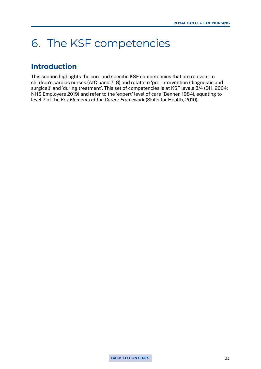## <span id="page-32-0"></span>6. The KSF competencies

## **Introduction**

This section highlights the core and specific KSF competencies that are relevant to children's cardiac nurses (AfC band 7–8) and relate to 'pre-intervention (diagnostic and surgical)' and 'during treatment'. This set of competencies is at KSF levels 3/4 (DH, 2004; NHS Employers 2019) and refer to the 'expert' level of care (Benner, 1984), equating to level 7 of the *Key Elements of the Career Framework* (Skills for Health, 2010).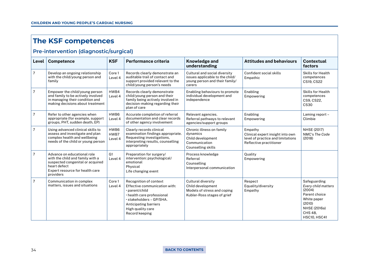## **The KSF competences**

## **Pre-intervention (diagnostic/surgical)**

| Level          | <b>Competence</b>                                                                                                                                                   | <b>KSF</b>                | Performance criteria                                                                                                                                                                                | Knowledge and<br>understanding                                                                               | <b>Attitudes and behaviours</b>                                                                             | Contextual<br>factors                                                                                                                     |
|----------------|---------------------------------------------------------------------------------------------------------------------------------------------------------------------|---------------------------|-----------------------------------------------------------------------------------------------------------------------------------------------------------------------------------------------------|--------------------------------------------------------------------------------------------------------------|-------------------------------------------------------------------------------------------------------------|-------------------------------------------------------------------------------------------------------------------------------------------|
| $\overline{7}$ | Develop an ongoing relationship<br>with the child/young person and<br>family                                                                                        | Core 1<br>Level 4         | Records clearly demonstrate an<br>auditable trail of contact and<br>support provided relevant to the<br>child/young person's needs                                                                  | Cultural and social diversity<br>issues applicable to the child/<br>young person and their family/<br>carers | Confident social skills<br>Empathic                                                                         | <b>Skills for Health</b><br>competences<br>CS19, CS22                                                                                     |
| $\overline{7}$ | Empower the child/young person<br>and family to be actively involved<br>in managing their condition and<br>making decisions about treatment                         | HWB4<br>Level 4           | Records clearly demonstrate<br>child/young person and their<br>family being actively involved in<br>decision-making regarding their<br>plan of care                                                 | Enabling behaviours to promote<br>individual development and<br>independence                                 | Enabling<br>Empowering                                                                                      | <b>Skills for Health</b><br>competences<br>CS9, CS22,<br><b>CS30</b>                                                                      |
| $\overline{7}$ | Refer to other agencies when<br>appropriate (for example, support<br>groups, PHT, sudden death, EP)                                                                 | HWB6<br>Level 4           | Accurate completion of referral<br>documentation and clear records<br>of other agency involvement                                                                                                   | Relevant agencies.<br>Referral pathways to relevant<br>agencies/support groups                               | Enabling<br>Empowering                                                                                      | Laming report -<br>Climbie                                                                                                                |
| $\overline{7}$ | Using advanced clinical skills to<br>assess and investigate and plan<br>complex health and wellbeing<br>needs of the child or young person                          | HWB6<br>HWB7<br>Level 4   | Clearly records clinical<br>examination findings appropriate.<br>Requesting investigations,<br>interpreting results, counselling<br>appropriately                                                   | Chronic illness on family<br>dynamics<br>Child development<br>Communication<br><b>Counselling skills</b>     | Empathy<br>Clinical expert insight into own<br>level of practice and limitations<br>Reflective practitioner | <b>NHSE (2017)</b><br>NMC's The Code<br>(2018)                                                                                            |
| $\overline{7}$ | Advance on educational role<br>with the child and family with a<br>suspected congenital or acquired<br>heart defect<br>Expert resource for health care<br>providers | G <sub>1</sub><br>Level 4 | Preparation for surgery/<br>intervention: psychological/<br>emotional<br>Physical<br>Life changing event                                                                                            | Process knowledge<br>Referral<br>Counselling<br>Interpersonal communication                                  | Ouality<br>Empowering                                                                                       |                                                                                                                                           |
| $\overline{7}$ | Communication in complex<br>matters, issues and situations                                                                                                          | Core 1<br>Level 4         | Recognition of context<br>Effective communication with:<br>· parent/child<br>· health care professional<br>· stakeholders - GP/SHA.<br>Anticipating barriers<br>High quality care<br>Record keeping | Cultural diversity<br>Child development<br>Models of stress and coping<br>Kubler-Ross stages of grief        | Respect<br>Equality/diversity<br>Empathy                                                                    | Safeguarding<br>Every child matters<br>(2004)<br>Parent choice<br>White paper<br>(2010)<br>NHSE (2016a)<br>CHS 48.<br><b>HSC10, HSC41</b> |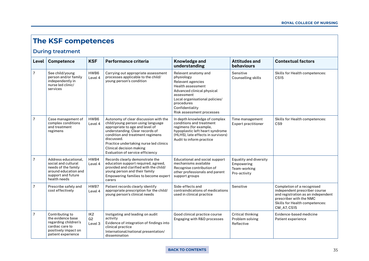## **The KSF competences**

#### **During treatment**

| Level          | <b>Competence</b>                                                                                                                | <b>KSF</b>                                   | Performance criteria                                                                                                                                                                                                                                                                                         | <b>Knowledge and</b><br>understanding                                                                                                                                                                                           | <b>Attitudes and</b><br><b>behaviours</b>                            | <b>Contextual factors</b>                                                                                                                                                            |
|----------------|----------------------------------------------------------------------------------------------------------------------------------|----------------------------------------------|--------------------------------------------------------------------------------------------------------------------------------------------------------------------------------------------------------------------------------------------------------------------------------------------------------------|---------------------------------------------------------------------------------------------------------------------------------------------------------------------------------------------------------------------------------|----------------------------------------------------------------------|--------------------------------------------------------------------------------------------------------------------------------------------------------------------------------------|
| $\overline{7}$ | See child/young<br>person and/or family<br>independently in<br>nurse led clinic/<br>services                                     | HWB6<br>Level 4                              | Carrying out appropriate assessment<br>processes applicable to the child/<br>young person's condition                                                                                                                                                                                                        | Relevant anatomy and<br>physiology<br>Relevant agencies<br><b>Health assessment</b><br>Advanced clinical physical<br>assessment<br>Local organisational policies/<br>procedures<br>Confidentiality<br>Risk assessment processes | Sensitive<br><b>Counselling skills</b>                               | <b>Skills for Health competences:</b><br><b>CS15</b>                                                                                                                                 |
| $\overline{7}$ | Case management of<br>complex conditions<br>and treatment<br>regimens                                                            | HWB6<br>Level 4                              | Autonomy of clear discussion with the<br>child/young person using language<br>appropriate to age and level of<br>understanding. Clear records of<br>condition and treatment regimens<br>discussed.<br>Practice undertaking nurse led clinics<br>Clinical decision making<br>Evaluation of service efficiency | In depth knowledge of complex<br>conditions and treatment<br>regimens (for example,<br>hypoplastic left heart syndrome<br>(HLHS), late effects in survivors)<br>Audit to inform practice                                        | Time management<br><b>Expert practitioner</b>                        | Skills for Health competences:<br>CS <sub>9</sub>                                                                                                                                    |
| $\overline{7}$ | Address educational.<br>social and cultural<br>needs of the family<br>around education and<br>support and future<br>health needs | HWB4<br>Level 4                              | Records clearly demonstrate the<br>education support required, agreed,<br>provided and clarified with the child/<br>young person and their family<br>Empowering families to become expert<br>carers                                                                                                          | Educational and social support<br>mechanisms available<br>Recognise contribution of<br>other professionals and parent<br>support groups                                                                                         | Equality and diversity<br>Empowering<br>Team-working<br>Pro-activity |                                                                                                                                                                                      |
| $\overline{7}$ | Prescribe safely and<br>cost effectively                                                                                         | HWB7<br>Level 4                              | Patient records clearly identify<br>appropriate prescription for the child/<br>young person's clinical needs                                                                                                                                                                                                 | Side-effects and<br>contraindications of medications<br>used in clinical practice                                                                                                                                               | Sensitive                                                            | Completion of a recognised<br>independent prescriber course<br>and registration as an independent<br>prescriber with the NMC<br><b>Skills for Health competences:</b><br>CM_A7, CS15 |
| $\overline{7}$ | Contributing to<br>the evidence base<br>regarding children's<br>cardiac care to<br>positively impact on<br>patient experience    | IK <sub>2</sub><br>G <sub>2</sub><br>Level 3 | Instigating and leading on audit<br>activity<br>Evidence of integration of findings into<br>clinical practice<br>International/national presentation/<br>dissemination                                                                                                                                       | Good clinical practice course<br>Engaging with R&D processes                                                                                                                                                                    | Critical thinking<br>Problem solving<br>Reflective                   | Evidence-based medicine<br>Patient experience                                                                                                                                        |

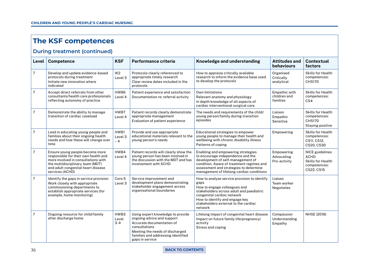## **The KSF competences**

#### **During treatment (continued)**

| Level          | <b>Competence</b>                                                                                                                                                                                           | <b>KSF</b>                   | Performance criteria                                                                                                                                                                                      | Knowledge and understanding                                                                                                                                                                                                                         | <b>Attitudes and</b><br><b>behaviours</b>   | <b>Contextual</b><br>factors                                                             |
|----------------|-------------------------------------------------------------------------------------------------------------------------------------------------------------------------------------------------------------|------------------------------|-----------------------------------------------------------------------------------------------------------------------------------------------------------------------------------------------------------|-----------------------------------------------------------------------------------------------------------------------------------------------------------------------------------------------------------------------------------------------------|---------------------------------------------|------------------------------------------------------------------------------------------|
| $\overline{7}$ | Develop and update evidence-based<br>protocols during treatment<br>Initiate new innovation where<br>indicated                                                                                               | IK <sub>2</sub><br>Level 3   | Protocols clearly referenced to<br>appropriate timely research<br>Clear review dates included in the<br>protocols                                                                                         | How to appraise critically available<br>research to inform the evidence base used<br>to develop the protocols                                                                                                                                       | Organised<br>Critically<br>analytical       | <b>Skills for Health</b><br>competences:<br><b>CHS170</b>                                |
| $\overline{7}$ | Accept direct referrals from other<br>consultants/health care professionals<br>reflecting autonomy of practice                                                                                              | HWB6<br>Level 4              | Patient experience and satisfaction<br>Documentation re: referral activity                                                                                                                                | Own limitations<br>Relevant anatomy and physiology<br>In depth knowledge of all aspects of<br>cardiac interventional surgical care                                                                                                                  | Empathic with<br>children and<br>families   | <b>Skills for Health</b><br>competences:<br>CS4                                          |
| $\overline{7}$ | Demonstrate the ability to manage<br>transition of cardiac caseload                                                                                                                                         | HWB7<br>Level 4              | Patient records clearly demonstrate<br>appropriate management<br>Evaluation of patient experience                                                                                                         | The needs and requirements of the child/<br>young person/family during transition<br>episodes                                                                                                                                                       | Liaison<br>Empathic<br>Sensitive            | <b>Skills for Health</b><br>competences:<br><b>CHS170</b><br>Staying positive            |
| 7              | Lead in educating young people and<br>families about their ongoing health<br>needs and how these will change over<br>time                                                                                   | HWB1<br>Level 3<br>$-4$      | Provide and use appropriate<br>educational materials relevant to the<br>young person's needs                                                                                                              | Educational strategies to empower<br>young people to manage their health and<br>wellbeing with chronic disability illness<br>Patterns of coping                                                                                                     | Empowering                                  | <b>Skills for Health</b><br>competences:<br>CS11, CS12,<br>CS20, CS30                    |
| 7              | Ensure young people become more<br>responsible for their own health and<br>more involved in consultations with<br>the multidisciplinary team (MDT)<br>and adult congenital heart disease<br>services (ACHD) | HWB4<br>Level 4              | Patient records will clearly show the<br>young person has been involved in<br>the discussion with the MDT and has<br>involvement with ACHD                                                                | Enabling and empowering strategies<br>to encourage independence and the<br>development of self-management of<br>condition. Aware of treatment regimes and<br>assessment and strategies to determine<br>management of lifelong cardiac conditions    | Empowering<br>Advocating<br>Pro-activity    | NICE guidelines<br><b>ACHD</b><br><b>Skills for Health</b><br>competences:<br>CS22, CS15 |
| 7              | Identify the gaps in service provision<br>Work closely with appropriate<br>commissioning departments to<br>establish appropriate services (for<br>example, home monitoring)                                 | Core <sub>5</sub><br>Level 3 | Service improvement and<br>development plans demonstrating<br>stakeholder engagement across<br>organisational boundaries                                                                                  | How to analyse service provision to identify<br>gaps<br>How to engage colleagues and<br>stakeholders across adult and paediatric<br>congenital cardiac network<br>How to identify and engage key<br>stakeholders external to the cardiac<br>network | Liaises<br>Team worker<br><b>Negotiates</b> |                                                                                          |
| 7              | Ongoing resource for child/family<br>after discharge home                                                                                                                                                   | HWB3<br>Level<br>$3 - 4$     | Using expert knowledge to provide<br>ongoing advice and support<br>Accurate documentation of<br>consultations<br>Meeting the needs of discharged<br>families and addressing identified<br>gaps in service | Lifelong impact of congenital heart disease<br>Impact on future family life/pregnancy/<br>activity<br>Stress and coping                                                                                                                             | Compassion<br>Understanding<br>Empathy      | NHSE (2016)                                                                              |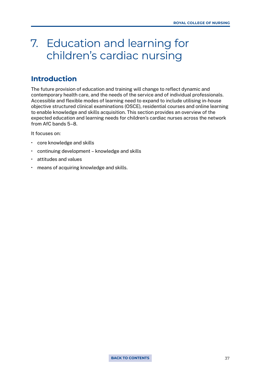### 7. Education and learning for children's cardiac nursing

### **Introduction**

The future provision of education and training will change to reflect dynamic and contemporary health care, and the needs of the service and of individual professionals. Accessible and flexible modes of learning need to expand to include utilising in-house objective structured clinical examinations (OSCE), residential courses and online learning to enable knowledge and skills acquisition. This section provides an overview of the expected education and learning needs for children's cardiac nurses across the network from AfC bands 5–8.

It focuses on:

- core knowledge and skills
- continuing development knowledge and skills
- attitudes and values
- means of acquiring knowledge and skills.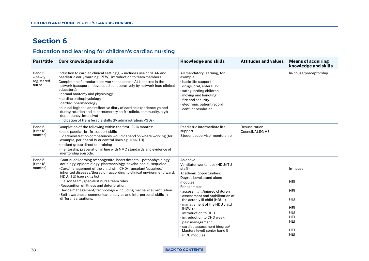### **Section 6**

### **Education and learning for children's cardiac nursing**

| Post/title                               | <b>Core knowledge and skills</b>                                                                                                                                                                                                                                                                                                                                                                                                                                                                                                                                                                                                 | <b>Knowledge and skills</b>                                                                                                                                                                                                                                                                                                                                                                                                                            | <b>Attitudes and values</b>       | <b>Means of acquiring</b><br>knowledge and skills                                                                                      |
|------------------------------------------|----------------------------------------------------------------------------------------------------------------------------------------------------------------------------------------------------------------------------------------------------------------------------------------------------------------------------------------------------------------------------------------------------------------------------------------------------------------------------------------------------------------------------------------------------------------------------------------------------------------------------------|--------------------------------------------------------------------------------------------------------------------------------------------------------------------------------------------------------------------------------------------------------------------------------------------------------------------------------------------------------------------------------------------------------------------------------------------------------|-----------------------------------|----------------------------------------------------------------------------------------------------------------------------------------|
| Band 5<br>- newly<br>registered<br>nurse | Induction to cardiac clinical setting(s) - includes use of SBAR and<br>paediatric early warning (PEW), introduction to team members.<br>Completion of standardised workbook across ALL centres in the<br>network (passport - developed collaboratively by network lead clinical<br>educators):<br>· normal anatomy and physiology<br>· cardiac pathophysiology<br>· cardiac pharmacology<br>· clinical logbook and reflective diary of cardiac experience gained<br>during rotation and supernumerary shifts (clinic, community, high<br>dependency, intensive)<br>· Indication of transferable skills (IV administration/PGDs). | All mandatory learning, for<br>example:<br>· basic life support<br>· drugs, oral, enteral, IV<br>· safeguarding children<br>· moving and handling<br>· fire and security<br>· electronic patient record<br>· conflict resolution.                                                                                                                                                                                                                      |                                   | In-house/preceptorship                                                                                                                 |
| Band 5<br>(first 18<br>months)           | Completion of the following within the first 12-16 months:<br>· basic paediatric life-support skills<br>. IV administration competences would depend on where working (for<br>example, peripheral IV or central lines eg HDU/ITU)<br>· patient group direction training<br>• mentorship preparation in line with NMC standards and evidence of<br>mentorship episode.                                                                                                                                                                                                                                                            | Paediatric intermediate life<br>support<br>Student supervisor mentorship                                                                                                                                                                                                                                                                                                                                                                               | Resuscitation<br>Council/ALSG HEI |                                                                                                                                        |
| Band 5<br>(first 18<br>months)           | • Continued learning re: congenital heart defects – pathophysiology,<br>aetiology, epidemiology, pharmacology, psycho-social, sequelae.<br>. Care/management of the child with CHD/transplant/acquired/<br>inherited diseases/thoracic - according to clinical environment (ward,<br>HDU, ITU) (see skills list).<br>· Liaison team /specialist nurse team roles.<br>· Recognition of illness and deterioration.<br>· Device management/ technology - including mechanical ventilation.<br>$\cdot$ Self-awareness, communication styles and interpersonal skills in<br>different situations.                                     | As above<br>Ventilator workshops (HDU/ITU<br>staff)<br>Academic opportunities:<br>Degree Level stand alone<br>modules.<br>For example:<br>· assessing ill/injured children<br>assessment and stabilisation of<br>the acutely ill child (HDU 1)<br>management of the HDU child<br>(HDU 2)<br>introduction to CHD<br>. introduction to CHD week<br>· pain management<br>· cardiac assessment (degree/<br>Masters level) senior band 5<br>· PICU modules. |                                   | In-house<br><b>HEI</b><br><b>HEI</b><br><b>HEI</b><br><b>HEI</b><br><b>HEI</b><br><b>HEI</b><br><b>HEI</b><br><b>HEI</b><br><b>HEI</b> |

#### 38 **[BACK TO CONTENTS](#page-2-0)**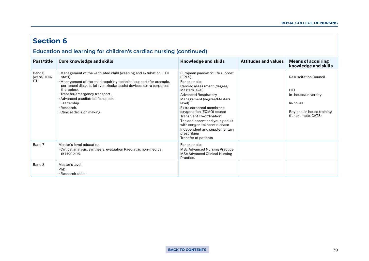#### **Section 6 Education and learning for children's cardiac nursing (continued)** Post/title Core knowledge and skills **Reserves Attitudes and skills** Attitudes and values Means of acquiring knowledge and skills Band 6 (ward/HDU/ ITU) • Management of the ventilated child (weaning and extubation) (ITU staff). • Management of the child requiring technical support (for example, peritoneal dialysis, left ventricular assist devices, extra corporeal therapies). • Transfer/emergency transport. • Advanced paediatric life support. • Leadership. • Research. • Clinical decision making. European paediatric life support (EPLS) For example: Cardiac assessment (degree/ Masters level) Advanced Respiratory Management (degree/Masters level) Extra corporeal membrane oxygenation (ECMO) course Transplant co-ordination The adolescent and young adult with congenital heart disease Independent and supplementary prescribing Transfer of patients Resuscitation Council HEI In–house/university In-house Regional in house training (for example, CATS) Band 7 Master's-level education • Critical analysis, synthesis, evaluation Paediatric non-medical prescribing. For example: MSc Advanced Nursing Practice MSc Advanced Clinical Nursing Practice. Band 8 Master's level PhD

• Research skills.

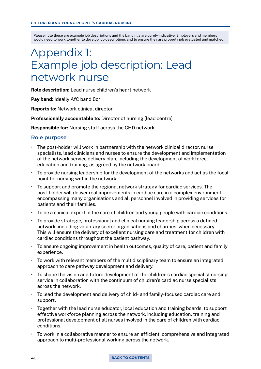# <span id="page-39-0"></span>Appendix 1: Example job description: Lead network nurse

Role description: Lead nurse children's heart network

Pay band: Ideally AfC band 8c\*

Reports to: Network clinical director

Professionally accountable to: Director of nursing (lead centre)

Responsible for: Nursing staff across the CHD network

### **Role purpose**

- The post-holder will work in partnership with the network clinical director, nurse specialists, lead clinicians and nurses to ensure the development and implementation of the network service delivery plan, including the development of workforce, education and training, as agreed by the network board.
- To provide nursing leadership for the development of the networks and act as the focal point for nursing within the network.
- To support and promote the regional network strategy for cardiac services. The post-holder will deliver real improvements in cardiac care in a complex environment, encompassing many organisations and all personnel involved in providing services for patients and their families.
- To be a clinical expert in the care of children and young people with cardiac conditions.
- To provide strategic, professional and clinical nursing leadership across a defined network, including voluntary sector organisations and charities, when necessary. This will ensure the delivery of excellent nursing care and treatment for children with cardiac conditions throughout the patient pathway.
- To ensure ongoing improvement in health outcomes, quality of care, patient and family experience.
- To work with relevant members of the multidisciplinary team to ensure an integrated approach to care pathway development and delivery.
- To shape the vision and future development of the children's cardiac specialist nursing service in collaboration with the continuum of children's cardiac nurse specialists across the network.
- To lead the development and delivery of child- and family-focused cardiac care and support.
- Together with the lead nurse educator, local education and training boards, to support effective workforce planning across the network, including education, training and professional development of all nurses involved in the care of children with cardiac conditions.
- To work in a collaborative manner to ensure an efficient, comprehensive and integrated approach to multi-professional working across the network.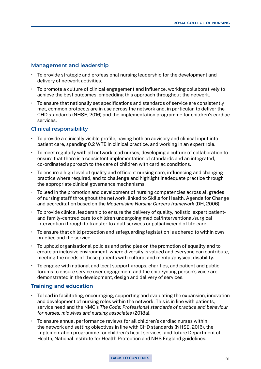### **Management and leadership**

- To provide strategic and professional nursing leadership for the development and delivery of network activities.
- To promote a culture of clinical engagement and influence, working collaboratively to achieve the best outcomes, embedding this approach throughout the network.
- To ensure that nationally set specifications and standards of service are consistently met, common protocols are in use across the network and, in particular, to deliver the CHD standards (NHSE, 2016) and the implementation programme for children's cardiac services.

### **Clinical responsibility**

- To provide a clinically visible profile, having both an advisory and clinical input into patient care, spending 0.2 WTE in clinical practice, and working in an expert role.
- To meet regularly with all network lead nurses, developing a culture of collaboration to ensure that there is a consistent implementation of standards and an integrated, co-ordinated approach to the care of children with cardiac conditions.
- To ensure a high level of quality and efficient nursing care, influencing and changing practice where required, and to challenge and highlight inadequate practice through the appropriate clinical governance mechanisms.
- To lead in the promotion and development of nursing competencies across all grades of nursing staff throughout the network, linked to Skills for Health, Agenda for Change and accreditation based on the *Modernising Nursing Careers framework* (DH, 2006).
- To provide clinical leadership to ensure the delivery of quality, holistic, expert patientand family-centred care to children undergoing medical/interventional/surgical intervention through to transfer to adult services or palliative/end of life care.
- To ensure that child protection and safeguarding legislation is adhered to within own practice and the service.
- To uphold organisational policies and principles on the promotion of equality and to create an inclusive environment, where diversity is valued and everyone can contribute, meeting the needs of those patients with cultural and mental/physical disability.
- To engage with national and local support groups, charities, and patient and public forums to ensure service user engagement and the child/young person's voice are demonstrated in the development, design and delivery of services.

### **Training and education**

- To lead in facilitating, encouraging, supporting and evaluating the expansion, innovation and development of nursing roles within the network. This is in line with patients, service need and the NMC's *The Code: Professional standards of practice and behaviour for nurses, midwives and nursing associates* (2018a).
- To ensure annual performance reviews for all children's cardiac nurses within the network and setting objectives in line with CHD standards (NHSE, 2016), the implementation programme for children's heart services, and future Department of Health, National Institute for Health Protection and NHS England guidelines.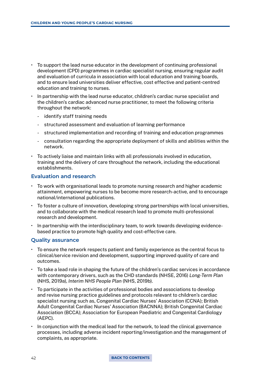- To support the lead nurse educator in the development of continuing professional development (CPD) programmes in cardiac specialist nursing, ensuring regular audit and evaluation of curricula in association with local education and training boards, and to ensure lead universities deliver effective, cost effective and patient-centred education and training to nurses.
- In partnership with the lead nurse educator, children's cardiac nurse specialist and the children's cardiac advanced nurse practitioner, to meet the following criteria throughout the network:
	- identify staff training needs
	- structured assessment and evaluation of learning performance
	- structured implementation and recording of training and education programmes
	- consultation regarding the appropriate deployment of skills and abilities within the network.
- To actively liaise and maintain links with all professionals involved in education, training and the delivery of care throughout the network, including the educational establishments.

### **Evaluation and research**

- To work with organisational leads to promote nursing research and higher academic attainment, empowering nurses to be become more research-active, and to encourage national/international publications.
- To foster a culture of innovation, developing strong partnerships with local universities, and to collaborate with the medical research lead to promote multi-professional research and development.
- In partnership with the interdisciplinary team, to work towards developing evidencebased practice to promote high quality and cost-effective care.

### **Quality assurance**

- To ensure the network respects patient and family experience as the central focus to clinical/service revision and development, supporting improved quality of care and outcomes.
- To take a lead role in shaping the future of the children's cardiac services in accordance with contemporary drivers, such as the CHD standards (NHSE, 2016) *Long-Term Plan* (NHS, 2019a), *Interim NHS People Plan* (NHS, 2019b).
- To participate in the activities of professional bodies and associations to develop and revise nursing practice guidelines and protocols relevant to children's cardiac specialist nursing such as, Congenital Cardiac Nurses' Association (CCNA); British Adult Congenital Cardiac Nurses' Association (BACNNA); British Congenital Cardiac Association (BCCA); Association for European Paediatric and Congenital Cardiology (AEPC).
- In conjunction with the medical lead for the network, to lead the clinical governance processes, including adverse incident reporting/investigation and the management of complaints, as appropriate.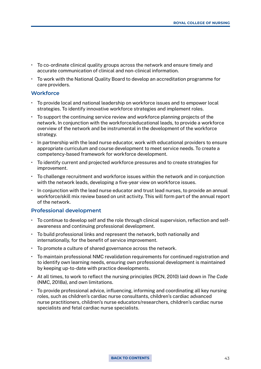- To co-ordinate clinical quality groups across the network and ensure timely and accurate communication of clinical and non-clinical information.
- To work with the National Quality Board to develop an accreditation programme for care providers.

### **Workforce**

- To provide local and national leadership on workforce issues and to empower local strategies. To identify innovative workforce strategies and implement roles.
- To support the continuing service review and workforce planning projects of the network. In conjunction with the workforce/educational leads, to provide a workforce overview of the network and be instrumental in the development of the workforce strategy.
- In partnership with the lead nurse educator, work with educational providers to ensure appropriate curriculum and course development to meet service needs. To create a competency-based framework for workforce development.
- To identify current and projected workforce pressures and to create strategies for improvement.
- To challenge recruitment and workforce issues within the network and in conjunction with the network leads, developing a five-year view on workforce issues.
- In conjunction with the lead nurse educator and trust lead nurses, to provide an annual workforce/skill mix review based on unit activity. This will form part of the annual report of the network.

### **Professional development**

- To continue to develop self and the role through clinical supervision, reflection and selfawareness and continuing professional development.
- To build professional links and represent the network, both nationally and internationally, for the benefit of service improvement.
- To promote a culture of shared governance across the network.
- To maintain professional NMC revalidation requirements for continued registration and to identify own learning needs, ensuring own professional development is maintained by keeping up-to-date with practice developments.
- At all times, to work to reflect the nursing principles (RCN, 2010) laid down in *The Code* (NMC, 2018a), and own limitations.
- To provide professional advice, influencing, informing and coordinating all key nursing roles, such as children's cardiac nurse consultants, children's cardiac advanced nurse practitioners, children's nurse educators/researchers, children's cardiac nurse specialists and fetal cardiac nurse specialists.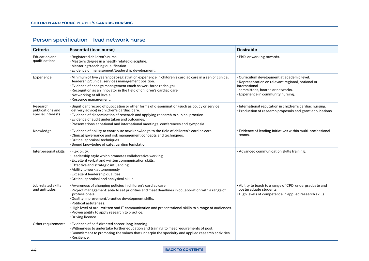| Person specification - lead network nurse          |                                                                                                                                                                                                                                                                                                                                                                                                                                                       |                                                                                                                                                                                             |  |
|----------------------------------------------------|-------------------------------------------------------------------------------------------------------------------------------------------------------------------------------------------------------------------------------------------------------------------------------------------------------------------------------------------------------------------------------------------------------------------------------------------------------|---------------------------------------------------------------------------------------------------------------------------------------------------------------------------------------------|--|
| <b>Criteria</b>                                    | <b>Essential (lead nurse)</b>                                                                                                                                                                                                                                                                                                                                                                                                                         | <b>Desirable</b>                                                                                                                                                                            |  |
| Education and<br>aualifications                    | · Registered children's nurse.<br>$\cdot$ Master's degree in a health-related discipline.<br>· Mentoring/teaching qualification.<br>· Evidence of management/leadership development.                                                                                                                                                                                                                                                                  | · PhD, or working towards.                                                                                                                                                                  |  |
| Experience                                         | Minimum of five years' post-registration experience in children's cardiac care in a senior clinical •<br>leadership/clinical services management position.<br>· Evidence of change management (such as workforce redesign).<br>· Recognition as an innovator in the field of children's cardiac care.<br>· Networking at all levels<br>· Resource management.                                                                                         | · Curriculum development at academic level.<br>· Representation on relevant regional, national or<br>international<br>committees, boards or networks.<br>· Experience in community nursing. |  |
| Research.<br>publications and<br>special interests | · Significant record of publication or other forms of dissemination (such as policy or service<br>delivery advice) in children's cardiac care.<br>· Evidence of dissemination of research and applying research to clinical practice.<br>· Evidence of audit undertaken and outcomes.<br>• Presentations at national and international meetings, conferences and symposia.                                                                            | · International reputation in children's cardiac nursing.<br>· Production of research proposals and grant applications.                                                                     |  |
| Knowledge                                          | · Evidence of ability to contribute new knowledge to the field of children's cardiac care.<br>$\cdot$ Clinical governance and risk management concepts and techniques.<br>· Critical appraisal techniques.<br>· Sound knowledge of safeguarding legislation.                                                                                                                                                                                          | · Evidence of leading initiatives within multi-professional<br>teams.                                                                                                                       |  |
| Interpersonal skills                               | $\cdot$ Flexibility.<br>· Leadership style which promotes collaborative working.<br>$\cdot$ Excellent verbal and written communication skills.<br>$\cdot$ Effective and strategic influencing.<br>• Ability to work autonomously.<br>· Excellent leadership qualities.<br>· Critical appraisal and analytical skills.                                                                                                                                 | · Advanced communication skills training.                                                                                                                                                   |  |
| Job-related skills<br>and aptitudes                | · Awareness of changing policies in children's cardiac care.<br>· Project management: able to set priorities and meet deadlines in collaboration with a range of<br>professionals.<br>· Quality improvement/practice development skills.<br>• Political astuteness.<br>· High level of oral, written and IT communication and presentational skills to a range of audiences.<br>· Proven ability to apply research to practice.<br>• Driving licence. | · Ability to teach to a range of CPD, undergraduate and<br>postgraduate students.<br>· High levels of competence in applied research skills.                                                |  |
| Other requirements                                 | · Evidence of self-directed career-long learning.<br>. Willingness to undertake further education and training to meet requirements of post.<br>. Commitment to promoting the values that underpin the specialty and applied research activities.<br>• Resilience.                                                                                                                                                                                    |                                                                                                                                                                                             |  |

#### 44 **[BACK TO CONTENTS](#page-2-0)**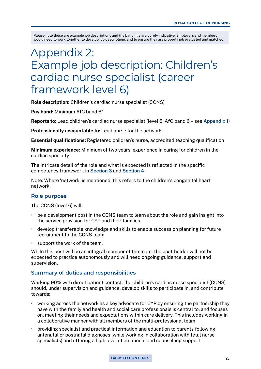# Appendix 2: Example job description: Children's cardiac nurse specialist (career framework level 6)

Role description: Children's cardiac nurse specialist (CCNS)

Pay band: Minimum AfC band 6<sup>\*</sup>

Reports to: Lead children's cardiac nurse specialist (level 6, AfC band 6 – see [Appendix 1](#page-39-0))

Professionally accountable to: Lead nurse for the network

Essential qualifications: Registered children's nurse, accredited teaching qualification

Minimum experience: Minimum of two years' experience in caring for children in the cardiac specialty

The intricate detail of the role and what is expected is reflected in the specific competency framework in [Section 3](#page-10-0) and [Section 4](#page-19-0)

Note: Where 'network' is mentioned, this refers to the children's congenital heart network.

### **Role purpose**

The CCNS (level 6) will:

- be a development post in the CCNS team to learn about the role and gain insight into the service provision for CYP and their families
- develop transferable knowledge and skills to enable succession planning for future recruitment to the CCNS team
- support the work of the team.

While this post will be an integral member of the team, the post-holder will not be expected to practice autonomously and will need ongoing guidance, support and supervision.

### **Summary of duties and responsibilities**

Working 90% with direct patient contact, the children's cardiac nurse specialist (CCNS) should, under supervision and guidance, develop skills to participate in, and contribute towards:

- working across the network as a key advocate for CYP by ensuring the partnership they have with the family and health and social care professionals is central to, and focuses on, meeting their needs and expectations within care delivery. This includes working in a collaborative manner with all members of the multi-professional team
- providing specialist and practical information and education to parents following antenatal or postnatal diagnoses (while working in collaboration with fetal nurse specialists) and offering a high level of emotional and counselling support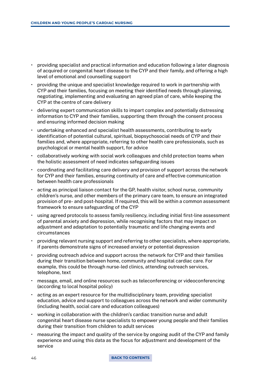- providing specialist and practical information and education following a later diagnosis of acquired or congenital heart disease to the CYP and their family, and offering a high level of emotional and counselling support
- providing the unique and specialist knowledge required to work in partnership with CYP and their families, focusing on meeting their identified needs through planning, negotiating, implementing and evaluating an agreed plan of care, while keeping the CYP at the centre of care delivery
- delivering expert communication skills to impart complex and potentially distressing information to CYP and their families, supporting them through the consent process and ensuring informed decision making
- undertaking enhanced and specialist health assessments, contributing to early identification of potential cultural, spiritual, biopsychosocial needs of CYP and their families and, where appropriate, referring to other health care professionals, such as psychological or mental health support, for advice
- collaboratively working with social work colleagues and child protection teams when the holistic assessment of need indicates safeguarding issues
- coordinating and facilitating care delivery and provision of support across the network for CYP and their families, ensuring continuity of care and effective communication between health care professionals
- acting as principal liaison contact for the GP, health visitor, school nurse, community children's nurse, and other members of the primary care team, to ensure an integrated provision of pre- and post-hospital. If required, this will be within a common assessment framework to ensure safeguarding of the CYP
- using agreed protocols to assess family resiliency, including initial first-line assessment of parental anxiety and depression, while recognising factors that may impact on adjustment and adaptation to potentially traumatic and life changing events and circumstances
- providing relevant nursing support and referring to other specialists, where appropriate, if parents demonstrate signs of increased anxiety or potential depression
- providing outreach advice and support across the network for CYP and their families during their transition between home, community and hospital cardiac care. For example, this could be through nurse-led clinics, attending outreach services, telephone, text
- message, email, and online resources such as teleconferencing or videoconferencing (according to local hospital policy)
- acting as an expert resource for the multidisciplinary team, providing specialist education, advice and support to colleagues across the network and wider community (including health, social care and education colleagues)
- working in collaboration with the children's cardiac transition nurse and adult congenital heart disease nurse specialists to empower young people and their families during their transition from children to adult services
- measuring the impact and quality of the service by ongoing audit of the CYP and family experience and using this data as the focus for adjustment and development of the service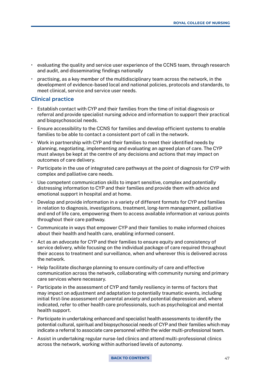- evaluating the quality and service user experience of the CCNS team, through research and audit, and disseminating findings nationally
- practising, as a key member of the multidisciplinary team across the network, in the development of evidence-based local and national policies, protocols and standards, to meet clinical, service and service user needs.

### **Clinical practice**

- Establish contact with CYP and their families from the time of initial diagnosis or referral and provide specialist nursing advice and information to support their practical and biopsychosocial needs.
- Ensure accessibility to the CCNS for families and develop efficient systems to enable families to be able to contact a consistent port of call in the network.
- Work in partnership with CYP and their families to meet their identified needs by planning, negotiating, implementing and evaluating an agreed plan of care. The CYP must always be kept at the centre of any decisions and actions that may impact on outcomes of care delivery.
- Participate in the use of integrated care pathways at the point of diagnosis for CYP with complex and palliative care needs.
- Use competent communication skills to impart sensitive, complex and potentially distressing information to CYP and their families and provide them with advice and emotional support in hospital and at home.
- Develop and provide information in a variety of different formats for CYP and families in relation to diagnosis, investigations, treatment, long-term management, palliative and end of life care, empowering them to access available information at various points throughout their care pathway.
- Communicate in ways that empower CYP and their families to make informed choices about their health and health care, enabling informed consent.
- Act as an advocate for CYP and their families to ensure equity and consistency of service delivery, while focusing on the individual package of care required throughout their access to treatment and surveillance, when and wherever this is delivered across the network.
- Help facilitate discharge planning to ensure continuity of care and effective communication across the network, collaborating with community nursing and primary care services where necessary.
- Participate in the assessment of CYP and family resiliency in terms of factors that may impact on adjustment and adaptation to potentially traumatic events, including initial first-line assessment of parental anxiety and potential depression and, where indicated, refer to other health care professionals, such as psychological and mental health support.
- Participate in undertaking enhanced and specialist health assessments to identify the potential cultural, spiritual and biopsychosocial needs of CYP and their families which may indicate a referral to associate care personnel within the wider multi-professional team.
- Assist in undertaking regular nurse-led clinics and attend multi-professional clinics across the network, working within authorised levels of autonomy.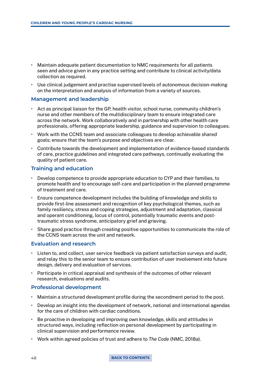- Maintain adequate patient documentation to NMC requirements for all patients seen and advice given in any practice setting and contribute to clinical activity/data collection as required.
- Use clinical judgement and practise supervised levels of autonomous decision-making on the interpretation and analysis of information from a variety of sources.

### **Management and leadership**

- Act as principal liaison for the GP, health visitor, school nurse, community children's nurse and other members of the multidisciplinary team to ensure integrated care across the network. Work collaboratively and in partnership with other health care professionals, offering appropriate leadership, guidance and supervision to colleagues.
- Work with the CCNS team and associate colleagues to develop achievable shared goals; ensure that the team's purpose and objectives are clear.
- Contribute towards the development and implementation of evidence-based standards of care, practice guidelines and integrated care pathways, continually evaluating the quality of patient care.

### **Training and education**

- Develop competence to provide appropriate education to CYP and their families, to promote health and to encourage self-care and participation in the planned programme of treatment and care.
- Ensure competence development includes the building of knowledge and skills to provide first-line assessment and recognition of key psychological themes, such as family resiliency, stress and coping strategies, adjustment and adaptation, classical and operant conditioning, locus of control, potentially traumatic events and posttraumatic stress syndrome, anticipatory grief and grieving.
- Share good practice through creating positive opportunities to communicate the role of the CCNS team across the unit and network.

### **Evaluation and research**

- Listen to, and collect, user service feedback via patient satisfaction surveys and audit, and relay this to the senior team to ensure contribution of user involvement into future design, delivery and evaluation of services.
- Participate in critical appraisal and synthesis of the outcomes of other relevant research, evaluations and audits.

### **Professional development**

- Maintain a structured development profile during the secondment period to the post.
- Develop an insight into the development of network, national and international agendas for the care of children with cardiac conditions.
- Be proactive in developing and improving own knowledge, skills and attitudes in structured ways, including reflection on personal development by participating in clinical supervision and performance review.
- Work within agreed policies of trust and adhere to *The Code* (NMC, 2018a).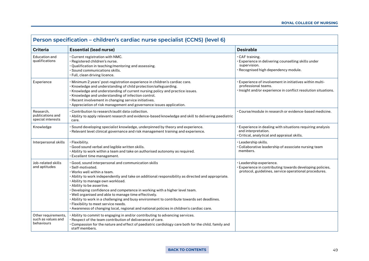| Person specification - children's cardiac nurse specialist (CCNS) (level 6) |                                                                                                                                                                                                                                                                                                                                                                                                                                                                                                                                                                                                                                                                      |                                                                                                                                                   |  |
|-----------------------------------------------------------------------------|----------------------------------------------------------------------------------------------------------------------------------------------------------------------------------------------------------------------------------------------------------------------------------------------------------------------------------------------------------------------------------------------------------------------------------------------------------------------------------------------------------------------------------------------------------------------------------------------------------------------------------------------------------------------|---------------------------------------------------------------------------------------------------------------------------------------------------|--|
| <b>Criteria</b>                                                             | <b>Essential (lead nurse)</b>                                                                                                                                                                                                                                                                                                                                                                                                                                                                                                                                                                                                                                        | <b>Desirable</b>                                                                                                                                  |  |
| <b>Education and</b><br>qualifications                                      | . Current registration with NMC.<br>· Registered children's nurse.<br>· Qualification in teaching/mentoring and assessing.<br>· Sound communications skills.<br>· Full, clean driving licence.                                                                                                                                                                                                                                                                                                                                                                                                                                                                       | · CAF training.<br>· Experience in delivering counselling skills under<br>supervision.<br>· Recognised high dependency module.                    |  |
| Experience                                                                  | · Minimum 2 years' post-registration experience in children's cardiac care.<br>· Knowledge and understanding of child protection/safeguarding.<br>. Knowledge and understanding of current nursing policy and practice issues.<br>· Knowledge and understanding of infection control.<br>· Recent involvement in changing service initiatives.<br>· Appreciation of risk management and governance issues application.                                                                                                                                                                                                                                               | · Experience of involvement in initiatives within multi-<br>professional teams.<br>. Insight and/or experience in conflict resolution situations. |  |
| Research,<br>publications and<br>special interests                          | . Contribution to research/audit data collection.<br>· Ability to apply relevant research and evidence-based knowledge and skill to delivering paediatric<br>care.                                                                                                                                                                                                                                                                                                                                                                                                                                                                                                   | • Course/module in research or evidence-based medicine.                                                                                           |  |
| Knowledge                                                                   | · Sound developing specialist knowledge, underpinned by theory and experience.<br>· Relevant level clinical governance and risk management training and experience.                                                                                                                                                                                                                                                                                                                                                                                                                                                                                                  | Experience in dealing with situations requiring analysis<br>and interpretation.<br>· Critical, analytical and appraisal skills.                   |  |
| Interpersonal skills                                                        | · Flexibility.<br>· Good sound verbal and legible written skills.<br>. Ability to work within a team and take on authorised autonomy as required.<br>· Excellent time management.                                                                                                                                                                                                                                                                                                                                                                                                                                                                                    | · Leadership skills.<br>· Collaborative leadership of associate nursing team<br>members.                                                          |  |
| Job-related skills<br>and aptitudes                                         | . Good, sound interpersonal and communication skills<br>· Self-motivated.<br>$\cdot$ Works well within a team.<br>• Ability to work independently and take on additional responsibility as directed and appropriate.<br>· Ability to manage own workload.<br>. Ability to be assertive.<br>· Developing confidence and competence in working with a higher level team.<br>. Well organised and able to manage time effectively.<br>. Ability to work in a challenging and busy environment to contribute towards set deadlines.<br>· Flexibility to meet service needs.<br>· Awareness of changing local, regional and national policies in children's cardiac care. | · Leadership experience.<br>· Experience in contributing towards developing policies,<br>protocol, guidelines, service operational procedures.    |  |
| Other requirements,<br>such as values and<br>behaviours                     | . Ability to commit to engaging in and/or contributing to advancing services.<br>. Respect of the team contribution of deliverance of care.<br>. Compassion for the nature and effect of paediatric cardiology care both for the child, family and<br>staff members.                                                                                                                                                                                                                                                                                                                                                                                                 |                                                                                                                                                   |  |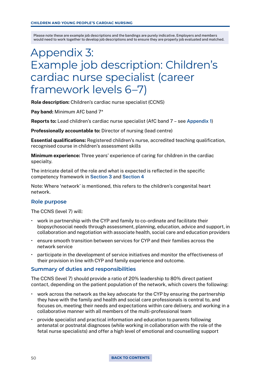# Appendix 3: Example job description: Children's cardiac nurse specialist (career framework levels 6–7)

Role description: Children's cardiac nurse specialist (CCNS)

Pay band: Minimum AfC band  $7*$ 

Reports to: Lead children's cardiac nurse specialist (AfC band 7 – see [Appendix 1](#page-39-0))

Professionally accountable to: Director of nursing (lead centre)

Essential qualifications: Registered children's nurse, accredited teaching qualification, recognised course in children's assessment skills

Minimum experience: Three years' experience of caring for children in the cardiac specialty.

The intricate detail of the role and what is expected is reflected in the specific competency framework in [Section 3](#page-10-0) and [Section 4](#page-19-0)

Note: Where 'network' is mentioned, this refers to the children's congenital heart network.

### **Role purpose**

The CCNS (level 7) will:

- work in partnership with the CYP and family to co-ordinate and facilitate their biopsychosocial needs through assessment, planning, education, advice and support, in collaboration and negotiation with associate health, social care and education providers
- ensure smooth transition between services for CYP and their families across the network service
- participate in the development of service initiatives and monitor the effectiveness of their provision in line with CYP and family experience and outcome.

### **Summary of duties and responsibilities**

The CCNS (level 7) should provide a ratio of 20% leadership to 80% direct patient contact, depending on the patient population of the network, which covers the following:

- work across the network as the key advocate for the CYP by ensuring the partnership they have with the family and health and social care professionals is central to, and focuses on, meeting their needs and expectations within care delivery, and working in a collaborative manner with all members of the multi-professional team
- provide specialist and practical information and education to parents following antenatal or postnatal diagnoses (while working in collaboration with the role of the fetal nurse specialists) and offer a high level of emotional and counselling support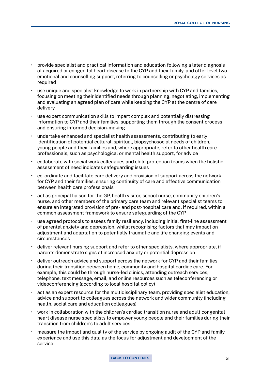- provide specialist and practical information and education following a later diagnosis of acquired or congenital heart disease to the CYP and their family, and offer level two emotional and counselling support, referring to counselling or psychology services as required
- use unique and specialist knowledge to work in partnership with CYP and families, focusing on meeting their identified needs through planning, negotiating, implementing and evaluating an agreed plan of care while keeping the CYP at the centre of care delivery
- use expert communication skills to impart complex and potentially distressing information to CYP and their families, supporting them through the consent process and ensuring informed decision-making
- undertake enhanced and specialist health assessments, contributing to early identification of potential cultural, spiritual, biopsychosocial needs of children, young people and their families and, where appropriate, refer to other health care professionals, such as psychological or mental health support, for advice
- collaborate with social work colleagues and child protection teams when the holistic assessment of need indicates safeguarding issues
- co-ordinate and facilitate care delivery and provision of support across the network for CYP and their families, ensuring continuity of care and effective communication between health care professionals
- act as principal liaison for the GP, health visitor, school nurse, community children's nurse, and other members of the primary care team and relevant specialist teams to ensure an integrated provision of pre- and post-hospital care and, if required, within a common assessment framework to ensure safeguarding of the CYP
- use agreed protocols to assess family resiliency, including initial first-line assessment of parental anxiety and depression, whilst recognising factors that may impact on adjustment and adaptation to potentially traumatic and life changing events and circumstances
- deliver relevant nursing support and refer to other specialists, where appropriate, if parents demonstrate signs of increased anxiety or potential depression
- deliver outreach advice and support across the network for CYP and their families during their transition between home, community and hospital cardiac care. For example, this could be through nurse-led clinics, attending outreach services, telephone, text message, email, and online resources such as teleconferencing or videoconferencing (according to local hospital policy)
- act as an expert resource for the multidisciplinary team, providing specialist education, advice and support to colleagues across the network and wider community (including health, social care and education colleagues)
- work in collaboration with the children's cardiac transition nurse and adult congenital heart disease nurse specialists to empower young people and their families during their transition from children's to adult services
- measure the impact and quality of the service by ongoing audit of the CYP and family experience and use this data as the focus for adjustment and development of the service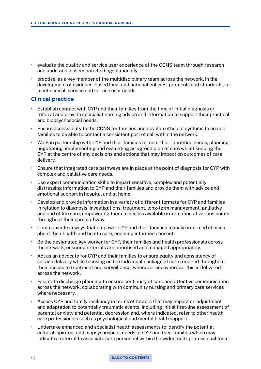- evaluate the quality and service user experience of the CCNS team through research and audit and disseminate findings nationally
- practise, as a key member of the multidisciplinary team across the network, in the development of evidence-based local and national policies, protocols and standards, to meet clinical, service and service user needs.

### **Clinical practice**

- Establish contact with CYP and their families from the time of initial diagnosis or referral and provide specialist nursing advice and information to support their practical and biopsychosocial needs.
- Ensure accessibility to the CCNS for families and develop efficient systems to enable families to be able to contact a consistent port of call within the network.
- Work in partnership with CYP and their families to meet their identified needs; planning, negotiating, implementing and evaluating an agreed plan of care whilst keeping the CYP at the centre of any decisions and actions that may impact on outcomes of care delivery.
- Ensure that integrated care pathways are in place at the point of diagnosis for CYP with complex and palliative care needs.
- Use expert communication skills to impart sensitive, complex and potentially distressing information to CYP and their families and provide them with advice and emotional support in hospital and at home.
- Develop and provide information in a variety of different formats for CYP and families in relation to diagnosis, investigations, treatment, long-term management, palliative and end of life care; empowering them to access available information at various points throughout their care pathway.
- Communicate in ways that empower CYP and their families to make informed choices about their health and health care, enabling informed consent.
- Be the designated key worker for CYP, their families and health professionals across the network, ensuring referrals are prioritised and managed appropriately.
- Act as an advocate for CYP and their families to ensure equity and consistency of service delivery while focusing on the individual package of care required throughout their access to treatment and surveillance, whenever and wherever this is delivered across the network.
- Facilitate discharge planning to ensure continuity of care and effective communication across the network, collaborating with community nursing and primary care services where necessary.
- Assess CYP and family resiliency in terms of factors that may impact on adjustment and adaptation to potentially traumatic events, including initial first-line assessment of parental anxiety and potential depression and, where indicated, refer to other health care professionals such as psychological and mental health support.
- Undertake enhanced and specialist health assessments to identify the potential cultural, spiritual and biopsychosocial needs of CYP and their families which may indicate a referral to associate care personnel within the wider multi-professional team.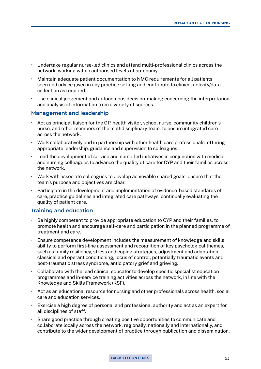- Undertake regular nurse-led clinics and attend multi-professional clinics across the network, working within authorised levels of autonomy.
- Maintain adequate patient documentation to NMC requirements for all patients seen and advice given in any practice setting and contribute to clinical activity/data collection as required.
- Use clinical judgement and autonomous decision-making concerning the interpretation and analysis of information from a variety of sources.

### **Management and leadership**

- Act as principal liaison for the GP, health visitor, school nurse, community children's nurse, and other members of the multidisciplinary team, to ensure integrated care across the network.
- Work collaboratively and in partnership with other health care professionals, offering appropriate leadership, guidance and supervision to colleagues.
- Lead the development of service and nurse-led initiatives in conjunction with medical and nursing colleagues to advance the quality of care for CYP and their families across the network.
- Work with associate colleagues to develop achievable shared goals; ensure that the team's purpose and objectives are clear.
- Participate in the development and implementation of evidence-based standards of care, practice guidelines and integrated care pathways, continually evaluating the quality of patient care.

### **Training and education**

- Be highly competent to provide appropriate education to CYP and their families, to promote health and encourage self-care and participation in the planned programme of treatment and care.
- Ensure competence development includes the measurement of knowledge and skills ability to perform first-line assessment and recognition of key psychological themes, such as family resiliency, stress and coping strategies, adjustment and adaptation, classical and operant conditioning, locus of control, potentially traumatic events and post-traumatic stress syndrome, anticipatory grief and grieving.
- Collaborate with the lead clinical educator to develop specific specialist education programmes and in-service training activities across the network, in line with the Knowledge and Skills Framework (KSF).
- Act as an educational resource for nursing and other professionals across health, social care and education services.
- Exercise a high degree of personal and professional authority and act as an expert for all disciplines of staff.
- Share good practice through creating positive opportunities to communicate and collaborate locally across the network, regionally, nationally and internationally, and contribute to the wider development of practice through publication and dissemination.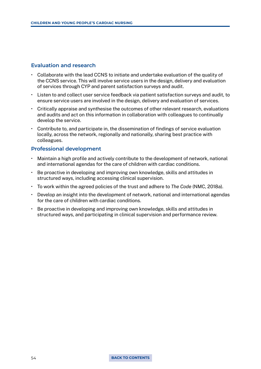### **Evaluation and research**

- Collaborate with the lead CCNS to initiate and undertake evaluation of the quality of the CCNS service. This will involve service users in the design, delivery and evaluation of services through CYP and parent satisfaction surveys and audit.
- Listen to and collect user service feedback via patient satisfaction surveys and audit, to ensure service users are involved in the design, delivery and evaluation of services.
- Critically appraise and synthesise the outcomes of other relevant research, evaluations and audits and act on this information in collaboration with colleagues to continually develop the service.
- Contribute to, and participate in, the dissemination of findings of service evaluation locally, across the network, regionally and nationally, sharing best practice with colleagues.

### **Professional development**

- Maintain a high profile and actively contribute to the development of network, national and international agendas for the care of children with cardiac conditions.
- Be proactive in developing and improving own knowledge, skills and attitudes in structured ways, including accessing clinical supervision.
- To work within the agreed policies of the trust and adhere to *The Code* (NMC, 2018a).
- Develop an insight into the development of network, national and international agendas for the care of children with cardiac conditions.
- Be proactive in developing and improving own knowledge, skills and attitudes in structured ways, and participating in clinical supervision and performance review.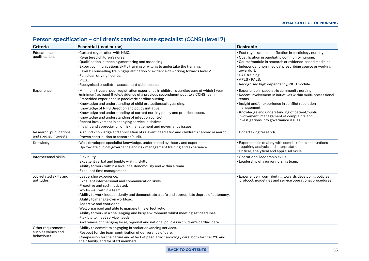| Person specification - children's cardiac nurse specialist (CCNS) (level 7) |                                                                                                                                                                                                                                                                                                                                                                                                                                                                                                                                                                                                                                               |                                                                                                                                                                                                                                                                                                                                               |  |
|-----------------------------------------------------------------------------|-----------------------------------------------------------------------------------------------------------------------------------------------------------------------------------------------------------------------------------------------------------------------------------------------------------------------------------------------------------------------------------------------------------------------------------------------------------------------------------------------------------------------------------------------------------------------------------------------------------------------------------------------|-----------------------------------------------------------------------------------------------------------------------------------------------------------------------------------------------------------------------------------------------------------------------------------------------------------------------------------------------|--|
| <b>Criteria</b>                                                             | <b>Essential (lead nurse)</b>                                                                                                                                                                                                                                                                                                                                                                                                                                                                                                                                                                                                                 | <b>Desirable</b>                                                                                                                                                                                                                                                                                                                              |  |
| Education and<br>qualifications                                             | . Current registration with NMC.<br>$\cdot$ Registered children's nurse.<br>· Qualification in teaching/mentoring and assessing.<br>. Expert communications skills training or willing to undertake the training.<br>$\cdot$ Level 2 counselling training/qualification or evidence of working towards level 2.<br>· Full clean driving licence.<br>$·$ PILS.<br>• Recognised paediatric assessment skills course.                                                                                                                                                                                                                            | · Post registration qualification in cardiology nursing.<br>• Qualification in paediatric community nursing.<br>• Course/module in research or evidence-based medicine.<br>Independent non-medical prescribing course or working<br>towards it.<br>$\cdot$ CAF training.<br>$\cdot$ APLS / PALS.<br>· Recognised high dependency/PICU module. |  |
| Experience                                                                  | · Minimum 3 years' post-registration experience in children's cardiac care of which 1 year<br>(minimum) as band 6 role/evidence of a previous secondment post to a CCNS team.<br>· Embedded experience in paediatric cardiac nursing.<br>· Knowledge and understanding of child protection/safeguarding.<br>$\cdot$ Knowledge of NHS Direction and policy initiative.<br>· Knowledge and understanding of current nursing policy and practice issues.<br>· Knowledge and understanding of infection control.<br>· Recent involvement in changing service initiatives.<br>· Insight and appreciation of risk management and governance issues. | • Experience in paediatric community nursing.<br>· Recent involvement in initiatives within multi-professional<br>teams.<br>· Insight and/or experience in conflict resolution<br>management.<br>· Knowledge and understanding of patient/public<br>Involvement, management of complaints and<br>investigations into governance issues.       |  |
| Research, publications<br>and special interests                             | $\cdot$ A sound knowledge and application of relevant paediatric and children's cardiac research.<br>• Proven contribution to research/audit.                                                                                                                                                                                                                                                                                                                                                                                                                                                                                                 | · Undertaking research.                                                                                                                                                                                                                                                                                                                       |  |
| Knowledge                                                                   | . Well-developed specialist knowledge, underpinned by theory and experience.<br>$\cdot$ Up-to-date clinical governance and risk management training and experience.                                                                                                                                                                                                                                                                                                                                                                                                                                                                           | Experience in dealing with complex facts or situations<br>requiring analysis and interpretation.<br>$\cdot$ Critical, analytical and appraisal skills.                                                                                                                                                                                        |  |
| Interpersonal skills                                                        | • Flexibility<br>$\cdot$ Excellent verbal and legible writing skills<br>• Ability to work within a level of autonomously and within a team<br>$\cdot$ Excellent time management                                                                                                                                                                                                                                                                                                                                                                                                                                                               | Operational leadership skills.<br>• Leadership of a junior nursing team.                                                                                                                                                                                                                                                                      |  |
| Job-related skills and<br>aptitudes                                         | $\cdot$ Leadership experience.<br>$\cdot$ Excellent interpersonal and communication skills.<br>• Proactive and self-motivated.<br>$\cdot$ Works well within a team.<br>· Ability to work independently and demonstrate a safe and appropriate degree of autonomy.<br>• Ability to manage own workload.<br>• Assertive and confident.<br>$\cdot$ Well organised and able to manage time effectively.<br>· Ability to work in a challenging and busy environment whilst meeting set deadlines.<br>· Flexible to meet service needs.<br>· Awareness of changing local, regional and national policies in children's cardiac care.                | Experience in contributing towards developing policies,<br>protocol, guidelines and service operational procedures.                                                                                                                                                                                                                           |  |
| Other requirements,<br>such as values and<br>behaviours                     | . Ability to commit to engaging in and/or advancing services.<br>• Respect for the team contribution of deliverance of care.<br>$\cdot$ Compassion for the nature and effect of paediatric cardiology care, both for the CYP and<br>their family, and for staff members.                                                                                                                                                                                                                                                                                                                                                                      |                                                                                                                                                                                                                                                                                                                                               |  |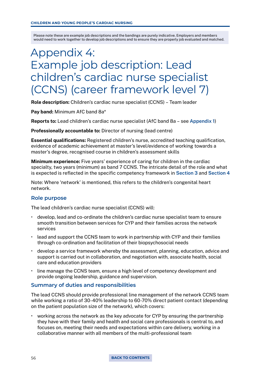# Appendix 4: Example job description: Lead children's cardiac nurse specialist (CCNS) (career framework level 7)

Role description: Children's cardiac nurse specialist (CCNS) – Team leader

Pay band: Minimum AfC band 8a\*

Reports to: Lead children's cardiac nurse specialist (AfC band 8a – see [Appendix 1\)](#page-39-0)

Professionally accountable to: Director of nursing (lead centre)

Essential qualifications: Registered children's nurse, accredited teaching qualification, evidence of academic achievement at master's level/evidence of working towards a master's degree, recognised course in children's assessment skills

Minimum experience: Five years' experience of caring for children in the cardiac specialty, two years (minimum) as band 7 CCNS. The intricate detail of the role and what is expected is reflected in the specific competency framework in [Section 3](#page-10-0) and [Section 4](#page-19-0)

Note: Where 'network' is mentioned, this refers to the children's congenital heart network.

### **Role purpose**

The lead children's cardiac nurse specialist (CCNS) will:

- develop, lead and co-ordinate the children's cardiac nurse specialist team to ensure smooth transition between services for CYP and their families across the network services
- lead and support the CCNS team to work in partnership with CYP and their families through co-ordination and facilitation of their biopsychosocial needs
- develop a service framework whereby the assessment, planning, education, advice and support is carried out in collaboration, and negotiation with, associate health, social care and education providers
- line manage the CCNS team, ensure a high level of competency development and provide ongoing leadership, guidance and supervision.

### **Summary of duties and responsibilities**

The lead CCNS should provide professional line management of the network CCNS team while working a ratio of 30-40% leadership to 60-70% direct patient contact (depending on the patient population size of the network), which covers:

• working across the network as the key advocate for CYP by ensuring the partnership they have with their family and health and social care professionals is central to, and focuses on, meeting their needs and expectations within care delivery, working in a collaborative manner with all members of the multi-professional team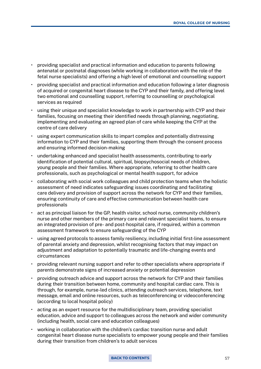- providing specialist and practical information and education to parents following antenatal or postnatal diagnoses (while working in collaboration with the role of the fetal nurse specialists) and offering a high level of emotional and counselling support
- providing specialist and practical information and education following a later diagnosis of acquired or congenital heart disease to the CYP and their family, and offering level two emotional and counselling support, referring to counselling or psychological services as required
- using their unique and specialist knowledge to work in partnership with CYP and their families, focusing on meeting their identified needs through planning, negotiating, implementing and evaluating an agreed plan of care while keeping the CYP at the centre of care delivery
- using expert communication skills to impart complex and potentially distressing information to CYP and their families, supporting them through the consent process and ensuring informed decision-making
- undertaking enhanced and specialist health assessments, contributing to early identification of potential cultural, spiritual, biopsychosocial needs of children, young people and their families. Where appropriate, referring to other health care professionals, such as psychological or mental health support, for advice
- collaborating with social work colleagues and child protection teams when the holistic assessment of need indicates safeguarding issues coordinating and facilitating care delivery and provision of support across the network for CYP and their families, ensuring continuity of care and effective communication between health care professionals
- act as principal liaison for the GP, health visitor, school nurse, community children's nurse and other members of the primary care and relevant specialist teams, to ensure an integrated provision of pre- and post-hospital care, if required, within a common assessment framework to ensure safeguarding of the CYP
- using agreed protocols to assess family resiliency, including initial first-line assessment of parental anxiety and depression, whilst recognising factors that may impact on adjustment and adaptation to potentially traumatic and life-changing events and circumstances
- providing relevant nursing support and refer to other specialists where appropriate if parents demonstrate signs of increased anxiety or potential depression
- providing outreach advice and support across the network for CYP and their families during their transition between home, community and hospital cardiac care. This is through, for example, nurse-led clinics, attending outreach services, telephone, text message, email and online resources, such as teleconferencing or videoconferencing (according to local hospital policy)
- acting as an expert resource for the multidisciplinary team, providing specialist education, advice and support to colleagues across the network and wider community (including health, social care and education colleagues)
- working in collaboration with the children's cardiac transition nurse and adult congenital heart disease nurse specialists to empower young people and their families during their transition from children's to adult services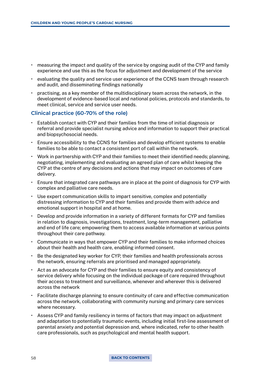- measuring the impact and quality of the service by ongoing audit of the CYP and family experience and use this as the focus for adjustment and development of the service
- evaluating the quality and service user experience of the CCNS team through research and audit, and disseminating findings nationally
- practising, as a key member of the multidisciplinary team across the network, in the development of evidence-based local and national policies, protocols and standards, to meet clinical, service and service user needs.

### **Clinical practice (60-70% of the role)**

- Establish contact with CYP and their families from the time of initial diagnosis or referral and provide specialist nursing advice and information to support their practical and biopsychosocial needs.
- Ensure accessibility to the CCNS for families and develop efficient systems to enable families to be able to contact a consistent port of call within the network.
- Work in partnership with CYP and their families to meet their identified needs; planning, negotiating, implementing and evaluating an agreed plan of care whilst keeping the CYP at the centre of any decisions and actions that may impact on outcomes of care delivery.
- Ensure that integrated care pathways are in place at the point of diagnosis for CYP with complex and palliative care needs.
- Use expert communication skills to impart sensitive, complex and potentially distressing information to CYP and their families and provide them with advice and emotional support in hospital and at home.
- Develop and provide information in a variety of different formats for CYP and families in relation to diagnosis, investigations, treatment, long-term management, palliative and end of life care; empowering them to access available information at various points throughout their care pathway.
- Communicate in ways that empower CYP and their families to make informed choices about their health and health care, enabling informed consent.
- Be the designated key worker for CYP, their families and health professionals across the network, ensuring referrals are prioritised and managed appropriately.
- Act as an advocate for CYP and their families to ensure equity and consistency of service delivery while focusing on the individual package of care required throughout their access to treatment and surveillance, whenever and wherever this is delivered across the network
- Facilitate discharge planning to ensure continuity of care and effective communication across the network, collaborating with community nursing and primary care services where necessary.
- Assess CYP and family resiliency in terms of factors that may impact on adjustment and adaptation to potentially traumatic events, including initial first-line assessment of parental anxiety and potential depression and, where indicated, refer to other health care professionals, such as psychological and mental health support.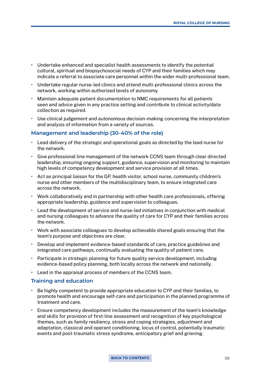- Undertake enhanced and specialist health assessments to identify the potential cultural, spiritual and biopsychosocial needs of CYP and their families which may indicate a referral to associate care personnel within the wider multi-professional team.
- Undertake regular nurse-led clinics and attend multi-professional clinics across the network, working within authorised levels of autonomy.
- Maintain adequate patient documentation to NMC requirements for all patients seen and advice given in any practice setting and contribute to clinical activity/data collection as required.
- Use clinical judgement and autonomous decision-making concerning the interpretation and analysis of information from a variety of sources.

### **Management and leadership (30-40% of the role)**

- Lead delivery of the strategic and operational goals as directed by the lead nurse for the network.
- Give professional line management of the network CCNS team through clear directed leadership, ensuring ongoing support, guidance, supervision and monitoring to maintain high levels of competency development and service provision at all times.
- Act as principal liaison for the GP, health visitor, school nurse, community children's nurse and other members of the multidisciplinary team, to ensure integrated care across the network.
- Work collaboratively and in partnership with other health care professionals, offering appropriate leadership, guidance and supervision to colleagues.
- Lead the development of service and nurse-led initiatives in conjunction with medical and nursing colleagues to advance the quality of care for CYP and their families across the network.
- Work with associate colleagues to develop achievable shared goals ensuring that the team's purpose and objectives are clear.
- Develop and implement evidence-based standards of care, practice guidelines and integrated care pathways, continually evaluating the quality of patient care.
- Participate in strategic planning for future quality service development, including evidence-based policy planning, both locally across the network and nationally.
- Lead in the appraisal process of members of the CCNS team.

### **Training and education**

- Be highly competent to provide appropriate education to CYP and their families, to promote health and encourage self-care and participation in the planned programme of treatment and care.
- Ensure competency development includes the measurement of the team's knowledge and skills for provision of first-line assessment and recognition of key psychological themes, such as family resiliency, stress and coping strategies, adjustment and adaptation, classical and operant conditioning, locus of control, potentially traumatic events and post-traumatic stress syndrome, anticipatory grief and grieving.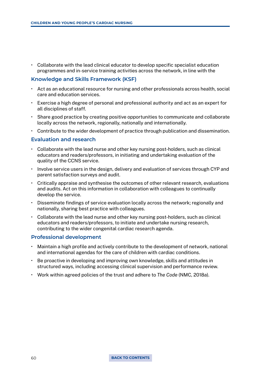• Collaborate with the lead clinical educator to develop specific specialist education programmes and in-service training activities across the network, in line with the

### **Knowledge and Skills Framework (KSF)**

- Act as an educational resource for nursing and other professionals across health, social care and education services.
- Exercise a high degree of personal and professional authority and act as an expert for all disciplines of staff.
- Share good practice by creating positive opportunities to communicate and collaborate locally across the network, regionally, nationally and internationally.
- Contribute to the wider development of practice through publication and dissemination.

### **Evaluation and research**

- Collaborate with the lead nurse and other key nursing post-holders, such as clinical educators and readers/professors, in initiating and undertaking evaluation of the quality of the CCNS service.
- Involve service users in the design, delivery and evaluation of services through CYP and parent satisfaction surveys and audit.
- Critically appraise and synthesise the outcomes of other relevant research, evaluations and audits. Act on this information in collaboration with colleagues to continually develop the service.
- Disseminate findings of service evaluation locally across the network; regionally and nationally, sharing best practice with colleagues.
- Collaborate with the lead nurse and other key nursing post-holders, such as clinical educators and readers/professors, to initiate and undertake nursing research, contributing to the wider congenital cardiac research agenda.

### **Professional development**

- Maintain a high profile and actively contribute to the development of network, national and international agendas for the care of children with cardiac conditions.
- Be proactive in developing and improving own knowledge, skills and attitudes in structured ways, including accessing clinical supervision and performance review.
- Work within agreed policies of the trust and adhere to *The Code* (NMC, 2018a).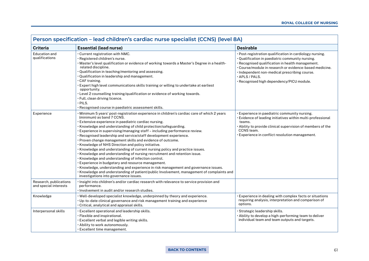| Person specification – lead children's cardiac nurse specialist (CCNS) (level 8A) |                                                                                                                                                                                                                                                                                                                                                                                                                                                                                                                                                                                                                                                                                                                                                                                                                                                                                                                                                                                                                                      |                                                                                                                                                                                                                                                                                                                                                   |  |
|-----------------------------------------------------------------------------------|--------------------------------------------------------------------------------------------------------------------------------------------------------------------------------------------------------------------------------------------------------------------------------------------------------------------------------------------------------------------------------------------------------------------------------------------------------------------------------------------------------------------------------------------------------------------------------------------------------------------------------------------------------------------------------------------------------------------------------------------------------------------------------------------------------------------------------------------------------------------------------------------------------------------------------------------------------------------------------------------------------------------------------------|---------------------------------------------------------------------------------------------------------------------------------------------------------------------------------------------------------------------------------------------------------------------------------------------------------------------------------------------------|--|
| <b>Criteria</b>                                                                   | <b>Essential (lead nurse)</b>                                                                                                                                                                                                                                                                                                                                                                                                                                                                                                                                                                                                                                                                                                                                                                                                                                                                                                                                                                                                        | <b>Desirable</b>                                                                                                                                                                                                                                                                                                                                  |  |
| <b>Education and</b><br>qualifications                                            | . Current registration with NMC.<br>· Registered children's nurse.<br>• Master's level qualification or evidence of working towards a Master's Degree in a health-<br>related discipline.<br>· Qualification in teaching/mentoring and assessing.<br>• Qualification in leadership and management.<br>$\cdot$ CAF training.<br>· Expert high level communications skills training or willing to undertake at earliest<br>opportunity.<br>. Level 2 counselling training/qualification or evidence of working towards.<br>· Full, clean driving licence.<br>$·$ PILS.<br>· Recognised course in paediatric assessment skills.                                                                                                                                                                                                                                                                                                                                                                                                         | · Post-registration qualification in cardiology nursing.<br>· Qualification in paediatric community nursing.<br>· Recognised qualification in health management.<br>• Course/module in research or evidence-based medicine.<br>· Independent non-medical prescribing course.<br>$\cdot$ APLS / PALS.<br>· Recognised high dependency/PICU module. |  |
| Experience                                                                        | • Minimum 5 years' post-registration experience in children's cardiac care of which 2 years<br>(minimum) as band 7 CCNS.<br>· Extensive experience in paediatric cardiac nursing.<br>• Knowledge and understanding of child protection/safeguarding.<br>. Experience in supervising/managing staff - including performance review.<br>· Recognised leadership and service/staff development experience.<br>• Proven change management skills and evidence of outcome.<br>· Knowledge of NHS Direction and policy initiative.<br>· Knowledge and understanding of current nursing policy and practice issues.<br>. Knowledge and understanding of nursing recruitment and retention issue.<br>· Knowledge and understanding of infection control.<br>· Experience in budgetary and resource management.<br>· Knowledge, understanding and experience in risk management and governance issues.<br>· Knowledge and understanding of patient/public Involvement, management of complaints and<br>investigations into governance issues. | · Experience in paediatric community nursing.<br>Evidence of leading initiatives within multi-professional<br>teams.<br>Ability to provide clinical supervision of members of the<br>CCNS team.<br>· Experience in conflict resolution management.                                                                                                |  |
| Research, publications<br>and special interests                                   | · Insight into children's and/or cardiac research with relevance to service provision and<br>performance.<br>$\cdot$ Involvement in audit and/or research studies.                                                                                                                                                                                                                                                                                                                                                                                                                                                                                                                                                                                                                                                                                                                                                                                                                                                                   |                                                                                                                                                                                                                                                                                                                                                   |  |
| Knowledge                                                                         | · Well-developed specialist knowledge, underpinned by theory and experience.<br>• Up-to-date clinical governance and risk management training and experience<br>Critical, analytical and appraisal skills.                                                                                                                                                                                                                                                                                                                                                                                                                                                                                                                                                                                                                                                                                                                                                                                                                           | Experience in dealing with complex facts or situations<br>requiring analysis, interpretation and comparison of<br>options.                                                                                                                                                                                                                        |  |
| Interpersonal skills                                                              | . Excellent operational and leadership skills.<br>· Flexible and inspirational.<br>. Excellent verbal and legible writing skills.<br>. Ability to work autonomously.<br>· Excellent time management.                                                                                                                                                                                                                                                                                                                                                                                                                                                                                                                                                                                                                                                                                                                                                                                                                                 | · Strategic leadership skills.<br>. Ability to develop a high-performing team to deliver<br>individual team and team outputs and targets.                                                                                                                                                                                                         |  |

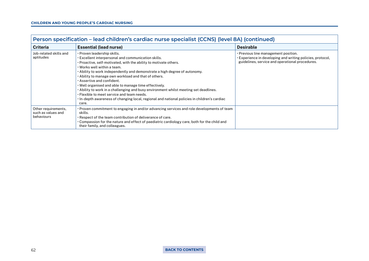| Person specification - lead children's cardiac nurse specialist (CCNS) (level 8A) (continued) |                                                                                                                                                                                                                                                                                                                                                                                                                                                                                                                                                                                                                                                                           |                                                                                                                                                           |  |
|-----------------------------------------------------------------------------------------------|---------------------------------------------------------------------------------------------------------------------------------------------------------------------------------------------------------------------------------------------------------------------------------------------------------------------------------------------------------------------------------------------------------------------------------------------------------------------------------------------------------------------------------------------------------------------------------------------------------------------------------------------------------------------------|-----------------------------------------------------------------------------------------------------------------------------------------------------------|--|
| <b>Criteria</b>                                                                               | <b>Essential (lead nurse)</b>                                                                                                                                                                                                                                                                                                                                                                                                                                                                                                                                                                                                                                             | <b>Desirable</b>                                                                                                                                          |  |
| Job-related skills and<br>aptitudes                                                           | · Proven leadership skills.<br>. Excellent interpersonal and communication skills.<br>• Proactive, self-motivated, with the ability to motivate others.<br>. Works well within a team.<br>• Ability to work independently and demonstrate a high degree of autonomy.<br>. Ability to manage own workload and that of others.<br>. Assertive and confident.<br>$\cdot$ Well organised and able to manage time effectively.<br>. Ability to work in a challenging and busy environment whilst meeting set deadlines.<br>. Flexible to meet service and team needs.<br>· In-depth awareness of changing local, regional and national policies in children's cardiac<br>care. | $\cdot$ Previous line management position.<br>Experience in developing and writing policies, protocol,<br>guidelines, service and operational procedures. |  |
| Other requirements,<br>such as values and<br>behaviours                                       | • Proven commitment to engaging in and/or advancing services and role developments of team<br>skills.<br>. Respect of the team contribution of deliverance of care.<br>$\cdot$ Compassion for the nature and effect of paediatric cardiology care, both for the child and<br>their family, and colleagues.                                                                                                                                                                                                                                                                                                                                                                |                                                                                                                                                           |  |

62 **[BACK TO CONTENTS](#page-2-0)**

 $\Gamma$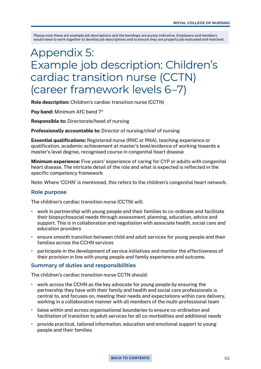# Appendix 5: Example job description: Children's cardiac transition nurse (CCTN) (career framework levels 6–7)

Role description: Children's cardiac transition nurse (CCTN)

Pay band: Minimum AfC band  $7*$ 

Responsible to: Directorate/head of nursing

Professionally accountable to: Director of nursing/chief of nursing

Essential qualifications: Registered nurse (RNC or RNA), teaching experience or qualification, academic achievement at master's level/evidence of working towards a master's level degree, recognised course in congenital heart disease

Minimum experience: Five years' experience of caring for CYP or adults with congenital heart disease. The intricate detail of the role and what is expected is reflected in the specific competency framework

Note: Where 'CCHN' is mentioned, this refers to the children's congenital heart network.

### **Role purpose**

The children's cardiac transition nurse (CCTN) will:

- work in partnership with young people and their families to co-ordinate and facilitate their biopsychosocial needs through assessment, planning, education, advice and support. This is in collaboration and negotiation with associate health, social care and education providers
- ensure smooth transition between child and adult services for young people and their families across the CCHN services
- participate in the development of service initiatives and monitor the effectiveness of their provision in line with young people and family experience and outcome.

### **Summary of duties and responsibilities**

The children's cardiac transition nurse CCTN should:

- work across the CCHN as the key advocate for young people by ensuring the partnership they have with their family and health and social care professionals is central to, and focuses on, meeting their needs and expectations within care delivery, working in a collaborative manner with all members of the multi-professional team
- liaise within and across organisational boundaries to ensure co-ordination and facilitation of transition to adult services for all co-morbidities and additional needs
- provide practical, tailored information, education and emotional support to young people and their families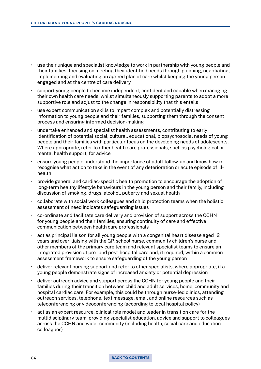- use their unique and specialist knowledge to work in partnership with young people and their families, focusing on meeting their identified needs through planning, negotiating, implementing and evaluating an agreed plan of care whilst keeping the young person engaged and at the centre of care delivery
- support young people to become independent, confident and capable when managing their own health care needs, whilst simultaneously supporting parents to adopt a more supportive role and adjust to the change in responsibility that this entails
- use expert communication skills to impart complex and potentially distressing information to young people and their families, supporting them through the consent process and ensuring informed decision-making
- undertake enhanced and specialist health assessments, contributing to early identification of potential social, cultural, educational, biopsychosocial needs of young people and their families with particular focus on the developing needs of adolescents. Where appropriate, refer to other health care professionals, such as psychological or mental health support, for advice
- ensure young people understand the importance of adult follow-up and know how to recognise what action to take in the event of any deterioration or acute episode of illhealth
- provide general and cardiac-specific health promotion to encourage the adoption of long-term healthy lifestyle behaviours in the young person and their family, including discussion of smoking, drugs, alcohol, puberty and sexual health
- collaborate with social work colleagues and child protection teams when the holistic assessment of need indicates safeguarding issues
- co-ordinate and facilitate care delivery and provision of support across the CCHN for young people and their families, ensuring continuity of care and effective communication between health care professionals
- act as principal liaison for all young people with a congenital heart disease aged 12 years and over; liaising with the GP, school nurse, community children's nurse and other members of the primary care team and relevant specialist teams to ensure an integrated provision of pre- and post-hospital care and, if required, within a common assessment framework to ensure safeguarding of the young person
- deliver relevant nursing support and refer to other specialists, where appropriate, if a young people demonstrate signs of increased anxiety or potential depression
- deliver outreach advice and support across the CCHN for young people and their families during their transition between child and adult services, home, community and hospital cardiac care. For example, this could be through nurse-led clinics, attending outreach services, telephone, text message, email and online resources such as teleconferencing or videoconferencing (according to local hospital policy)
- act as an expert resource, clinical role model and leader in transition care for the multidisciplinary team, providing specialist education, advice and support to colleagues across the CCHN and wider community (including health, social care and education colleagues)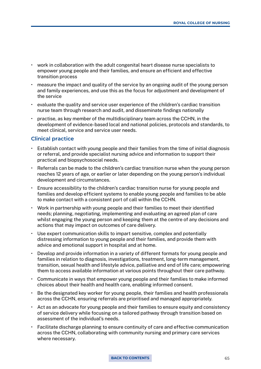- work in collaboration with the adult congenital heart disease nurse specialists to empower young people and their families, and ensure an efficient and effective transition process
- measure the impact and quality of the service by an ongoing audit of the young person and family experiences, and use this as the focus for adjustment and development of the service
- evaluate the quality and service user experience of the children's cardiac transition nurse team through research and audit, and disseminate findings nationally
- practise, as key member of the multidisciplinary team across the CCHN, in the development of evidence-based local and national policies, protocols and standards, to meet clinical, service and service user needs.

### **Clinical practice**

- Establish contact with young people and their families from the time of initial diagnosis or referral, and provide specialist nursing advice and information to support their practical and biopsychosocial needs.
- Referrals can be made to the children's cardiac transition nurse when the young person reaches 12 years of age, or earlier or later depending on the young person's individual development and circumstances.
- Ensure accessibility to the children's cardiac transition nurse for young people and families and develop efficient systems to enable young people and families to be able to make contact with a consistent port of call within the CCHN.
- Work in partnership with young people and their families to meet their identified needs; planning, negotiating, implementing and evaluating an agreed plan of care whilst engaging the young person and keeping them at the centre of any decisions and actions that may impact on outcomes of care delivery.
- Use expert communication skills to impart sensitive, complex and potentially distressing information to young people and their families, and provide them with advice and emotional support in hospital and at home.
- Develop and provide information in a variety of different formats for young people and families in relation to diagnosis, investigations, treatment, long-term management, transition, sexual health and lifestyle advice, palliative and end of life care; empowering them to access available information at various points throughout their care pathway.
- Communicate in ways that empower young people and their families to make informed choices about their health and health care, enabling informed consent.
- Be the designated key worker for young people, their families and health professionals across the CCHN, ensuring referrals are prioritised and managed appropriately.
- Act as an advocate for young people and their families to ensure equity and consistency of service delivery while focusing on a tailored pathway through transition based on assessment of the individual's needs.
- Facilitate discharge planning to ensure continuity of care and effective communication across the CCHN, collaborating with community nursing and primary care services where necessary.

#### **[BACK TO CONTENTS](#page-2-0)** 65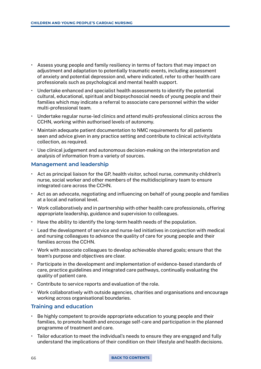- Assess young people and family resiliency in terms of factors that may impact on adjustment and adaptation to potentially traumatic events, including assessment of anxiety and potential depression and, where indicated, refer to other health care professionals such as psychological and mental health support.
- Undertake enhanced and specialist health assessments to identify the potential cultural, educational, spiritual and biopsychosocial needs of young people and their families which may indicate a referral to associate care personnel within the wider multi-professional team.
- Undertake regular nurse-led clinics and attend multi-professional clinics across the CCHN, working within authorised levels of autonomy.
- Maintain adequate patient documentation to NMC requirements for all patients seen and advice given in any practice setting and contribute to clinical activity/data collection, as required.
- Use clinical judgement and autonomous decision-making on the interpretation and analysis of information from a variety of sources.

### **Management and leadership**

- Act as principal liaison for the GP, health visitor, school nurse, community children's nurse, social worker and other members of the multidisciplinary team to ensure integrated care across the CCHN.
- Act as an advocate, negotiating and influencing on behalf of young people and families at a local and national level.
- Work collaboratively and in partnership with other health care professionals, offering appropriate leadership, guidance and supervision to colleagues.
- Have the ability to identify the long-term health needs of the population.
- Lead the development of service and nurse-led initiatives in conjunction with medical and nursing colleagues to advance the quality of care for young people and their families across the CCHN.
- Work with associate colleagues to develop achievable shared goals; ensure that the team's purpose and objectives are clear.
- Participate in the development and implementation of evidence-based standards of care, practice guidelines and integrated care pathways, continually evaluating the quality of patient care.
- Contribute to service reports and evaluation of the role.
- Work collaboratively with outside agencies, charities and organisations and encourage working across organisational boundaries.

### **Training and education**

- Be highly competent to provide appropriate education to young people and their families, to promote health and encourage self-care and participation in the planned programme of treatment and care.
- Tailor education to meet the individual's needs to ensure they are engaged and fully understand the implications of their condition on their lifestyle and health decisions.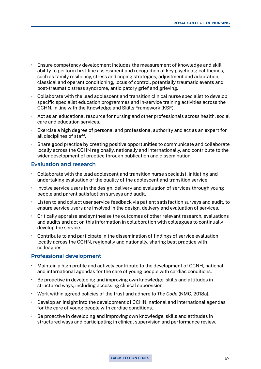- Ensure competency development includes the measurement of knowledge and skill ability to perform first-line assessment and recognition of key psychological themes, such as family resiliency, stress and coping strategies, adjustment and adaptation, classical and operant conditioning, locus of control, potentially traumatic events and post-traumatic stress syndrome, anticipatory grief and grieving.
- Collaborate with the lead adolescent and transition clinical nurse specialist to develop specific specialist education programmes and in-service training activities across the CCHN, in line with the Knowledge and Skills Framework (KSF).
- Act as an educational resource for nursing and other professionals across health, social care and education services.
- Exercise a high degree of personal and professional authority and act as an expert for all disciplines of staff.
- Share good practice by creating positive opportunities to communicate and collaborate locally across the CCHN regionally, nationally and internationally, and contribute to the wider development of practice through publication and dissemination.

### **Evaluation and research**

- Collaborate with the lead adolescent and transition nurse specialist, initiating and undertaking evaluation of the quality of the adolescent and transition service.
- Involve service users in the design, delivery and evaluation of services through young people and parent satisfaction surveys and audit.
- Listen to and collect user service feedback via patient satisfaction surveys and audit, to ensure service users are involved in the design, delivery and evaluation of services.
- Critically appraise and synthesise the outcomes of other relevant research, evaluations and audits and act on this information in collaboration with colleagues to continually develop the service.
- Contribute to and participate in the dissemination of findings of service evaluation locally across the CCHN, regionally and nationally, sharing best practice with colleagues.

### **Professional development**

- Maintain a high profile and actively contribute to the development of CCNH, national and international agendas for the care of young people with cardiac conditions.
- Be proactive in developing and improving own knowledge, skills and attitudes in structured ways, including accessing clinical supervision.
- Work within agreed policies of the trust and adhere to *The Code* (NMC, 2018a).
- Develop an insight into the development of CCHN, national and international agendas for the care of young people with cardiac conditions.
- Be proactive in developing and improving own knowledge, skills and attitudes in structured ways and participating in clinical supervision and performance review.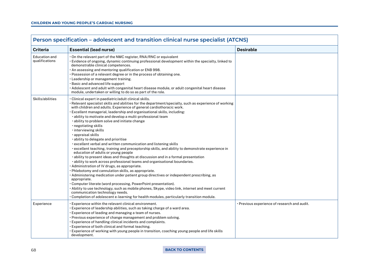| <b>Criteria</b>                 | <b>Essential (lead nurse)</b>                                                                                                                                                                                                                                                                                                                                                                                                                                                                                                                                                                                                                                                                                                                                                                                                                                                                                                                                                                                                                                                                                                                                                                                                                                                                                                                                                                                                                                         | <b>Desirable</b>                             |
|---------------------------------|-----------------------------------------------------------------------------------------------------------------------------------------------------------------------------------------------------------------------------------------------------------------------------------------------------------------------------------------------------------------------------------------------------------------------------------------------------------------------------------------------------------------------------------------------------------------------------------------------------------------------------------------------------------------------------------------------------------------------------------------------------------------------------------------------------------------------------------------------------------------------------------------------------------------------------------------------------------------------------------------------------------------------------------------------------------------------------------------------------------------------------------------------------------------------------------------------------------------------------------------------------------------------------------------------------------------------------------------------------------------------------------------------------------------------------------------------------------------------|----------------------------------------------|
| Education and<br>qualifications | . On the relevant part of the NMC register, RNA/RNC or equivalent<br>. Evidence of ongoing, dynamic continuing professional development within the specialty, linked to<br>demonstrable clinical competences.<br>. An assessing and mentoring qualification or ENB 998.<br>. Possession of a relevant degree or in the process of obtaining one.<br>· Leadership or management training.<br>. Basic and advanced life support<br>• Adolescent and adult with congenital heart disease module, or adult congenital heart disease<br>module, undertaken or willing to do so as part of the role.                                                                                                                                                                                                                                                                                                                                                                                                                                                                                                                                                                                                                                                                                                                                                                                                                                                                        |                                              |
| Skills/abilities                | · Clinical expert in paediatric/adult clinical skills.<br>• Relevant specialist skills and abilities for the department/specialty, such as experience of working<br>with children and adults. Experience of general cardiothoracic work.<br>. Excellent managerial, leadership and organisational skills, including:<br>· ability to motivate and develop a multi-professional team<br>· ability to problem solve and initiate change<br>· negotiating skills<br>· interviewing skills<br>· appraisal skills<br>· ability to delegate and prioritise<br>· excellent verbal and written communication and listening skills<br>• excellent teaching, training and preceptorship skills, and ability to demonstrate experience in<br>education of adults or young people<br>· ability to present ideas and thoughts at discussion and in a formal presentation<br>· ability to work across professional teams and organisational boundaries.<br>· Administration of IV drugs, as appropriate.<br>· Phlebotomy and cannulation skills, as appropriate.<br>• Administering medication under patient group directives or independent prescribing, as<br>appropriate.<br>• Computer literate (word processing, PowerPoint presentation).<br>• Ability to use technology, such as mobile phones, Skype, video link, internet and meet current<br>communication technology needs.<br>. Completion of adolescent e-learning for health modules, particularly transition module. |                                              |
| Experience                      | . Experience within the relevant clinical environment.<br>· Experience of leadership abilities, such as taking charge of a ward area.<br>· Experience of leading and managing a team of nurses.<br>• Previous experience of change management and problem solving.<br>· Experience of handling clinical incidents and complaints.<br>Experience of both clinical and formal teaching.<br>Experience of working with young people in transition, coaching young people and life skills                                                                                                                                                                                                                                                                                                                                                                                                                                                                                                                                                                                                                                                                                                                                                                                                                                                                                                                                                                                 | • Previous experience of research and audit. |

#### 68 **[BACK TO CONTENTS](#page-2-0)**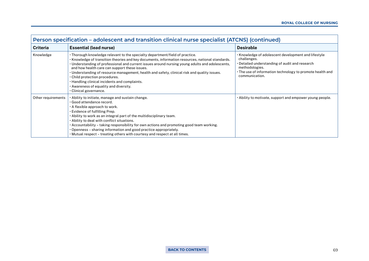| Person specification - adolescent and transition clinical nurse specialist (ATCNS) (continued) |                                                                                                                                                                                                                                                                                                                                                                                                                                                                                                                                                                                                   |                                                                                                                                                                                                                                     |  |
|------------------------------------------------------------------------------------------------|---------------------------------------------------------------------------------------------------------------------------------------------------------------------------------------------------------------------------------------------------------------------------------------------------------------------------------------------------------------------------------------------------------------------------------------------------------------------------------------------------------------------------------------------------------------------------------------------------|-------------------------------------------------------------------------------------------------------------------------------------------------------------------------------------------------------------------------------------|--|
| <b>Criteria</b>                                                                                | <b>Essential (lead nurse)</b>                                                                                                                                                                                                                                                                                                                                                                                                                                                                                                                                                                     | <b>Desirable</b>                                                                                                                                                                                                                    |  |
| Knowledge                                                                                      | . Thorough knowledge relevant to the specialty department/field of practice.<br>. Knowledge of transition theories and key documents, information resources, national standards.<br>• Understanding of professional and current issues around nursing young adults and adolescents,<br>and how health care can support these issues.<br>• Understanding of resource management, health and safety, clinical risk and quality issues.<br>$\cdot$ Child protection procedures.<br>• Handling clinical incidents and complaints.<br>• Awareness of equality and diversity.<br>· Clinical governance. | $\cdot$ Knowledge of adolescent development and lifestyle $\cdot$<br>challenges.<br>• Detailed understanding of audit and research<br>methodologies.<br>• The use of information technology to promote health and<br>communication. |  |
| Other requirements                                                                             | $\cdot$ Ability to initiate, manage and sustain change.<br>· Good attendance record.<br>$\cdot$ A flexible approach to work.<br>· Evidence of fulfilling Prep.<br>• Ability to work as an integral part of the multidisciplinary team.<br>. Ability to deal with conflict situations.<br>· Accountability - taking responsibility for own actions and promoting good team working.<br>. Openness - sharing information and good practice appropriately.<br>• Mutual respect – treating others with courtesy and respect at all times.                                                             | • Ability to motivate, support and empower young people.                                                                                                                                                                            |  |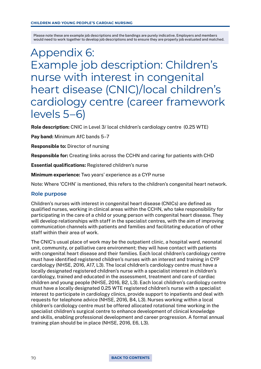# Appendix 6: Example job description: Children's nurse with interest in congenital heart disease (CNIC)/local children's cardiology centre (career framework levels 5–6)

Role description: CNIC in Level 3/ local children's cardiology centre (0.25 WTE)

Pay band: Minimum AfC bands 5–7

Responsible to: Director of nursing

Responsible for: Creating links across the CCHN and caring for patients with CHD

Essential qualifications: Registered children's nurse

Minimum experience: Two years' experience as a CYP nurse

Note: Where 'CCHN' is mentioned, this refers to the children's congenital heart network.

### **Role purpose**

Children's nurses with interest in congenital heart disease (CNICs) are defined as qualified nurses, working in clinical areas within the CCHN, who take responsibility for participating in the care of a child or young person with congenital heart disease. They will develop relationships with staff in the specialist centres, with the aim of improving communication channels with patients and families and facilitating education of other staff within their area of work.

The CNIC's usual place of work may be the outpatient clinic, a hospital ward, neonatal unit, community, or palliative care environment; they will have contact with patients with congenital heart disease and their families. Each local children's cardiology centre must have identified registered children's nurses with an interest and training in CYP cardiology (NHSE, 2016, A17, L3). The local children's cardiology centre must have a locally designated registered children's nurse with a specialist interest in children's cardiology, trained and educated in the assessment, treatment and care of cardiac children and young people (NHSE, 2016, B2, L3). Each local children's cardiology centre must have a locally designated 0.25 WTE registered children's nurse with a specialist interest to participate in cardiology clinics, provide support to inpatients and deal with requests for telephone advice (NHSE, 2016, B4, L3). Nurses working within a local children's cardiology centre must be offered allocated rotational time working in the specialist children's surgical centre to enhance development of clinical knowledge and skills, enabling professional development and career progression. A formal annual training plan should be in place (NHSE, 2016, E6, L3).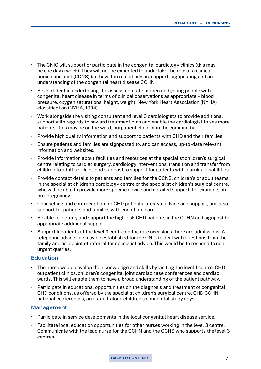- The CNIC will support or participate in the congenital cardiology clinics (this may be one day a week). They will not be expected to undertake the role of a clinical nurse specialist (CCNS) but have the role of advice, support, signposting and an understanding of the congenital heart disease CCHN.
- Be confident in undertaking the assessment of children and young people with congenital heart disease in terms of clinical observations as appropriate – blood pressure, oxygen saturations, height, weight, New York Heart Association (NYHA) classification (NYHA, 1994).
- Work alongside the visiting consultant and level 3 cardiologists to provide additional support with regards to onward treatment plan and enable the cardiologist to see more patients. This may be on the ward, outpatient clinic or in the community.
- Provide high quality information and support to patients with CHD and their families.
- Ensure patients and families are signposted to, and can access, up-to-date relevant information and websites.
- Provide information about facilities and resources at the specialist children's surgical centre relating to cardiac surgery, cardiology interventions, transition and transfer from children to adult services, and signpost to support for patients with learning disabilities.
- Provide contact details to patients and families for the CCNS, children's or adult teams in the specialist children's cardiology centre or the specialist children's surgical centre, who will be able to provide more specific advice and detailed support, for example, on pre-pregnancy.
- Counselling and contraception for CHD patients, lifestyle advice and support, and also support for patients and families with end of life care.
- Be able to identify and support the high-risk CHD patients in the CCHN and signpost to appropriate additional support.
- Support inpatients at the level 3 centre on the rare occasions there are admissions. A telephone advice line may be established for the CNIC to deal with questions from the family and as a point of referral for specialist advice. This would be to respond to nonurgent queries.

### **Education**

- The nurse would develop their knowledge and skills by visiting the level 1 centre, CHD outpatient clinics, children's congenital joint cardiac case conferences and cardiac wards. This will enable them to have a broad understanding of the patient pathway.
- Participate in educational opportunities on the diagnosis and treatment of congenital CHD conditions, as offered by the specialist children's surgical centre, CHD CCHN, national conferences, and stand-alone children's congenital study days.

### **Management**

- Participate in service developments in the local congenital heart disease service.
- Facilitate local education opportunities for other nurses working in the level 3 centre. Communicate with the lead nurse for the CCHN and the CCNS who supports the level 3 centres.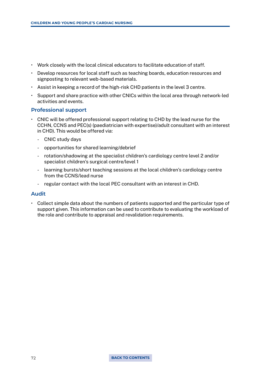- Work closely with the local clinical educators to facilitate education of staff.
- Develop resources for local staff such as teaching boards, education resources and signposting to relevant web-based materials.
- Assist in keeping a record of the high-risk CHD patients in the level 3 centre.
- Support and share practice with other CNICs within the local area through network-led activities and events.

### **Professional support**

- CNIC will be offered professional support relating to CHD by the lead nurse for the CCHN, CCNS and PEC(s) (paediatrician with expertise)/adult consultant with an interest in CHD). This would be offered via:
	- CNIC study days
	- opportunities for shared learning/debrief
	- rotation/shadowing at the specialist children's cardiology centre level 2 and/or specialist children's surgical centre/level 1
	- learning bursts/short teaching sessions at the local children's cardiology centre from the CCNS/lead nurse
	- regular contact with the local PEC consultant with an interest in CHD.

### **Audit**

• Collect simple data about the numbers of patients supported and the particular type of support given. This information can be used to contribute to evaluating the workload of the role and contribute to appraisal and revalidation requirements.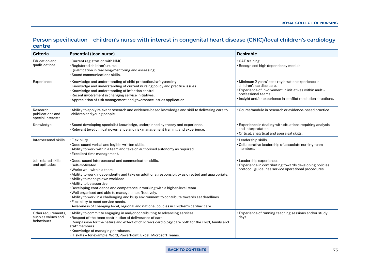# **Person specification – children's nurse with interest in congenital heart disease (CNIC)/local children's cardiology centre**

| <b>Criteria</b>                                         | <b>Essential (lead nurse)</b>                                                                                                                                                                                                                                                                                                                                                                                                                                                                                                                                                                                                                                   | <b>Desirable</b>                                                                                                                                                                                                                    |
|---------------------------------------------------------|-----------------------------------------------------------------------------------------------------------------------------------------------------------------------------------------------------------------------------------------------------------------------------------------------------------------------------------------------------------------------------------------------------------------------------------------------------------------------------------------------------------------------------------------------------------------------------------------------------------------------------------------------------------------|-------------------------------------------------------------------------------------------------------------------------------------------------------------------------------------------------------------------------------------|
| Education and<br>qualifications                         | · Current registration with NMC.<br>· Registered children's nurse.<br>· Qualification in teaching/mentoring and assessing.<br>$\cdot$ Sound communications skills.                                                                                                                                                                                                                                                                                                                                                                                                                                                                                              | $\cdot$ CAF training.<br>· Recognised high dependency module.                                                                                                                                                                       |
| Experience                                              | . Knowledge and understanding of child protection/safeguarding.<br>· Knowledge and understanding of current nursing policy and practice issues.<br>· Knowledge and understanding of infection control.<br>· Recent involvement in changing service initiatives.<br>· Appreciation of risk management and governance issues application.                                                                                                                                                                                                                                                                                                                         | · Minimum 2 years' post-registration experience in<br>children's cardiac care.<br>· Experience of involvement in initiatives within multi-<br>professional teams.<br>· Insight and/or experience in conflict resolution situations. |
| Research,<br>publications and<br>special interests      | · Ability to apply relevant research and evidence-based knowledge and skill to delivering care to<br>children and young people.                                                                                                                                                                                                                                                                                                                                                                                                                                                                                                                                 | · Course/module in research or evidence-based practice.                                                                                                                                                                             |
| Knowledge                                               | · Sound developing specialist knowledge, underpinned by theory and experience.<br>• Relevant level clinical governance and risk management training and experience.                                                                                                                                                                                                                                                                                                                                                                                                                                                                                             | · Experience in dealing with situations requiring analysis<br>and interpretation.<br>· Critical, analytical and appraisal skills.                                                                                                   |
| Interpersonal skills                                    | · Flexibility.<br>· Good sound verbal and legible written skills.<br>. Ability to work within a team and take on authorised autonomy as required.<br>· Excellent time management.                                                                                                                                                                                                                                                                                                                                                                                                                                                                               | · Leadership skills.<br>Collaborative leadership of associate nursing team<br>members.                                                                                                                                              |
| Job-related skills<br>and aptitudes                     | · Good, sound interpersonal and communication skills.<br>· Self-motivated.<br>. Works well within a team.<br>· Ability to work independently and take on additional responsibility as directed and appropriate.<br>. Ability to manage own workload.<br>· Ability to be assertive.<br>. Developing confidence and competence in working with a higher-level team.<br>. Well organised and able to manage time effectively.<br>. Ability to work in a challenging and busy environment to contribute towards set deadlines.<br>· Flexibility to meet service needs.<br>. Awareness of changing local, regional and national policies in children's cardiac care. | · Leadership experience.<br>· Experience in contributing towards developing policies,<br>protocol, guidelines service operational procedures.                                                                                       |
| Other requirements,<br>such as values and<br>behaviours | • Ability to commit to engaging in and/or contributing to advancing services.<br>. Respect of the team contribution of deliverance of care.<br>. Compassion for the nature and effect of children's cardiology care both for the child, family and<br>staff members.<br>· Knowledge of managing databases.<br>. IT skills - for example: Word, PowerPoint, Excel, Microsoft Teams.                                                                                                                                                                                                                                                                              | . Experience of running teaching sessions and/or study<br>days.                                                                                                                                                                     |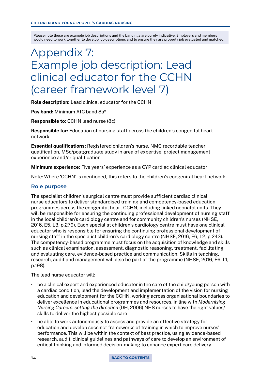# Appendix 7: Example job description: Lead clinical educator for the CCHN (career framework level 7)

Role description: Lead clinical educator for the CCHN

Pay band: Minimum AfC band 8a\*

Responsible to: CCHN lead nurse (8c)

Responsible for: Education of nursing staff across the children's congenital heart network

Essential qualifications: Registered children's nurse, NMC recordable teacher qualification, MSc/postgraduate study in area of expertise, project management experience and/or qualification

Minimum experience: Five years' experience as a CYP cardiac clinical educator

Note: Where 'CCHN' is mentioned, this refers to the children's congenital heart network.

#### **Role purpose**

The specialist children's surgical centre must provide sufficient cardiac clinical nurse educators to deliver standardised training and competency-based education programmes across the congenital heart CCHN, including linked neonatal units. They will be responsible for ensuring the continuing professional development of nursing staff in the local children's cardiology centre and for community children's nurses (NHSE, 2016, E5, L3, p.279). Each specialist children's cardiology centre must have one clinical educator who is responsible for ensuring the continuing professional development of nursing staff in the specialist children's cardiology centre (NHSE, 2016, E6, L2, p.243). The competency-based programme must focus on the acquisition of knowledge and skills such as clinical examination, assessment, diagnostic reasoning, treatment, facilitating and evaluating care, evidence-based practice and communication. Skills in teaching, research, audit and management will also be part of the programme (NHSE, 2016, E6, L1, p.198).

The lead nurse educator will:

- be a clinical expert and experienced educator in the care of the child/young person with a cardiac condition, lead the development and implementation of the vision for nursing education and development for the CCHN, working across organisational boundaries to deliver excellence in educational programmes and resources, in line with *Modernising Nursing Careers: setting the direction* (DH, 2006) NHS nurses to have the right values/ skills to deliver the highest possible care
- be able to work autonomously to assess and provide an effective strategy for education and develop succinct frameworks of training in which to improve nurses' performance. This will be within the context of best practice, using evidence-based research, audit, clinical guidelines and pathways of care to develop an environment of critical thinking and informed decision-making to enhance expert care delivery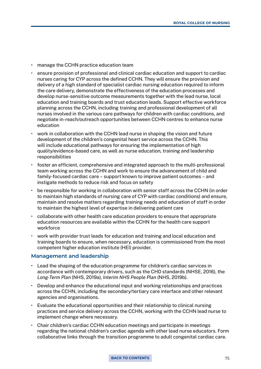- manage the CCHN practice education team
- ensure provision of professional and clinical cardiac education and support to cardiac nurses caring for CYP across the defined CCHN. They will ensure the provision and delivery of a high standard of specialist cardiac nursing education required to inform the care delivery, demonstrate the effectiveness of the education processes and develop nurse-sensitive outcome measurements together with the lead nurse, local education and training boards and trust education leads. Support effective workforce planning across the CCHN, including training and professional development of all nurses involved in the various care pathways for children with cardiac conditions, and negotiate in-reach/outreach opportunities between CCHN centres to enhance nurse education
- work in collaboration with the CCHN lead nurse in shaping the vision and future development of the children's congenital heart service across the CCHN. This will include educational pathways for ensuring the implementation of high quality/evidence-based care, as well as nurse education, training and leadership responsibilities
- foster an efficient, comprehensive and integrated approach to the multi-professional team working across the CCHN and work to ensure the advancement of child and family-focused cardiac care – support known to improve patient outcomes – and instigate methods to reduce risk and focus on safety
- be responsible for working in collaboration with senior staff across the CCHN (in order to maintain high standards of nursing care of CYP with cardiac conditions) and ensure, maintain and resolve matters regarding training needs and education of staff in order to maintain the highest level of expertise in delivering patient care
- collaborate with other health care education providers to ensure that appropriate education resources are available within the CCHN for the health care support workforce
- work with provider trust leads for education and training and local education and training boards to ensure, when necessary, education is commissioned from the most competent higher education institute (HEI) provider.

#### **Management and leadership**

- Lead the shaping of the education programme for children's cardiac services in accordance with contemporary drivers, such as the CHD standards (NHSE, 2016), the *Long-Term Plan* (NHS, 2019a), *Interim NHS People Plan* (NHS, 2019b).
- Develop and enhance the educational input and working relationships and practices across the CCHN, including the secondary/tertiary care interface and other relevant agencies and organisations.
- Evaluate the educational opportunities and their relationship to clinical nursing practices and service delivery across the CCHN, working with the CCHN lead nurse to implement change where necessary.
- Chair children's cardiac CCHN education meetings and participate in meetings regarding the national children's cardiac agenda with other lead nurse educators. Form collaborative links through the transition programme to adult congenital cardiac care.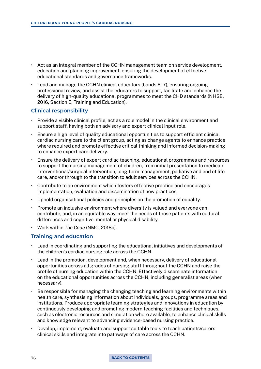- Act as an integral member of the CCHN management team on service development, education and planning improvement, ensuring the development of effective educational standards and governance frameworks.
- Lead and manage the CCHN clinical educators (bands 6–7), ensuring ongoing professional review, and assist the educators to support, facilitate and enhance the delivery of high-quality educational programmes to meet the CHD standards (NHSE, 2016, Section E, Training and Education).

# **Clinical responsibility**

- Provide a visible clinical profile, act as a role model in the clinical environment and support staff, having both an advisory and expert clinical input role.
- Ensure a high level of quality educational opportunities to support efficient clinical cardiac nursing care to the client group, acting as change agents to enhance practice where required and promote effective critical thinking and informed decision-making to enhance expert care delivery.
- Ensure the delivery of expert cardiac teaching, educational programmes and resources to support the nursing management of children, from initial presentation to medical/ interventional/surgical intervention, long-term management, palliative and end of life care, and/or through to the transition to adult services across the CCHN.
- Contribute to an environment which fosters effective practice and encourages implementation, evaluation and dissemination of new practices.
- Uphold organisational policies and principles on the promotion of equality.
- Promote an inclusive environment where diversity is valued and everyone can contribute, and, in an equitable way, meet the needs of those patients with cultural differences and cognitive, mental or physical disability.
- Work within *The Code* (NMC, 2018a).

# **Training and education**

- Lead in coordinating and supporting the educational initiatives and developments of the children's cardiac nursing role across the CCHN.
- Lead in the promotion, development and, when necessary, delivery of educational opportunities across all grades of nursing staff throughout the CCHN and raise the profile of nursing education within the CCHN. Effectively disseminate information on the educational opportunities across the CCHN, including generalist areas (when necessary).
- Be responsible for managing the changing teaching and learning environments within health care, synthesising information about individuals, groups, programme areas and institutions. Produce appropriate learning strategies and innovations in education by continuously developing and promoting modern teaching facilities and techniques, such as electronic resources and simulation where available, to enhance clinical skills and knowledge relevant to advancing evidence-based nursing practice.
- Develop, implement, evaluate and support suitable tools to teach patients/carers clinical skills and integrate into pathways of care across the CCHN.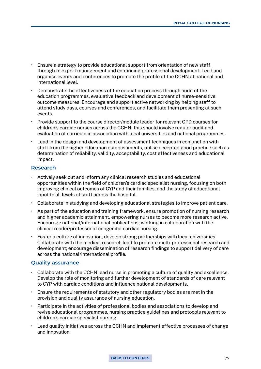- Ensure a strategy to provide educational support from orientation of new staff through to expert management and continuing professional development. Lead and organise events and conferences to promote the profile of the CCHN at national and international level.
- Demonstrate the effectiveness of the education process through audit of the education programmes, evaluative feedback and development of nurse-sensitive outcome measures. Encourage and support active networking by helping staff to attend study days, courses and conferences, and facilitate them presenting at such events.
- Provide support to the course director/module leader for relevant CPD courses for children's cardiac nurses across the CCHN; this should involve regular audit and evaluation of curricula in association with local universities and national programmes.
- Lead in the design and development of assessment techniques in conjunction with staff from the higher education establishments, utilise accepted good practice such as determination of reliability, validity, acceptability, cost effectiveness and educational impact.

### **Research**

- Actively seek out and inform any clinical research studies and educational opportunities within the field of children's cardiac specialist nursing, focusing on both improving clinical outcomes of CYP and their families, and the study of educational input to all levels of staff across the hospital.
- Collaborate in studying and developing educational strategies to improve patient care.
- As part of the education and training framework, ensure promotion of nursing research and higher academic attainment, empowering nurses to become more research active. Encourage national/international publications, working in collaboration with the clinical reader/professor of congenital cardiac nursing.
- Foster a culture of innovation, develop strong partnerships with local universities. Collaborate with the medical research lead to promote multi-professional research and development; encourage dissemination of research findings to support delivery of care across the national/international profile.

#### **Quality assurance**

- Collaborate with the CCHN lead nurse in promoting a culture of quality and excellence. Develop the role of monitoring and further development of standards of care relevant to CYP with cardiac conditions and influence national developments.
- Ensure the requirements of statutory and other regulatory bodies are met in the provision and quality assurance of nursing education.
- Participate in the activities of professional bodies and associations to develop and revise educational programmes, nursing practice guidelines and protocols relevant to children's cardiac specialist nursing.
- Lead quality initiatives across the CCHN and implement effective processes of change and innovation.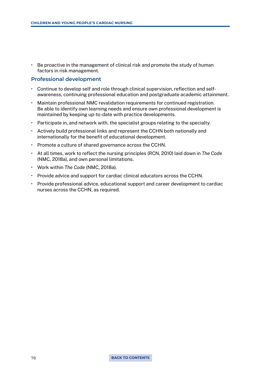• Be proactive in the management of clinical risk and promote the study of human factors in risk management.

#### **Professional development**

- Continue to develop self and role through clinical supervision, reflection and selfawareness, continuing professional education and postgraduate academic attainment.
- Maintain professional NMC revalidation requirements for continued registration. Be able to identify own learning needs and ensure own professional development is maintained by keeping up-to-date with practice developments.
- Participate in, and network with, the specialist groups relating to the specialty.
- Actively build professional links and represent the CCHN both nationally and internationally for the benefit of educational development.
- Promote a culture of shared governance across the CCHN.
- At all times, work to reflect the nursing principles (RCN, 2010) laid down in *The Code* (NMC, 2018a), and own personal limitations.
- Work within *The Code* (NMC, 2018a).
- Provide advice and support for cardiac clinical educators across the CCHN.
- Provide professional advice, educational support and career development to cardiac nurses across the CCHN, as required.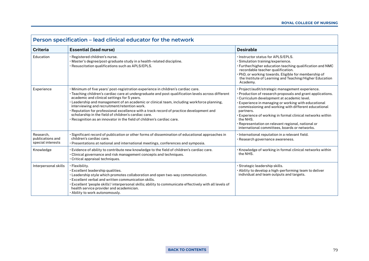| Person specification - lead clinical educator for the network |                                                                                                                                                                                                                                                                                                                                                                                                                                                                                                                                                                                                                    |                                                                                                                                                                                                                                                                                                                                                                                                                                                                           |
|---------------------------------------------------------------|--------------------------------------------------------------------------------------------------------------------------------------------------------------------------------------------------------------------------------------------------------------------------------------------------------------------------------------------------------------------------------------------------------------------------------------------------------------------------------------------------------------------------------------------------------------------------------------------------------------------|---------------------------------------------------------------------------------------------------------------------------------------------------------------------------------------------------------------------------------------------------------------------------------------------------------------------------------------------------------------------------------------------------------------------------------------------------------------------------|
| <b>Criteria</b>                                               | <b>Essential (lead nurse)</b>                                                                                                                                                                                                                                                                                                                                                                                                                                                                                                                                                                                      | <b>Desirable</b>                                                                                                                                                                                                                                                                                                                                                                                                                                                          |
| Education                                                     | · Registered children's nurse.<br>. Master's degree/post-graduate study in a health-related discipline.<br>· Resuscitation qualifications such as APLS/EPLS.                                                                                                                                                                                                                                                                                                                                                                                                                                                       | . Instructor status for APLS/EPLS.<br>· Simulation training/experience.<br>. Further/higher education teaching qualification and NMC<br>recordable teacher qualification.<br>. PhD, or working towards. Eligible for membership of<br>the Institute of Learning and Teaching/Higher Education<br>Academy.                                                                                                                                                                 |
| Experience                                                    | . Minimum of five years' post-registration experience in children's cardiac care.<br>• Teaching children's cardiac care at undergraduate and post-qualification levels across different<br>academic and clinical settings for 5 years.<br>• Leadership and management of an academic or clinical team, including workforce planning,<br>interviewing and recruitment/retention work.<br>• Reputation for professional excellence with a track record of practice development and<br>scholarship in the field of children's cardiac care.<br>• Recognition as an innovator in the field of children's cardiac care. | · Project/audit/strategic management experience.<br>• Production of research proposals and grant applications.<br>. Curriculum development at academic level.<br>Experience in managing or working with educational<br>commissioning and working with different educational<br>partners.<br>. Experience of working in formal clinical networks within<br>the NHS.<br>· Representation on relevant regional, national or<br>international committees, boards or networks. |
| Research,<br>publications and<br>special interests            | Significant record of publication or other forms of dissemination of educational approaches in<br>children's cardiac care.<br>• Presentations at national and international meetings, conferences and symposia.                                                                                                                                                                                                                                                                                                                                                                                                    | · International reputation in a relevant field.<br>· Research governance awareness.                                                                                                                                                                                                                                                                                                                                                                                       |
| Knowledge                                                     | Evidence of ability to contribute new knowledge to the field of children's cardiac care.<br>• Clinical governance and risk management concepts and techniques.<br>Critical appraisal techniques.                                                                                                                                                                                                                                                                                                                                                                                                                   | . Knowledge of working in formal clinical networks within<br>the NHS.                                                                                                                                                                                                                                                                                                                                                                                                     |
| Interpersonal skills                                          | · Flexibility.<br>Excellent leadership qualities.<br>$\cdot$ Leadership style which promotes collaboration and open two-way communication.<br>Excellent verbal and written communication skills.<br>Excellent 'people skills'/ interpersonal skills; ability to communicate effectively with all levels of '<br>health service provider and academician.<br>. Ability to work autonomously.                                                                                                                                                                                                                        | · Strategic leadership skills.<br>. Ability to develop a high-performing team to deliver<br>individual and team outputs and targets.                                                                                                                                                                                                                                                                                                                                      |

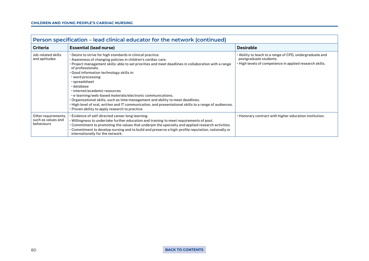| Person specification - lead clinical educator for the network (continued) |                                                                                                                                                                                                                                                                                                                                                                                                                                                                                                                                                                                                                                                                                                              |                                                                                                                                              |  |
|---------------------------------------------------------------------------|--------------------------------------------------------------------------------------------------------------------------------------------------------------------------------------------------------------------------------------------------------------------------------------------------------------------------------------------------------------------------------------------------------------------------------------------------------------------------------------------------------------------------------------------------------------------------------------------------------------------------------------------------------------------------------------------------------------|----------------------------------------------------------------------------------------------------------------------------------------------|--|
| <b>Criteria</b>                                                           | <b>Essential (lead nurse)</b>                                                                                                                                                                                                                                                                                                                                                                                                                                                                                                                                                                                                                                                                                | <b>Desirable</b>                                                                                                                             |  |
| Job-related skills<br>and aptitudes                                       | . Desire to strive for high standards in clinical practice.<br>. Awareness of changing policies in children's cardiac care.<br>• Project management skills: able to set priorities and meet deadlines in collaboration with a range<br>of professionals.<br>Good information technology skills in:<br>$\cdot$ word processing<br>· spreadsheet<br>· database<br>· internet/academic resources<br>· e-learning/web-based materials/electronic communications.<br>• Organisational skills, such as time management and ability to meet deadlines.<br>· High level of oral, written and IT communication, and presentational skills to a range of audiences.<br>• Proven ability to apply research to practice. | • Ability to teach to a range of CPD, undergraduate and<br>postgraduate students.<br>· High levels of competence in applied research skills. |  |
| Other requirements,<br>such as values and<br>behaviours                   | • Evidence of self-directed career-long learning.<br>. Willingness to undertake further education and training to meet requirements of post.<br>• Commitment to promoting the values that underpin the specialty and applied research activities.<br>• Commitment to develop nursing and to build and preserve a high-profile reputation, nationally or<br>internationally for the network.                                                                                                                                                                                                                                                                                                                  | . Honorary contract with higher education institution.                                                                                       |  |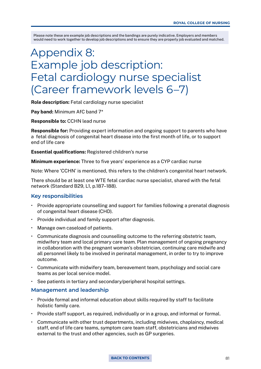# Appendix 8: Example job description: Fetal cardiology nurse specialist (Career framework levels 6–7)

Role description: Fetal cardiology nurse specialist

Pay band: Minimum AfC band  $7*$ 

Responsible to: CCHN lead nurse

Responsible for: Providing expert information and ongoing support to parents who have a fetal diagnosis of congenital heart disease into the first month of life, or to support end of life care

Essential qualifications: Registered children's nurse

Minimum experience: Three to five years' experience as a CYP cardiac nurse

Note: Where 'CCHN' is mentioned, this refers to the children's congenital heart network.

There should be at least one WTE fetal cardiac nurse specialist, shared with the fetal network (Standard B29, L1, p.187–188).

#### **Key responsibilities**

- Provide appropriate counselling and support for families following a prenatal diagnosis of congenital heart disease (CHD).
- Provide individual and family support after diagnosis.
- Manage own caseload of patients.
- Communicate diagnosis and counselling outcome to the referring obstetric team, midwifery team and local primary care team. Plan management of ongoing pregnancy in collaboration with the pregnant woman's obstetrician, continuing care midwife and all personnel likely to be involved in perinatal management, in order to try to improve outcome.
- Communicate with midwifery team, bereavement team, psychology and social care teams as per local service model.
- See patients in tertiary and secondary/peripheral hospital settings.

#### **Management and leadership**

- Provide formal and informal education about skills required by staff to facilitate holistic family care.
- Provide staff support, as required, individually or in a group, and informal or formal.
- Communicate with other trust departments, including midwives, chaplaincy, medical staff, end of life care teams, symptom care team staff, obstetricians and midwives external to the trust and other agencies, such as GP surgeries.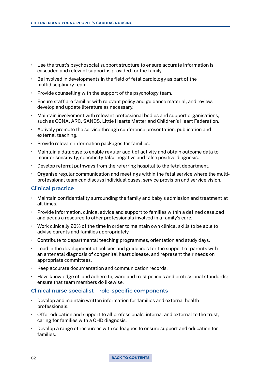- Use the trust's psychosocial support structure to ensure accurate information is cascaded and relevant support is provided for the family.
- Be involved in developments in the field of fetal cardiology as part of the multidisciplinary team.
- Provide counselling with the support of the psychology team.
- Ensure staff are familiar with relevant policy and guidance material, and review, develop and update literature as necessary.
- Maintain involvement with relevant professional bodies and support organisations, such as CCNA, ARC, SANDS, Little Hearts Matter and Children's Heart Federation.
- Actively promote the service through conference presentation, publication and external teaching.
- Provide relevant information packages for families.
- Maintain a database to enable regular audit of activity and obtain outcome data to monitor sensitivity, specificity false negative and false positive diagnosis.
- Develop referral pathways from the referring hospital to the fetal department.
- Organise regular communication and meetings within the fetal service where the multiprofessional team can discuss individual cases, service provision and service vision.

#### **Clinical practice**

- Maintain confidentiality surrounding the family and baby's admission and treatment at all times.
- Provide information, clinical advice and support to families within a defined caseload and act as a resource to other professionals involved in a family's care.
- Work clinically 20% of the time in order to maintain own clinical skills to be able to advise parents and families appropriately.
- Contribute to departmental teaching programmes, orientation and study days.
- Lead in the development of policies and guidelines for the support of parents with an antenatal diagnosis of congenital heart disease, and represent their needs on appropriate committees.
- Keep accurate documentation and communication records.
- Have knowledge of, and adhere to, ward and trust policies and professional standards; ensure that team members do likewise.

#### **Clinical nurse specialist – role-specific components**

- Develop and maintain written information for families and external health professionals.
- Offer education and support to all professionals, internal and external to the trust, caring for families with a CHD diagnosis.
- Develop a range of resources with colleagues to ensure support and education for families.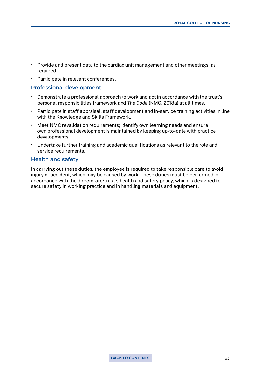- Provide and present data to the cardiac unit management and other meetings, as required.
- Participate in relevant conferences.

#### **Professional development**

- Demonstrate a professional approach to work and act in accordance with the trust's personal responsibilities framework and *The Code* (NMC, 2018a) at all times.
- Participate in staff appraisal, staff development and in-service training activities in line with the Knowledge and Skills Framework.
- Meet NMC revalidation requirements; identify own learning needs and ensure own professional development is maintained by keeping up-to-date with practice developments.
- Undertake further training and academic qualifications as relevant to the role and service requirements.

#### **Health and safety**

In carrying out these duties, the employee is required to take responsible care to avoid injury or accident, which may be caused by work. These duties must be performed in accordance with the directorate/trust's health and safety policy, which is designed to secure safety in working practice and in handling materials and equipment.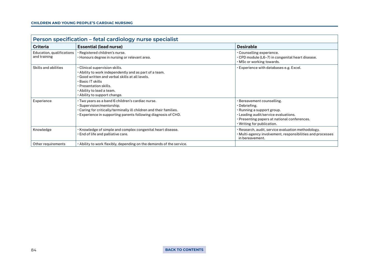| Person specification - fetal cardiology nurse specialist |                                                                                                                                                                                                                                                               |                                                                                                                                                                                                 |  |
|----------------------------------------------------------|---------------------------------------------------------------------------------------------------------------------------------------------------------------------------------------------------------------------------------------------------------------|-------------------------------------------------------------------------------------------------------------------------------------------------------------------------------------------------|--|
| <b>Criteria</b>                                          | <b>Essential (lead nurse)</b>                                                                                                                                                                                                                                 | <b>Desirable</b>                                                                                                                                                                                |  |
| Education, qualifications<br>and training                | Registered children's nurse.<br>• Honours degree in nursing or relevant area.                                                                                                                                                                                 | · Counselling experience.<br>• CPD module (L6-7) in congenital heart disease.<br>. MSc or working towards.                                                                                      |  |
| Skills and abilities                                     | · Clinical supervision skills.<br>. Ability to work independently and as part of a team.<br>. Good written and verbal skills at all levels.<br>• Basic IT skills<br>· Presentation skills.<br>. Ability to lead a team.<br>$\cdot$ Ability to support change. | . Experience with databases e.g. Excel.                                                                                                                                                         |  |
| Experience                                               | · Two years as a band 6 children's cardiac nurse.<br>· Supervision/mentorship.<br>. Caring for critically/terminally ill children and their families.<br>Experience in supporting parents following diagnosis of CHD.                                         | · Bereavement counselling.<br>• Debriefing.<br>· Running a support group.<br>· Leading audit/service evaluations.<br>· Presenting papers at national conferences.<br>. Writing for publication. |  |
| Knowledge                                                | . Knowledge of simple and complex congenital heart disease.<br>End of life and palliative care.                                                                                                                                                               | · Research, audit, service evaluation methodology.<br>• Multi-agency involvement, responsibilities and processes<br>in bereavement.                                                             |  |
| Other requirements                                       | • Ability to work flexibly, depending on the demands of the service.                                                                                                                                                                                          |                                                                                                                                                                                                 |  |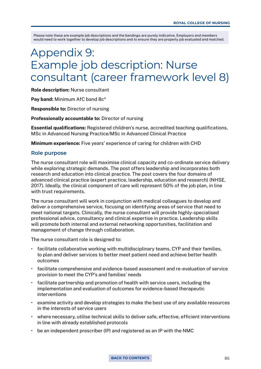# Appendix 9: Example job description: Nurse consultant (career framework level 8)

Role description: Nurse consultant

Pay band: Minimum AfC band 8c\*

Responsible to: Director of nursing

Professionally accountable to: Director of nursing

Essential qualifications: Registered children's nurse, accredited teaching qualifications, MSc in Advanced Nursing Practice/MSc in Advanced Clinical Practice

Minimum experience: Five years' experience of caring for children with CHD

#### **Role purpose**

The nurse consultant role will maximise clinical capacity and co-ordinate service delivery while exploring strategic demands. The post offers leadership and incorporates both research and education into clinical practice. The post covers the four domains of advanced clinical practice (expert practice, leadership, education and research) (NHSE, 2017). Ideally, the clinical component of care will represent 50% of the job plan, in line with trust requirements.

The nurse consultant will work in conjunction with medical colleagues to develop and deliver a comprehensive service, focusing on identifying areas of service that need to meet national targets. Clinically, the nurse consultant will provide highly-specialised professional advice, consultancy and clinical expertise in practice. Leadership skills will promote both internal and external networking opportunities, facilitation and management of change through collaboration.

The nurse consultant role is designed to:

- facilitate collaborative working with multidisciplinary teams, CYP and their families, to plan and deliver services to better meet patient need and achieve better health outcomes
- facilitate comprehensive and evidence-based assessment and re-evaluation of service provision to meet the CYP's and families' needs
- facilitate partnership and promotion of health with service users, including the implementation and evaluation of outcomes for evidence-based therapeutic interventions
- examine activity and develop strategies to make the best use of any available resources in the interests of service users
- where necessary, utilise technical skills to deliver safe, effective, efficient interventions in line with already established protocols
- $\cdot$  be an independent prescriber (IP) and registered as an IP with the NMC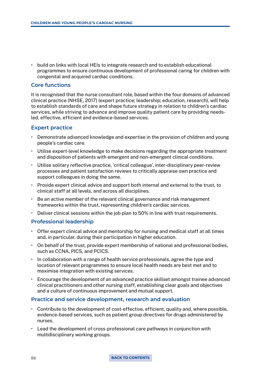• build on links with local HEIs to integrate research and to establish educational programmes to ensure continuous development of professional caring for children with congenital and acquired cardiac conditions.

# **Core functions**

It is recognised that the nurse consultant role, based within the four domains of advanced clinical practice (NHSE, 2017) (expert practice; leadership; education, research), will help to establish standards of care and shape future strategy in relation to children's cardiac services, while striving to advance and improve quality patient care by providing needsled, effective, efficient and evidence-based services.

# **Expert practice**

- Demonstrate advanced knowledge and expertise in the provision of children and young people's cardiac care.
- Utilise expert-level knowledge to make decisions regarding the appropriate treatment and disposition of patients with emergent and non-emergent clinical conditions.
- Utilise solitary reflective practice, 'critical colleague', inter-disciplinary peer-review processes and patient satisfaction reviews to critically appraise own practice and support colleagues in doing the same.
- Provide expert clinical advice and support both internal and external to the trust, to clinical staff at all levels, and across all disciplines.
- Be an active member of the relevant clinical governance and risk management frameworks within the trust, representing children's cardiac services.
- Deliver clinical sessions within the job plan to 50% in line with trust requirements.

# **Professional leadership**

- Offer expert clinical advice and mentorship for nursing and medical staff at all times and, in particular, during their participation in higher education.
- On behalf of the trust, provide expert membership of national and professional bodies, such as CCNA, PICS, and PCICS.
- In collaboration with a range of health service professionals, agree the type and location of relevant programmes to ensure local health needs are best met and to maximise integration with existing services.
- Encourage the development of an advanced practice skillset amongst trainee advanced clinical practitioners and other nursing staff, establishing clear goals and objectives and a culture of continuous improvement and mutual support.

#### **Practice and service development, research and evaluation**

- Contribute to the development of cost-effective, efficient, quality and, where possible, evidence-based services, such as patient group directives for drugs administered by nurses.
- Lead the development of cross-professional care pathways in conjunction with multidisciplinary working groups.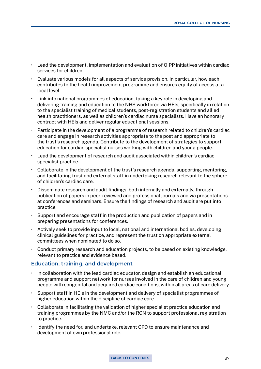- Lead the development, implementation and evaluation of QIPP initiatives within cardiac services for children.
- Evaluate various models for all aspects of service provision. In particular, how each contributes to the health improvement programme and ensures equity of access at a local level.
- Link into national programmes of education, taking a key role in developing and delivering training and education to the NHS workforce via HEIs, specifically in relation to the specialist training of medical students, post-registration students and allied health practitioners, as well as children's cardiac nurse specialists. Have an honorary contract with HEIs and deliver regular educational sessions.
- Participate in the development of a programme of research related to children's cardiac care and engage in research activities appropriate to the post and appropriate to the trust's research agenda. Contribute to the development of strategies to support education for cardiac specialist nurses working with children and young people.
- Lead the development of research and audit associated within children's cardiac specialist practice.
- Collaborate in the development of the trust's research agenda, supporting, mentoring, and facilitating trust and external staff in undertaking research relevant to the sphere of children's cardiac care.
- Disseminate research and audit findings, both internally and externally, through publication of papers in peer-reviewed and professional journals and via presentations at conferences and seminars. Ensure the findings of research and audit are put into practice.
- Support and encourage staff in the production and publication of papers and in preparing presentations for conferences.
- Actively seek to provide input to local, national and international bodies, developing clinical guidelines for practice, and represent the trust on appropriate external committees when nominated to do so.
- Conduct primary research and education projects, to be based on existing knowledge, relevant to practice and evidence based.

#### **Education, training, and development**

- In collaboration with the lead cardiac educator, design and establish an educational programme and support network for nurses involved in the care of children and young people with congenital and acquired cardiac conditions, within all areas of care delivery.
- Support staff in HEIs in the development and delivery of specialist programmes of higher education within the discipline of cardiac care.
- Collaborate in facilitating the validation of higher specialist practice education and training programmes by the NMC and/or the RCN to support professional registration to practice.
- Identify the need for, and undertake, relevant CPD to ensure maintenance and development of own professional role.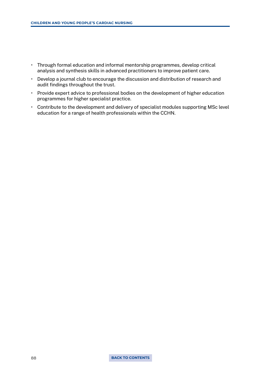- Through formal education and informal mentorship programmes, develop critical analysis and synthesis skills in advanced practitioners to improve patient care.
- Develop a journal club to encourage the discussion and distribution of research and audit findings throughout the trust.
- Provide expert advice to professional bodies on the development of higher education programmes for higher specialist practice.
- Contribute to the development and delivery of specialist modules supporting MSc level education for a range of health professionals within the CCHN.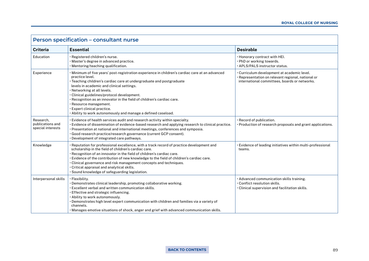| Person specification - consultant nurse            |                                                                                                                                                                                                                                                                                                                                                                                                                                                                                                                           |                                                                                                                                                    |  |
|----------------------------------------------------|---------------------------------------------------------------------------------------------------------------------------------------------------------------------------------------------------------------------------------------------------------------------------------------------------------------------------------------------------------------------------------------------------------------------------------------------------------------------------------------------------------------------------|----------------------------------------------------------------------------------------------------------------------------------------------------|--|
| <b>Criteria</b>                                    | <b>Essential</b>                                                                                                                                                                                                                                                                                                                                                                                                                                                                                                          | <b>Desirable</b>                                                                                                                                   |  |
| Education                                          | · Registered children's nurse.<br>· Master's degree in advanced practice.<br>$\cdot$ Mentoring/teaching qualification.                                                                                                                                                                                                                                                                                                                                                                                                    | . Honorary contract with HEI.<br>. PhD or working towards.<br>· APLS/PALS instructor status.                                                       |  |
| Experience                                         | · Minimum of five years' post-registration experience in children's cardiac care at an advanced<br>practice level.<br>· Teaching children's cardiac care at undergraduate and postgraduate<br>levels in academic and clinical settings.<br>. Networking at all levels.<br>· Clinical guidelines/protocol development.<br>. Recognition as an innovator in the field of children's cardiac care.<br>· Resource management.<br>· Expert clinical practice.<br>. Ability to work autonomously and manage a defined caseload. | • Curriculum development at academic level.<br>· Representation on relevant regional, national or<br>international committees, boards or networks. |  |
| Research.<br>publications and<br>special interests | · Evidence of health services audit and research activity within specialty.<br>Evidence of dissemination of evidence-based research and applying research to clinical practice.<br>· Presentation at national and international meetings, conferences and symposia.<br>· Good research practice/research governance (current GCP consent).<br>· Development of integrated care pathways.                                                                                                                                  | · Record of publication.<br>• Production of research proposals and grant applications.                                                             |  |
| Knowledge                                          | Reputation for professional excellence, with a track record of practice development and<br>scholarship in the field of children's cardiac care.<br>· Recognition of an innovator in the field of children's cardiac care.<br>· Evidence of the contribution of new knowledge to the field of children's cardiac care.<br>• Clinical governance and risk management concepts and techniques.<br>· Critical appraisal and analytical skills.<br>· Sound knowledge of safeguarding legislation.                              | · Evidence of leading initiatives within multi-professional<br>teams.                                                                              |  |
| Interpersonal skills                               | · Flexibility.<br>· Demonstrates clinical leadership, promoting collaborative working.<br>• Excellent verbal and written communication skills.<br>· Effective and strategic influencing.<br>· Ability to work autonomously.<br>. Demonstrates high level expert communication with children and families via a variety of<br>channels.<br>· Manages emotive situations of shock, anger and grief with advanced communication skills.                                                                                      | · Advanced communication skills training.<br>· Conflict resolution skills.<br>· Clinical supervision and facilitation skills.                      |  |

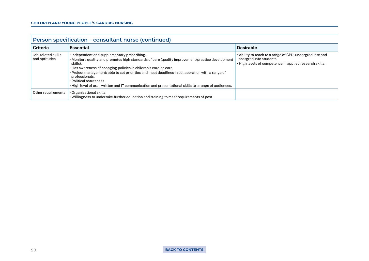| Person specification – consultant nurse (continued) |                                                                                                                                                                                                                                                                                                                                                                                                                                                                                            |                                                                                                                                              |  |
|-----------------------------------------------------|--------------------------------------------------------------------------------------------------------------------------------------------------------------------------------------------------------------------------------------------------------------------------------------------------------------------------------------------------------------------------------------------------------------------------------------------------------------------------------------------|----------------------------------------------------------------------------------------------------------------------------------------------|--|
| <b>Criteria</b>                                     | <b>Essential</b>                                                                                                                                                                                                                                                                                                                                                                                                                                                                           | <b>Desirable</b>                                                                                                                             |  |
| Job-related skills<br>and aptitudes                 | . Independent and supplementary prescribing.<br>. Monitors quality and promotes high standards of care (quality improvement/practice development<br>skills).<br>. Has awareness of changing policies in children's cardiac care.<br>• Project management: able to set priorities and meet deadlines in collaboration with a range of<br>professionals.<br>· Political astuteness.<br>. High level of oral, written and IT communication and presentational skills to a range of audiences. | · Ability to teach to a range of CPD, undergraduate and<br>postgraduate students.<br>· High levels of competence in applied research skills. |  |
| Other requirements                                  | $\cdot$ Organisational skills.<br>. Willingness to undertake further education and training to meet requirements of post.                                                                                                                                                                                                                                                                                                                                                                  |                                                                                                                                              |  |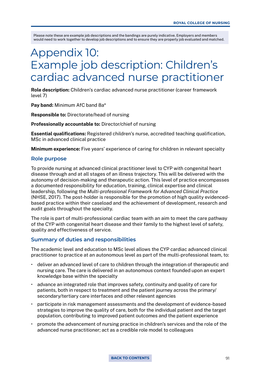# Appendix 10: Example job description: Children's cardiac advanced nurse practitioner

Role description: Children's cardiac advanced nurse practitioner (career framework level 7)

Pay band: Minimum AfC band 8a\*

Responsible to: Directorate/head of nursing

Professionally accountable to: Director/chief of nursing

Essential qualifications: Registered children's nurse, accredited teaching qualification, MSc in advanced clinical practice

Minimum experience: Five years' experience of caring for children in relevant specialty

#### **Role purpose**

To provide nursing at advanced clinical practitioner level to CYP with congenital heart disease through and at all stages of an illness trajectory. This will be delivered with the autonomy of decision-making and therapeutic action. This level of practice encompasses a documented responsibility for education, training, clinical expertise and clinical leadership, following the *Multi-professional Framework for Advanced Clinical Practice* (NHSE, 2017). The post-holder is responsible for the promotion of high quality evidencedbased practice within their caseload and the achievement of development, research and audit goals throughout the specialty.

The role is part of multi-professional cardiac team with an aim to meet the care pathway of the CYP with congenital heart disease and their family to the highest level of safety, quality and effectiveness of service.

### **Summary of duties and responsibilities**

The academic level and education to MSc level allows the CYP cardiac advanced clinical practitioner to practice at an autonomous level as part of the multi-professional team, to:

- deliver an advanced level of care to children through the integration of therapeutic and nursing care. The care is delivered in an autonomous context founded upon an expert knowledge base within the specialty
- advance an integrated role that improves safety, continuity and quality of care for patients, both in respect to treatment and the patient journey across the primary/ secondary/tertiary care interfaces and other relevant agencies
- participate in risk management assessments and the development of evidence-based strategies to improve the quality of care, both for the individual patient and the target population, contributing to improved patient outcomes and the patient experience
- promote the advancement of nursing practice in children's services and the role of the advanced nurse practitioner; act as a credible role model to colleagues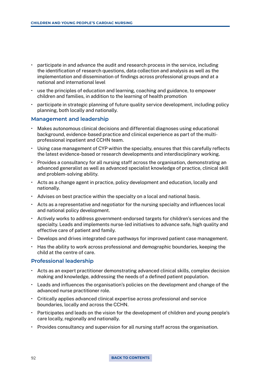- participate in and advance the audit and research process in the service, including the identification of research questions, data collection and analysis as well as the implementation and dissemination of findings across professional groups and at a national and international level
- use the principles of education and learning, coaching and guidance, to empower children and families, in addition to the learning of health promotion
- participate in strategic planning of future quality service development, including policy planning, both locally and nationally.

### **Management and leadership**

- Makes autonomous clinical decisions and differential diagnoses using educational background, evidence-based practice and clinical experience as part of the multiprofessional inpatient and CCHN team.
- Using case management of CYP within the specialty, ensures that this carefully reflects the latest evidence-based or research developments and interdisciplinary working.
- Provides a consultancy for all nursing staff across the organisation, demonstrating an advanced generalist as well as advanced specialist knowledge of practice, clinical skill and problem-solving ability.
- Acts as a change agent in practice, policy development and education, locally and nationally.
- Advises on best practice within the specialty on a local and national basis.
- Acts as a representative and negotiator for the nursing specialty and influences local and national policy development.
- Actively works to address government-endorsed targets for children's services and the specialty. Leads and implements nurse-led initiatives to advance safe, high quality and effective care of patient and family.
- Develops and drives integrated care pathways for improved patient case management.
- Has the ability to work across professional and demographic boundaries, keeping the child at the centre of care.

#### **Professional leadership**

- Acts as an expert practitioner demonstrating advanced clinical skills, complex decision making and knowledge, addressing the needs of a defined patient population.
- Leads and influences the organisation's policies on the development and change of the advanced nurse practitioner role.
- Critically applies advanced clinical expertise across professional and service boundaries, locally and across the CCHN.
- Participates and leads on the vision for the development of children and young people's care locally, regionally and nationally.
- Provides consultancy and supervision for all nursing staff across the organisation.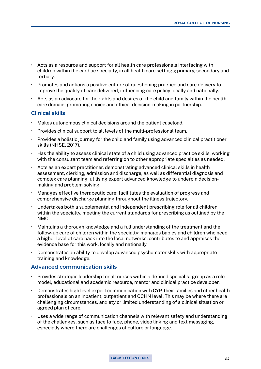- Acts as a resource and support for all health care professionals interfacing with children within the cardiac specialty, in all health care settings; primary, secondary and tertiary.
- Promotes and actions a positive culture of questioning practice and care delivery to improve the quality of care delivered, influencing care policy locally and nationally.
- Acts as an advocate for the rights and desires of the child and family within the health care domain, promoting choice and ethical decision-making in partnership.

#### **Clinical skills**

- Makes autonomous clinical decisions around the patient caseload.
- Provides clinical support to all levels of the multi-professional team.
- Provides a holistic journey for the child and family using advanced clinical practitioner skills (NHSE, 2017).
- Has the ability to assess clinical state of a child using advanced practice skills, working with the consultant team and referring on to other appropriate specialties as needed.
- Acts as an expert practitioner, demonstrating advanced clinical skills in health assessment, clerking, admission and discharge, as well as differential diagnosis and complex care planning, utilising expert advanced knowledge to underpin decisionmaking and problem solving.
- Manages effective therapeutic care; facilitates the evaluation of progress and comprehensive discharge planning throughout the illness trajectory.
- Undertakes both a supplemental and independent prescribing role for all children within the specialty, meeting the current standards for prescribing as outlined by the NMC.
- Maintains a thorough knowledge and a full understanding of the treatment and the follow-up care of children within the specialty; manages babies and children who need a higher level of care back into the local networks; contributes to and appraises the evidence base for this work, locally and nationally.
- Demonstrates an ability to develop advanced psychomotor skills with appropriate training and knowledge.

#### **Advanced communication skills**

- Provides strategic leadership for all nurses within a defined specialist group as a role model, educational and academic resource, mentor and clinical practice developer.
- Demonstrates high level expert communication with CYP, their families and other health professionals on an inpatient, outpatient and CCHN level. This may be where there are challenging circumstances, anxiety or limited understanding of a clinical situation or agreed plan of care.
- Uses a wide range of communication channels with relevant safety and understanding of the challenges, such as face to face, phone, video linking and text messaging, especially where there are challenges of culture or language.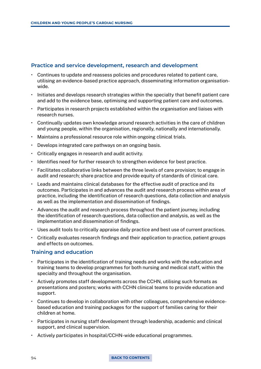# **Practice and service development, research and development**

- Continues to update and reassess policies and procedures related to patient care, utilising an evidence-based practice approach, disseminating information organisationwide.
- Initiates and develops research strategies within the specialty that benefit patient care and add to the evidence base, optimising and supporting patient care and outcomes.
- Participates in research projects established within the organisation and liaises with research nurses.
- Continually updates own knowledge around research activities in the care of children and young people, within the organisation, regionally, nationally and internationally.
- Maintains a professional resource role within ongoing clinical trials.
- Develops integrated care pathways on an ongoing basis.
- Critically engages in research and audit activity.
- Identifies need for further research to strengthen evidence for best practice.
- Facilitates collaborative links between the three levels of care provision; to engage in audit and research; share practice and provide equity of standards of clinical care.
- Leads and maintains clinical databases for the effective audit of practice and its outcomes. Participates in and advances the audit and research process within area of practice, including the identification of research questions, data collection and analysis as well as the implementation and dissemination of findings.
- Advances the audit and research process throughout the patient journey, including the identification of research questions, data collection and analysis, as well as the implementation and dissemination of findings.
- Uses audit tools to critically appraise daily practice and best use of current practices.
- Critically evaluates research findings and their application to practice, patient groups and effects on outcomes.

# **Training and education**

- Participates in the identification of training needs and works with the education and training teams to develop programmes for both nursing and medical staff, within the specialty and throughout the organisation.
- Actively promotes staff developments across the CCHN, utilising such formats as presentations and posters; works with CCHN clinical teams to provide education and support.
- Continues to develop in collaboration with other colleagues, comprehensive evidencebased education and training packages for the support of families caring for their children at home.
- Participates in nursing staff development through leadership, academic and clinical support, and clinical supervision.
- Actively participates in hospital/CCHN-wide educational programmes.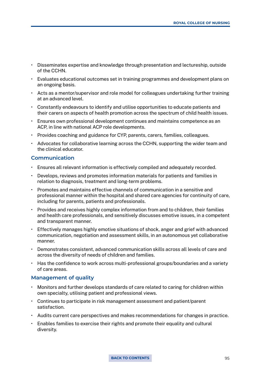- Disseminates expertise and knowledge through presentation and lectureship, outside of the CCHN.
- Evaluates educational outcomes set in training programmes and development plans on an ongoing basis.
- Acts as a mentor/supervisor and role model for colleagues undertaking further training at an advanced level.
- Constantly endeavours to identify and utilise opportunities to educate patients and their carers on aspects of health promotion across the spectrum of child health issues.
- Ensures own professional development continues and maintains competence as an ACP, in line with national ACP role developments.
- Provides coaching and guidance for CYP, parents, carers, families, colleagues.
- Advocates for collaborative learning across the CCHN, supporting the wider team and the clinical educator.

#### **Communication**

- Ensures all relevant information is effectively compiled and adequately recorded.
- Develops, reviews and promotes information materials for patients and families in relation to diagnosis, treatment and long-term problems.
- Promotes and maintains effective channels of communication in a sensitive and professional manner within the hospital and shared care agencies for continuity of care, including for parents, patients and professionals.
- Provides and receives highly complex information from and to children, their families and health care professionals, and sensitively discusses emotive issues, in a competent and transparent manner.
- Effectively manages highly emotive situations of shock, anger and grief with advanced communication, negotiation and assessment skills, in an autonomous yet collaborative manner.
- Demonstrates consistent, advanced communication skills across all levels of care and across the diversity of needs of children and families.
- Has the confidence to work across multi-professional groups/boundaries and a variety of care areas.

#### **Management of quality**

- Monitors and further develops standards of care related to caring for children within own specialty, utilising patient and professional views.
- Continues to participate in risk management assessment and patient/parent satisfaction.
- Audits current care perspectives and makes recommendations for changes in practice.
- Enables families to exercise their rights and promote their equality and cultural diversity.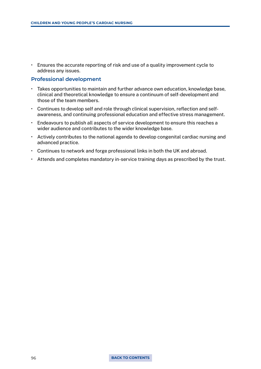• Ensures the accurate reporting of risk and use of a quality improvement cycle to address any issues.

#### **Professional development**

- Takes opportunities to maintain and further advance own education, knowledge base, clinical and theoretical knowledge to ensure a continuum of self-development and those of the team members.
- Continues to develop self and role through clinical supervision, reflection and selfawareness, and continuing professional education and effective stress management.
- Endeavours to publish all aspects of service development to ensure this reaches a wider audience and contributes to the wider knowledge base.
- Actively contributes to the national agenda to develop congenital cardiac nursing and advanced practice.
- Continues to network and forge professional links in both the UK and abroad.
- Attends and completes mandatory in-service training days as prescribed by the trust.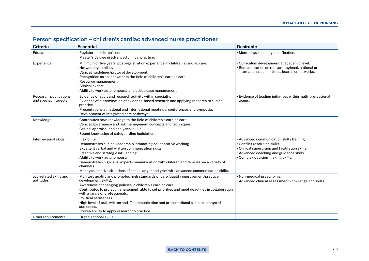| Person specification – children's cardiac advanced nurse practitioner |                                                                                                                                                                                                                                                                                                                                                                                                                                                                                                             |                                                                                                                                                                                                                |  |
|-----------------------------------------------------------------------|-------------------------------------------------------------------------------------------------------------------------------------------------------------------------------------------------------------------------------------------------------------------------------------------------------------------------------------------------------------------------------------------------------------------------------------------------------------------------------------------------------------|----------------------------------------------------------------------------------------------------------------------------------------------------------------------------------------------------------------|--|
| <b>Criteria</b>                                                       | <b>Essential</b>                                                                                                                                                                                                                                                                                                                                                                                                                                                                                            | <b>Desirable</b>                                                                                                                                                                                               |  |
| Education                                                             | · Registered children's nurse.<br>· Master's degree in advanced clinical practice.                                                                                                                                                                                                                                                                                                                                                                                                                          | · Mentoring/ teaching qualification.                                                                                                                                                                           |  |
| Experience                                                            | · Minimum of five years' post-registration experience in children's cardiac care.<br>· Networking at all levels.<br>· Clinical guidelines/protocol development.<br>• Recognition as an innovator in the field of children's cardiac care.<br>· Resource management.<br>· Clinical expert.<br>. Ability to work autonomously and utilise case management.                                                                                                                                                    | · Curriculum development at academic level.<br>· Representation on relevant regional, national or<br>international committees, boards or networks.                                                             |  |
| Research, publications<br>and special interests                       | . Evidence of audit and research activity within specialty.<br>· Evidence of dissemination of evidence-based research and applying research to clinical<br>practice.<br>· Presentations at national and international meetings, conferences and symposia.<br>· Development of integrated care pathways.                                                                                                                                                                                                     | · Evidence of leading initiatives within multi-professional<br>teams.                                                                                                                                          |  |
| Knowledge                                                             | . Contributes new knowledge to the field of children's cardiac care.<br>. Clinical governance and risk management concepts and techniques.<br>· Critical appraisal and analytical skills.<br>· Sound knowledge of safeguarding legislation.                                                                                                                                                                                                                                                                 |                                                                                                                                                                                                                |  |
| Interpersonal skills                                                  | · Flexibility.<br>. Demonstrates clinical leadership, promoting collaborative working.<br>. Excellent verbal and written communication skills.<br>· Effective and strategic influencing.<br>. Ability to work autonomously.<br>. Demonstrates high level expert communication with children and families via a variety of<br>channels.<br>· Manages emotive situations of shock, anger and grief with advanced communication skills.                                                                        | · Advanced communication skills training.<br>· Conflict resolution skills.<br>• Clinical supervision and facilitation skills.<br>· Advanced coaching and guidance skills.<br>. Complex decision-making skills. |  |
| Job-related skills and<br>aptitudes                                   | · Monitors quality and promotes high standards of care (quality improvement/practice<br>development skills).<br>· Awareness of changing policies in children's cardiac care.<br>• Contributes to project management: able to set priorities and meet deadlines in collaboration<br>with a range of professionals.<br>· Political astuteness.<br>· High level of oral, written and IT communication and presentational skills to a range of<br>audiences.<br>• Proven ability to apply research to practice. | · Non-medical prescribing.<br>· Advanced clinical assessment knowledge and skills.                                                                                                                             |  |
| Other requirements                                                    | · Organisational skills.                                                                                                                                                                                                                                                                                                                                                                                                                                                                                    |                                                                                                                                                                                                                |  |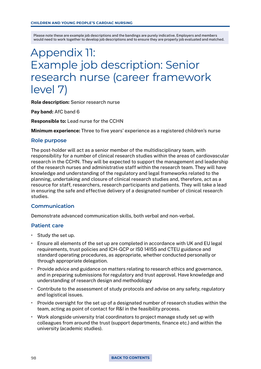# Appendix 11: Example job description: Senior research nurse (career framework level 7)

Role description: Senior research nurse

Pay band: AfC band 6

Responsible to: Lead nurse for the CCHN

Minimum experience: Three to five years' experience as a registered children's nurse

#### **Role purpose**

The post-holder will act as a senior member of the multidisciplinary team, with responsibility for a number of clinical research studies within the areas of cardiovascular research in the CCHN. They will be expected to support the management and leadership of the research nurses and administrative staff within the research team. They will have knowledge and understanding of the regulatory and legal frameworks related to the planning, undertaking and closure of clinical research studies and, therefore, act as a resource for staff, researchers, research participants and patients. They will take a lead in ensuring the safe and effective delivery of a designated number of clinical research studies.

# **Communication**

Demonstrate advanced communication skills, both verbal and non-verbal.

#### **Patient care**

- Study the set up.
- Ensure all elements of the set up are completed in accordance with UK and EU legal requirements, trust policies and ICH-GCP or IS0 14155 and CTEU guidance and standard operating procedures, as appropriate, whether conducted personally or through appropriate delegation.
- Provide advice and guidance on matters relating to research ethics and governance, and in preparing submissions for regulatory and trust approval. Have knowledge and understanding of research design and methodology
- Contribute to the assessment of study protocols and advise on any safety, regulatory and logistical issues.
- Provide oversight for the set up of a designated number of research studies within the team, acting as point of contact for R&I in the feasibility process.
- Work alongside university trial coordinators to project manage study set up with colleagues from around the trust (support departments, finance etc.) and within the university (academic studies).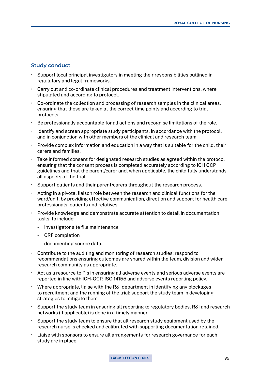#### **Study conduct**

- Support local principal investigators in meeting their responsibilities outlined in regulatory and legal frameworks.
- Carry out and co-ordinate clinical procedures and treatment interventions, where stipulated and according to protocol.
- Co-ordinate the collection and processing of research samples in the clinical areas, ensuring that these are taken at the correct time points and according to trial protocols.
- Be professionally accountable for all actions and recognise limitations of the role.
- Identify and screen appropriate study participants, in accordance with the protocol, and in conjunction with other members of the clinical and research team.
- Provide complex information and education in a way that is suitable for the child, their carers and families.
- Take informed consent for designated research studies as agreed within the protocol ensuring that the consent process is completed accurately according to ICH GCP guidelines and that the parent/carer and, when applicable, the child fully understands all aspects of the trial.
- Support patients and their parent/carers throughout the research process.
- Acting in a pivotal liaison role between the research and clinical functions for the ward/unit, by providing effective communication, direction and support for health care professionals, patients and relatives.
- Provide knowledge and demonstrate accurate attention to detail in documentation tasks, to include:
	- investigator site file maintenance
	- CRF completion
	- documenting source data.
- Contribute to the auditing and monitoring of research studies; respond to recommendations ensuring outcomes are shared within the team, division and wider research community as appropriate.
- Act as a resource to PIs in ensuring all adverse events and serious adverse events are reported in line with ICH-GCP, ISO 14155 and adverse events reporting policy.
- Where appropriate, liaise with the R&I department in identifying any blockages to recruitment and the running of the trial; support the study team in developing strategies to mitigate them.
- Support the study team in ensuring all reporting to regulatory bodies, R&I and research networks (if applicable) is done in a timely manner.
- Support the study team to ensure that all research study equipment used by the research nurse is checked and calibrated with supporting documentation retained.
- Liaise with sponsors to ensure all arrangements for research governance for each study are in place.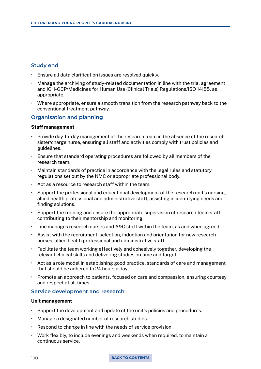# **Study end**

- Ensure all data clarification issues are resolved quickly.
- Manage the archiving of study-related documentation in line with the trial agreement and ICH-GCP/Medicines for Human Use (Clinical Trials) Regulations/ISO 14155, as appropriate.
- Where appropriate, ensure a smooth transition from the research pathway back to the conventional treatment pathway.

# **Organisation and planning**

#### Staff management

- Provide day-to-day management of the research team in the absence of the research sister/charge nurse, ensuring all staff and activities comply with trust policies and guidelines.
- Ensure that standard operating procedures are followed by all members of the research team.
- Maintain standards of practice in accordance with the legal rules and statutory regulations set out by the NMC or appropriate professional body.
- Act as a resource to research staff within the team.
- Support the professional and educational development of the research unit's nursing, allied health professional and administrative staff, assisting in identifying needs and finding solutions.
- Support the training and ensure the appropriate supervision of research team staff, contributing to their mentorship and monitoring.
- Line manages research nurses and A&C staff within the team, as and when agreed.
- Assist with the recruitment, selection, induction and orientation for new research nurses, allied health professional and administrative staff.
- Facilitate the team working effectively and cohesively together, developing the relevant clinical skills and delivering studies on time and target.
- Act as a role model in establishing good practice, standards of care and management that should be adhered to 24 hours a day.
- Promote an approach to patients, focused on care and compassion, ensuring courtesy and respect at all times.

# **Service development and research**

#### Unit management

- Support the development and update of the unit's policies and procedures.
- Manage a designated number of research studies.
- Respond to change in line with the needs of service provision.
- Work flexibly, to include evenings and weekends when required, to maintain a continuous service.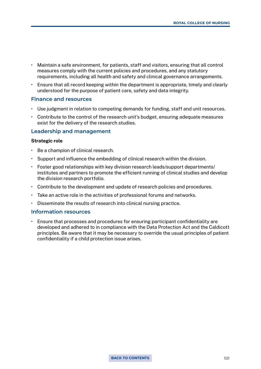- Maintain a safe environment, for patients, staff and visitors, ensuring that all control measures comply with the current policies and procedures, and any statutory requirements, including all health and safety and clinical governance arrangements.
- Ensure that all record keeping within the department is appropriate, timely and clearly understood for the purpose of patient care, safety and data integrity.

#### **Finance and resources**

- Use judgment in relation to competing demands for funding, staff and unit resources.
- Contribute to the control of the research unit's budget, ensuring adequate measures exist for the delivery of the research studies.

#### **Leadership and management**

#### Strategic role

- Be a champion of clinical research.
- Support and influence the embedding of clinical research within the division.
- Foster good relationships with key division research leads/support departments/ institutes and partners to promote the efficient running of clinical studies and develop the division research portfolio.
- Contribute to the development and update of research policies and procedures.
- Take an active role in the activities of professional forums and networks.
- Disseminate the results of research into clinical nursing practice.

#### **Information resources**

• Ensure that processes and procedures for ensuring participant confidentiality are developed and adhered to in compliance with the Data Protection Act and the Caldicott principles. Be aware that it may be necessary to override the usual principles of patient confidentiality if a child protection issue arises.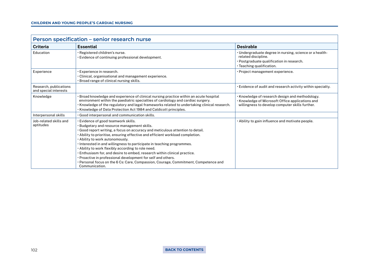| Person specification - senior research nurse    |                                                                                                                                                                                                                                                                                                                                                                                                                                                                                                                                                                                                                                                                                       |                                                                                                                                                          |  |
|-------------------------------------------------|---------------------------------------------------------------------------------------------------------------------------------------------------------------------------------------------------------------------------------------------------------------------------------------------------------------------------------------------------------------------------------------------------------------------------------------------------------------------------------------------------------------------------------------------------------------------------------------------------------------------------------------------------------------------------------------|----------------------------------------------------------------------------------------------------------------------------------------------------------|--|
| <b>Criteria</b>                                 | <b>Essential</b>                                                                                                                                                                                                                                                                                                                                                                                                                                                                                                                                                                                                                                                                      | <b>Desirable</b>                                                                                                                                         |  |
| Education                                       | · Registered children's nurse.<br>Evidence of continuing professional development.                                                                                                                                                                                                                                                                                                                                                                                                                                                                                                                                                                                                    | · Undergraduate degree in nursing, science or a health-<br>related discipline.<br>· Postgraduate qualification in research.<br>· Teaching qualification. |  |
| Experience                                      | Experience in research.<br>• Clinical, organisational and management experience.<br>· Broad range of clinical nursing skills.                                                                                                                                                                                                                                                                                                                                                                                                                                                                                                                                                         | · Project management experience.                                                                                                                         |  |
| Research, publications<br>and special interests |                                                                                                                                                                                                                                                                                                                                                                                                                                                                                                                                                                                                                                                                                       | . Evidence of audit and research activity within specialty.                                                                                              |  |
| Knowledge                                       | $\cdot$ Broad knowledge and experience of clinical nursing practice within an acute hospital<br>environment within the paediatric specialties of cardiology and cardiac surgery.<br>· Knowledge of the regulatory and legal frameworks related to undertaking clinical research.<br>· Knowledge of Data Protection Act 1984 and Caldicott principles.                                                                                                                                                                                                                                                                                                                                 | • Knowledge of research design and methodology.<br>• Knowledge of Microsoft Office applications and<br>willingness to develop computer skills further.   |  |
| Interpersonal skills                            | Good interpersonal and communication skills.                                                                                                                                                                                                                                                                                                                                                                                                                                                                                                                                                                                                                                          |                                                                                                                                                          |  |
| Job-related skills and<br>aptitudes             | · Evidence of good teamwork skills.<br>· Budgetary and resource management skills.<br>• Good report writing, a focus on accuracy and meticulous attention to detail.<br>. Ability to prioritise, ensuring effective and efficient workload completion.<br>. Ability to work autonomously.<br>· Interested in and willingness to participate in teaching programmes.<br>. Ability to work flexibly according to role need.<br>. Enthusiasm for, and desire to embed, research within clinical practice.<br>. Proactive in professional development for self and others.<br>$\cdot$ Personal focus on the 6 Cs: Care, Compassion, Courage, Commitment, Competence and<br>Communication. | • Ability to gain influence and motivate people.                                                                                                         |  |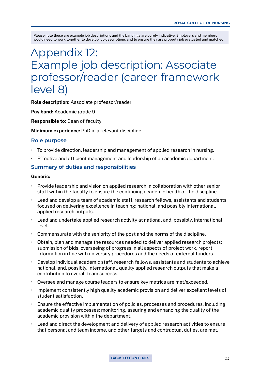# Appendix 12: Example job description: Associate professor/reader (career framework level 8)

Role description: Associate professor/reader

Pay band: Academic grade 9

Responsible to: Dean of faculty

Minimum experience: PhD in a relevant discipline

#### **Role purpose**

- To provide direction, leadership and management of applied research in nursing.
- Effective and efficient management and leadership of an academic department.

#### **Summary of duties and responsibilities**

#### Generic:

- Provide leadership and vision on applied research in collaboration with other senior staff within the faculty to ensure the continuing academic health of the discipline.
- Lead and develop a team of academic staff, research fellows, assistants and students focused on delivering excellence in teaching; national, and possibly international, applied research outputs.
- Lead and undertake applied research activity at national and, possibly, international level.
- Commensurate with the seniority of the post and the norms of the discipline.
- Obtain, plan and manage the resources needed to deliver applied research projects: submission of bids, overseeing of progress in all aspects of project work, report information in line with university procedures and the needs of external funders.
- Develop individual academic staff, research fellows, assistants and students to achieve national, and, possibly, international, quality applied research outputs that make a contribution to overall team success.
- Oversee and manage course leaders to ensure key metrics are met/exceeded.
- Implement consistently high quality academic provision and deliver excellent levels of student satisfaction.
- Ensure the effective implementation of policies, processes and procedures, including academic quality processes; monitoring, assuring and enhancing the quality of the academic provision within the department.
- Lead and direct the development and delivery of applied research activities to ensure that personal and team income, and other targets and contractual duties, are met.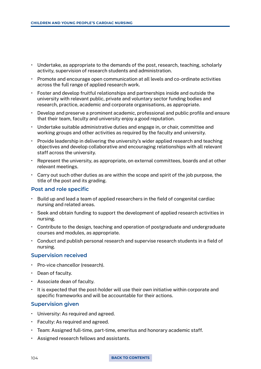- Undertake, as appropriate to the demands of the post, research, teaching, scholarly activity, supervision of research students and administration.
- Promote and encourage open communication at all levels and co-ordinate activities across the full range of applied research work.
- Foster and develop fruitful relationships and partnerships inside and outside the university with relevant public, private and voluntary sector funding bodies and research, practice, academic and corporate organisations, as appropriate.
- Develop and preserve a prominent academic, professional and public profile and ensure that their team, faculty and university enjoy a good reputation.
- Undertake suitable administrative duties and engage in, or chair, committee and working groups and other activities as required by the faculty and university.
- Provide leadership in delivering the university's wider applied research and teaching objectives and develop collaborative and encouraging relationships with all relevant staff across the university.
- Represent the university, as appropriate, on external committees, boards and at other relevant meetings.
- Carry out such other duties as are within the scope and spirit of the job purpose, the title of the post and its grading.

# **Post and role specific**

- Build up and lead a team of applied researchers in the field of congenital cardiac nursing and related areas.
- Seek and obtain funding to support the development of applied research activities in nursing.
- Contribute to the design, teaching and operation of postgraduate and undergraduate courses and modules, as appropriate.
- Conduct and publish personal research and supervise research students in a field of nursing.

#### **Supervision received**

- Pro-vice chancellor (research).
- Dean of faculty.
- Associate dean of faculty.
- It is expected that the post-holder will use their own initiative within corporate and specific frameworks and will be accountable for their actions.

# **Supervision given**

- University: As required and agreed.
- Faculty: As required and agreed.
- Team: Assigned full-time, part-time, emeritus and honorary academic staff.
- Assigned research fellows and assistants.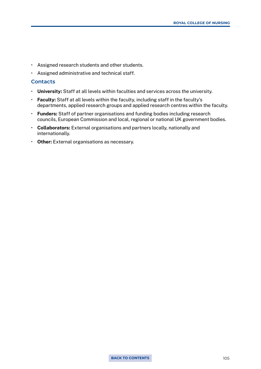- Assigned research students and other students.
- Assigned administrative and technical staff.

### **Contacts**

- University: Staff at all levels within faculties and services across the university.
- Faculty: Staff at all levels within the faculty, including staff in the faculty's departments, applied research groups and applied research centres within the faculty.
- Funders: Staff of partner organisations and funding bodies including research councils, European Commission and local, regional or national UK government bodies.
- Collaborators: External organisations and partners locally, nationally and internationally.
- Other: External organisations as necessary.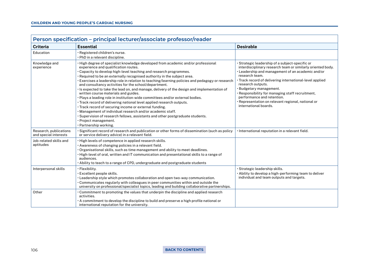| Person specification – principal lecturer/associate professor/reader |                                                                                                                                                                                                                                                                                                                                                                                                                                                                                                                                                                                                                                                                                                                                                                                                                                                                                                                                                                                                      |                                                                                                                                                                                                                                                                                                                                                                                                                                                                    |  |
|----------------------------------------------------------------------|------------------------------------------------------------------------------------------------------------------------------------------------------------------------------------------------------------------------------------------------------------------------------------------------------------------------------------------------------------------------------------------------------------------------------------------------------------------------------------------------------------------------------------------------------------------------------------------------------------------------------------------------------------------------------------------------------------------------------------------------------------------------------------------------------------------------------------------------------------------------------------------------------------------------------------------------------------------------------------------------------|--------------------------------------------------------------------------------------------------------------------------------------------------------------------------------------------------------------------------------------------------------------------------------------------------------------------------------------------------------------------------------------------------------------------------------------------------------------------|--|
| <b>Criteria</b>                                                      | <b>Essential</b>                                                                                                                                                                                                                                                                                                                                                                                                                                                                                                                                                                                                                                                                                                                                                                                                                                                                                                                                                                                     | <b>Desirable</b>                                                                                                                                                                                                                                                                                                                                                                                                                                                   |  |
| Education                                                            | · Registered children's nurse.<br>· PhD in a relevant discipline.                                                                                                                                                                                                                                                                                                                                                                                                                                                                                                                                                                                                                                                                                                                                                                                                                                                                                                                                    |                                                                                                                                                                                                                                                                                                                                                                                                                                                                    |  |
| Knowledge and<br>experience                                          | . High degree of specialist knowledge developed from academic and/or professional<br>experience and qualification routes.<br>. Capacity to develop high-level teaching and research programmes.<br>· Required to be an externally recognised authority in the subject area.<br>Exercises a leadership role in relation to teaching/learning policies and pedagogy or research<br>and consultancy activities for the school/department.<br>· Is expected to take the lead on, and manage, delivery of the design and implementation of<br>written course materials and guides.<br>· Plays a leading role in institution-wide committees and/or external bodies.<br>. Track record of delivering national level applied research outputs.<br>· Track record of securing income or external funding.<br>. Management of individual research and/or academic staff.<br>. Supervision of research fellows, assistants and other postgraduate students.<br>· Project management.<br>· Partnership working. | · Strategic leadership of a subject-specific or<br>interdisciplinary research team or similarly oriented body.<br>· Leadership and management of an academic and/or<br>research team.<br>• Track record of delivering international-level applied<br>research outputs.<br>· Budgetary management.<br>· Responsibility for managing staff recruitment,<br>performance and retention.<br>· Representation on relevant regional, national or<br>international boards. |  |
| Research, publications<br>and special interests                      | • Significant record of research and publication or other forms of dissemination (such as policy<br>or service delivery advice) in a relevant field.                                                                                                                                                                                                                                                                                                                                                                                                                                                                                                                                                                                                                                                                                                                                                                                                                                                 | · International reputation in a relevant field.                                                                                                                                                                                                                                                                                                                                                                                                                    |  |
| Job-related skills and<br>aptitudes                                  | · High levels of competence in applied research skills.<br>· Awareness of changing policies in a relevant field.<br>· Organisational skills, such as time management and ability to meet deadlines.<br>. High-level of oral, written and IT communication and presentational skills to a range of<br>audiences.<br>• Ability to teach to a range of CPD, undergraduate and postgraduate students                                                                                                                                                                                                                                                                                                                                                                                                                                                                                                                                                                                                     |                                                                                                                                                                                                                                                                                                                                                                                                                                                                    |  |
| Interpersonal skills                                                 | · Flexibility.<br>· Excellent people skills.<br>· Leadership style which promotes collaboration and open two-way communication.<br>• Communicates regularly with colleagues in peer communities within and outside the<br>university on professional/specialist topics, leading and building collaborative partnerships.                                                                                                                                                                                                                                                                                                                                                                                                                                                                                                                                                                                                                                                                             | · Strategic leadership skills.<br>· Ability to develop a high-performing team to deliver<br>individual and team outputs and targets.                                                                                                                                                                                                                                                                                                                               |  |
| Other                                                                | • Commitment to promoting the values that underpin the discipline and applied research<br>activities.<br>A commitment to develop the discipline to build and preserve a high profile national or<br>international reputation for the university.                                                                                                                                                                                                                                                                                                                                                                                                                                                                                                                                                                                                                                                                                                                                                     |                                                                                                                                                                                                                                                                                                                                                                                                                                                                    |  |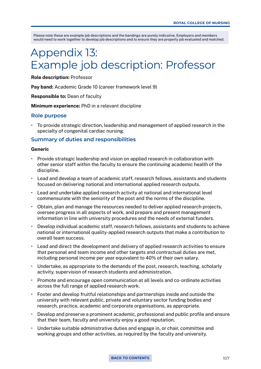# Appendix 13: Example job description: Professor

Role description: Professor

Pay band: Academic Grade 10 (career framework level 9)

Responsible to: Dean of faculty

Minimum experience: PhD in a relevant discipline

#### **Role purpose**

• To provide strategic direction, leadership and management of applied research in the specialty of congenital cardiac nursing.

### **Summary of duties and responsibilities**

#### Generic

- Provide strategic leadership and vision on applied research in collaboration with other senior staff within the faculty to ensure the continuing academic health of the discipline.
- Lead and develop a team of academic staff, research fellows, assistants and students focused on delivering national and international applied research outputs.
- Lead and undertake applied research activity at national and international level commensurate with the seniority of the post and the norms of the discipline.
- Obtain, plan and manage the resources needed to deliver applied research projects, oversee progress in all aspects of work, and prepare and present management information in line with university procedures and the needs of external funders.
- Develop individual academic staff, research fellows, assistants and students to achieve national or international quality-applied research outputs that make a contribution to overall team success.
- Lead and direct the development and delivery of applied research activities to ensure that personal and team income and other targets and contractual duties are met, including personal income per year equivalent to 40% of their own salary.
- Undertake, as appropriate to the demands of the post, research, teaching, scholarly activity, supervision of research students and administration.
- Promote and encourage open communication at all levels and co-ordinate activities across the full range of applied research work.
- Foster and develop fruitful relationships and partnerships inside and outside the university with relevant public, private and voluntary sector funding bodies and research, practice, academic and corporate organisations, as appropriate.
- Develop and preserve a prominent academic, professional and public profile and ensure that their team, faculty and university enjoy a good reputation.
- Undertake suitable administrative duties and engage in, or chair, committee and working groups and other activities, as required by the faculty and university.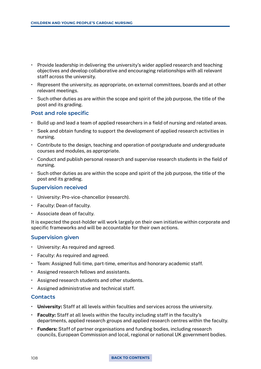- Provide leadership in delivering the university's wider applied research and teaching objectives and develop collaborative and encouraging relationships with all relevant staff across the university.
- Represent the university, as appropriate, on external committees, boards and at other relevant meetings.
- Such other duties as are within the scope and spirit of the job purpose, the title of the post and its grading.

### **Post and role specific**

- Build up and lead a team of applied researchers in a field of nursing and related areas.
- Seek and obtain funding to support the development of applied research activities in nursing.
- Contribute to the design, teaching and operation of postgraduate and undergraduate courses and modules, as appropriate.
- Conduct and publish personal research and supervise research students in the field of nursing.
- Such other duties as are within the scope and spirit of the job purpose, the title of the post and its grading.

#### **Supervision received**

- University: Pro-vice-chancellor (research).
- Faculty: Dean of faculty.
- Associate dean of faculty.

It is expected the post-holder will work largely on their own initiative within corporate and specific frameworks and will be accountable for their own actions.

#### **Supervision given**

- University: As required and agreed.
- Faculty: As required and agreed.
- Team: Assigned full-time, part-time, emeritus and honorary academic staff.
- Assigned research fellows and assistants.
- Assigned research students and other students.
- Assigned administrative and technical staff.

# **Contacts**

- University: Staff at all levels within faculties and services across the university.
- Faculty: Staff at all levels within the faculty including staff in the faculty's departments, applied research groups and applied research centres within the faculty.
- Funders: Staff of partner organisations and funding bodies, including research councils, European Commission and local, regional or national UK government bodies.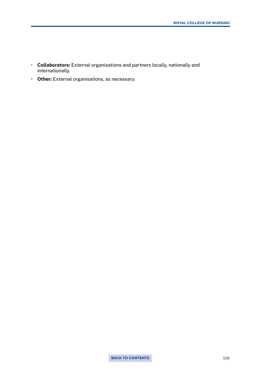- Collaborators: External organisations and partners locally, nationally and internationally.
- Other: External organisations, as necessary.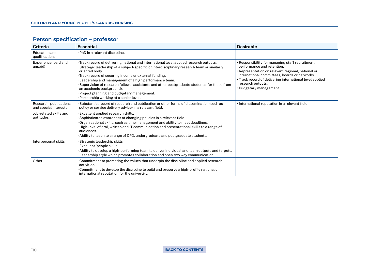| <b>Person specification - professor</b>         |                                                                                                                                                                                                                                                                                                                                                                                                                                                                                                                                                         |                                                                                                                                                                                                                                                                                                 |  |
|-------------------------------------------------|---------------------------------------------------------------------------------------------------------------------------------------------------------------------------------------------------------------------------------------------------------------------------------------------------------------------------------------------------------------------------------------------------------------------------------------------------------------------------------------------------------------------------------------------------------|-------------------------------------------------------------------------------------------------------------------------------------------------------------------------------------------------------------------------------------------------------------------------------------------------|--|
| <b>Criteria</b>                                 | <b>Essential</b>                                                                                                                                                                                                                                                                                                                                                                                                                                                                                                                                        | <b>Desirable</b>                                                                                                                                                                                                                                                                                |  |
| Education and<br>qualifications                 | . PhD in a relevant discipline.                                                                                                                                                                                                                                                                                                                                                                                                                                                                                                                         |                                                                                                                                                                                                                                                                                                 |  |
| Experience (paid and<br>unpaid)                 | • Track record of delivering national and international level applied research outputs.<br>• Strategic leadership of a subject-specific or interdisciplinary research team or similarly<br>oriented body.<br>• Track record of securing income or external funding.<br>. Leadership and management of a high performance team.<br>• Supervision of research fellows, assistants and other postgraduate students (for those from<br>an academic background).<br>· Project planning and budgetary management.<br>· Partnership working at a senior level. | · Responsibility for managing staff recruitment,<br>performance and retention.<br>Representation on relevant regional, national or<br>international committees, boards or networks.<br>• Track record of delivering international level applied<br>research outputs.<br>· Budgetary management. |  |
| Research, publications<br>and special interests | • Substantial record of research and publication or other forms of dissemination (such as<br>policy or service delivery advice) in a relevant field.                                                                                                                                                                                                                                                                                                                                                                                                    | · International reputation in a relevant field.                                                                                                                                                                                                                                                 |  |
| Job-related skills and<br>aptitudes             | • Excellent applied research skills.<br>· Sophisticated awareness of changing policies in a relevant field.<br>· Organisational skills, such as time management and ability to meet deadlines.<br>· High-level of oral, written and IT communication and presentational skills to a range of<br>audiences.<br>· Ability to teach to a range of CPD, undergraduate and postgraduate students.                                                                                                                                                            |                                                                                                                                                                                                                                                                                                 |  |
| Interpersonal skills                            | $\cdot$ Strategic leadership skills<br>· Excellent 'people skills'<br>• Ability to develop a high-performing team to deliver individual and team outputs and targets.<br>. Leadership style which promotes collaboration and open two way communication.                                                                                                                                                                                                                                                                                                |                                                                                                                                                                                                                                                                                                 |  |
| Other                                           | • Commitment to promoting the values that underpin the discipline and applied research<br>activities.<br>• Commitment to develop the discipline to build and preserve a high-profile national or<br>international reputation for the university.                                                                                                                                                                                                                                                                                                        |                                                                                                                                                                                                                                                                                                 |  |

#### 110 **[BACK TO CONTENTS](#page-2-0)**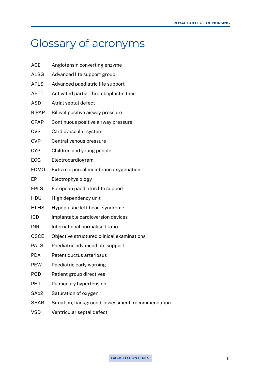# Glossary of acronyms

| <b>ACE</b>        | Angiotensin converting enzyme                     |
|-------------------|---------------------------------------------------|
| <b>ALSG</b>       | Advanced life support group                       |
| <b>APLS</b>       | Advanced paediatric life support                  |
| <b>APTT</b>       | Activated partial thromboplastin time             |
| <b>ASD</b>        | Atrial septal defect                              |
| <b>BiPAP</b>      | Bilevel positive airway pressure                  |
| <b>CPAP</b>       | Continuous positive airway pressure               |
| <b>CVS</b>        | Cardiovascular system                             |
| <b>CVP</b>        | Central venous pressure                           |
| <b>CYP</b>        | Children and young people                         |
| <b>ECG</b>        | Electrocardiogram                                 |
| <b>ECMO</b>       | Extra corporeal membrane oxygenation              |
| EP                | Electrophysiology                                 |
| <b>EPLS</b>       | European paediatric life support                  |
| <b>HDU</b>        | High dependency unit                              |
| <b>HLHS</b>       | Hypoplastic left heart syndrome                   |
| ICD               | Implantable cardioversion devices                 |
| <b>INR</b>        | International normalised ratio                    |
| <b>OSCE</b>       | Objective structured clinical examinations        |
| <b>PALS</b>       | Paediatric advanced life support                  |
| <b>PDA</b>        | Patent ductus arteriosus                          |
| <b>PEW</b>        | Paediatric early warning                          |
| <b>PGD</b>        | Patient group directives                          |
| <b>PHT</b>        | Pulmonary hypertension                            |
| SA <sub>o</sub> 2 | Saturation of oxygen                              |
| <b>SBAR</b>       | Situation, background, assessment, recommendation |
| <b>VSD</b>        | Ventricular septal defect                         |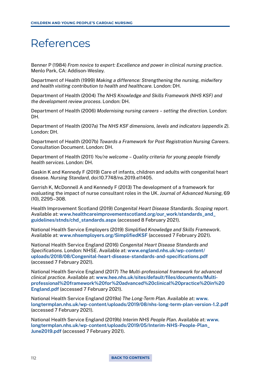# References

Benner P (1984) *From novice to expert: Excellence and power in clinical nursing practice*. Menlo Park, CA: Addison-Wesley.

Department of Health (1999) *Making a difference: Strengthening the nursing, midwifery and health visiting contribution to health and healthcare*. London: DH.

Department of Health (2004) *The NHS Knowledge and Skills Framework (NHS KSF) and the development review process*. London: DH.

Department of Health (2006) *Modernising nursing careers – setting the direction*. London: DH.

Department of Health (2007a) *The NHS KSF dimensions, levels and indicators (appendix 2)*. London: DH.

Department of Health (2007b) *Towards a Framework for Post Registration Nursing Careers*. Consultation Document. London: DH.

Department of Health (2011) *You're welcome – Quality criteria for young people friendly health services*. London: DH.

Gaskin K and Kennedy F (2019) Care of infants, children and adults with congenital heart disease. *Nursing Standard*, doi:10.7748/ns.2019.e11405.

Gerrish K, McDonnell A and Kennedy F (2013) The development of a framework for evaluating the impact of nurse consultant roles in the UK. *Journal of Advanced Nursing*, 69 (10), 2295–308.

Health Improvement Scotland (2019) *Congenital Heart Disease Standards. Scoping report*. Available at: www.healthcareimprovementscotland.org/our\_work/standards\_and [guidelines/stnds/chd\\_standards.aspx](http://www.healthcareimprovementscotland.org/our_work/standards_and_guidelines/stnds/chd_standards.aspx) (accessed 8 February 2021).

National Health Service Employers (2019) *Simplified Knowledge and Skills Framework*. Available at: [www.nhsemployers.org/SimplifiedKSF](https://www.nhsemployers.org/SimplifiedKSF) (accessed 7 February 2021).

National Health Service England (2016) *Congenital Heart Disease Standards and Specifications*. London: NHSE. Available at: [www.england.nhs.uk/wp-content/](https://www.england.nhs.uk/wp-content/uploads/2018/08/Congenital-heart-disease-standards-and-specifications.pdf) [uploads/2018/08/Congenital-heart-disease-standards-and-specifications.pdf](https://www.england.nhs.uk/wp-content/uploads/2018/08/Congenital-heart-disease-standards-and-specifications.pdf) (accessed 7 February 2021).

National Health Service England (2017) *The Multi-professional framework for advanced clinical practice*. Available at: [www.hee.nhs.uk/sites/default/files/documents/Multi](https://www.hee.nhs.uk/sites/default/files/documents/Multi-professional%20framework%20for%20advanced%20clinical%20practice%20in%20England.pdf)[professional%20framework%20for%20advanced%20clinical%20practice%20in%20](https://www.hee.nhs.uk/sites/default/files/documents/Multi-professional%20framework%20for%20advanced%20clinical%20practice%20in%20England.pdf) [England.pdf](https://www.hee.nhs.uk/sites/default/files/documents/Multi-professional%20framework%20for%20advanced%20clinical%20practice%20in%20England.pdf) (accessed 7 February 2021).

National Health Service England (2019a) *The Long-Term Plan*. Available at: [www.](https://www.longtermplan.nhs.uk/wp-content/uploads/2019/08/nhs-long-term-plan-version-1.2.pdf) [longtermplan.nhs.uk/wp-content/uploads/2019/08/nhs-long-term-plan-version-1.2.pdf](https://www.longtermplan.nhs.uk/wp-content/uploads/2019/08/nhs-long-term-plan-version-1.2.pdf) (accessed 7 February 2021).

National Health Service England (2019b) *Interim NHS People Plan*. Available at: [www.](https://www.longtermplan.nhs.uk/wp-content/uploads/2019/05/Interim-NHS-People-Plan_June2019.pdf) [longtermplan.nhs.uk/wp-content/uploads/2019/05/Interim-NHS-People-Plan\\_](https://www.longtermplan.nhs.uk/wp-content/uploads/2019/05/Interim-NHS-People-Plan_June2019.pdf) [June2019.pdf](https://www.longtermplan.nhs.uk/wp-content/uploads/2019/05/Interim-NHS-People-Plan_June2019.pdf) (accessed 7 February 2021).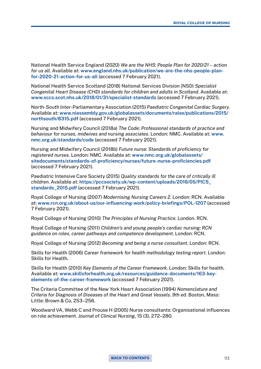National Health Service England (2020) *We are the NHS: People Plan for 2020/21 – action for us all*. Available at: [www.england.nhs.uk/publication/we-are-the-nhs-people-plan](https://www.england.nhs.uk/publication/we-are-the-nhs-people-plan-for-2020-21-action-for-us-all/)[for-2020-21-action-for-us-all](https://www.england.nhs.uk/publication/we-are-the-nhs-people-plan-for-2020-21-action-for-us-all/) (accessed 7 February 2021).

National Health Service Scotland (2018) National Services Division (NSD) *Specialist Congenital Heart Disease (CHD) standards for children and adults in Scotland*. Available at: [www.sccs.scot.nhs.uk/2018/01/31/specialist-standards](https://www.sccs.scot.nhs.uk/2018/01/31/specialist-standards/) (accessed 7 February 2021).

North-South Inter-Parliamentary Association (2015) *Paediatric Congenital Cardiac Surgery*. Available at: [www.niassembly.gov.uk/globalassets/documents/raise/publications/2015/](http://www.niassembly.gov.uk/globalassets/documents/raise/publications/2015/northsouth/8315.pdf) [northsouth/8315.pdf](http://www.niassembly.gov.uk/globalassets/documents/raise/publications/2015/northsouth/8315.pdf) (accessed 7 February 2021).

Nursing and Midwifery Council (2018a) *The Code: Professional standards of practice and behaviour for nurses, midwives and nursing associates*. London: NMC. Available at: [www.](https://www.nmc.org.uk/standards/code/) [nmc.org.uk/standards/code](https://www.nmc.org.uk/standards/code/) (accessed 7 February 2021).

Nursing and Midwifery Council (2018b) *Future nurse: Standards of proficiency for registered nurses*. London: NMC. Available at: [www.nmc.org.uk/globalassets/](https://www.nmc.org.uk/globalassets/sitedocuments/standards-of-proficiency/nurses/future-nurse-proficiencies.pdf) [sitedocuments/standards-of-proficiency/nurses/future-nurse-proficiencies.pdf](https://www.nmc.org.uk/globalassets/sitedocuments/standards-of-proficiency/nurses/future-nurse-proficiencies.pdf) (accessed 7 February 2021).

Paediatric Intensive Care Society (2015) *Quality standards for the care of critically ill children*. Available at: [https://pccsociety.uk/wp-content/uploads/2016/05/PICS\\_](https://pccsociety.uk/wp-content/uploads/2016/05/PICS_standards_2015.pdf) [standards\\_2015.pdf](https://pccsociety.uk/wp-content/uploads/2016/05/PICS_standards_2015.pdf) (accessed 7 February 2021).

Royal College of Nursing (2007) *Modernising Nursing Careers 2*. London: RCN. Available at: [www.rcn.org.uk/about-us/our-influencing-work/policy-briefings/POL-1207](https://www.rcn.org.uk/about-us/our-influencing-work/policy-briefings/POL-1207) (accessed 7 February 2021).

Royal College of Nursing (2010) *The Principles of Nursing Practice*. London. RCN.

Royal College of Nursing (2011) *Children's and young people's cardiac nursing: RCN guidance on roles, career pathways and competence development*. London: RCN.

Royal College of Nursing (2012) *Becoming and being a nurse consultant*. London: RCN.

Skills for Health (2006) *Career framework for health methodology testing report*. London: Skills for Health.

Skills for Health (2010) *Key Elements of the Career Framework*. London: Skills for health. Available at: [www.skillsforhealth.org.uk/resources/guidance-documents/163-key](https://www.skillsforhealth.org.uk/wp-content/uploads/2020/11/Career_framework_key_elements-1.pdf)[elements-of-the-career-framework](https://www.skillsforhealth.org.uk/wp-content/uploads/2020/11/Career_framework_key_elements-1.pdf) (accessed 7 February 2021).

The Criteria Committee of the New York Heart Association (1994) *Nomenclature and Criteria for Diagnosis of Diseases of the Heart and Great Vessels. 9th ed*. Boston, Mass: Little: Brown & Co, 253–256.

Woodward VA, Webb C and Prouse H (2005) Nurse consultants: Organisational influences on role achievement. *Journal of Clinical Nursing*, 15 (3), 272–280.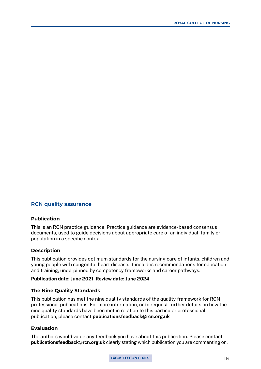# **RCN quality assurance**

# **Publication**

This is an RCN practice guidance. Practice guidance are evidence-based consensus documents, used to guide decisions about appropriate care of an individual, family or population in a specific context.

#### **Description**

This publication provides optimum standards for the nursing care of infants, children and young people with congenital heart disease. It includes recommendations for education and training, underpinned by competency frameworks and career pathways.

#### Publication date: June 2021 Review date: June 2024

#### **The Nine Quality Standards**

This publication has met the nine quality standards of the quality framework for RCN professional publications. For more information, or to request further details on how the nine quality standards have been met in relation to this particular professional publication, please contact publicationsfeedback@rcn.org.uk

## **Evaluation**

The authors would value any feedback you have about this publication. Please contact publicationsfeedback@rcn.org.uk clearly stating which publication you are commenting on.